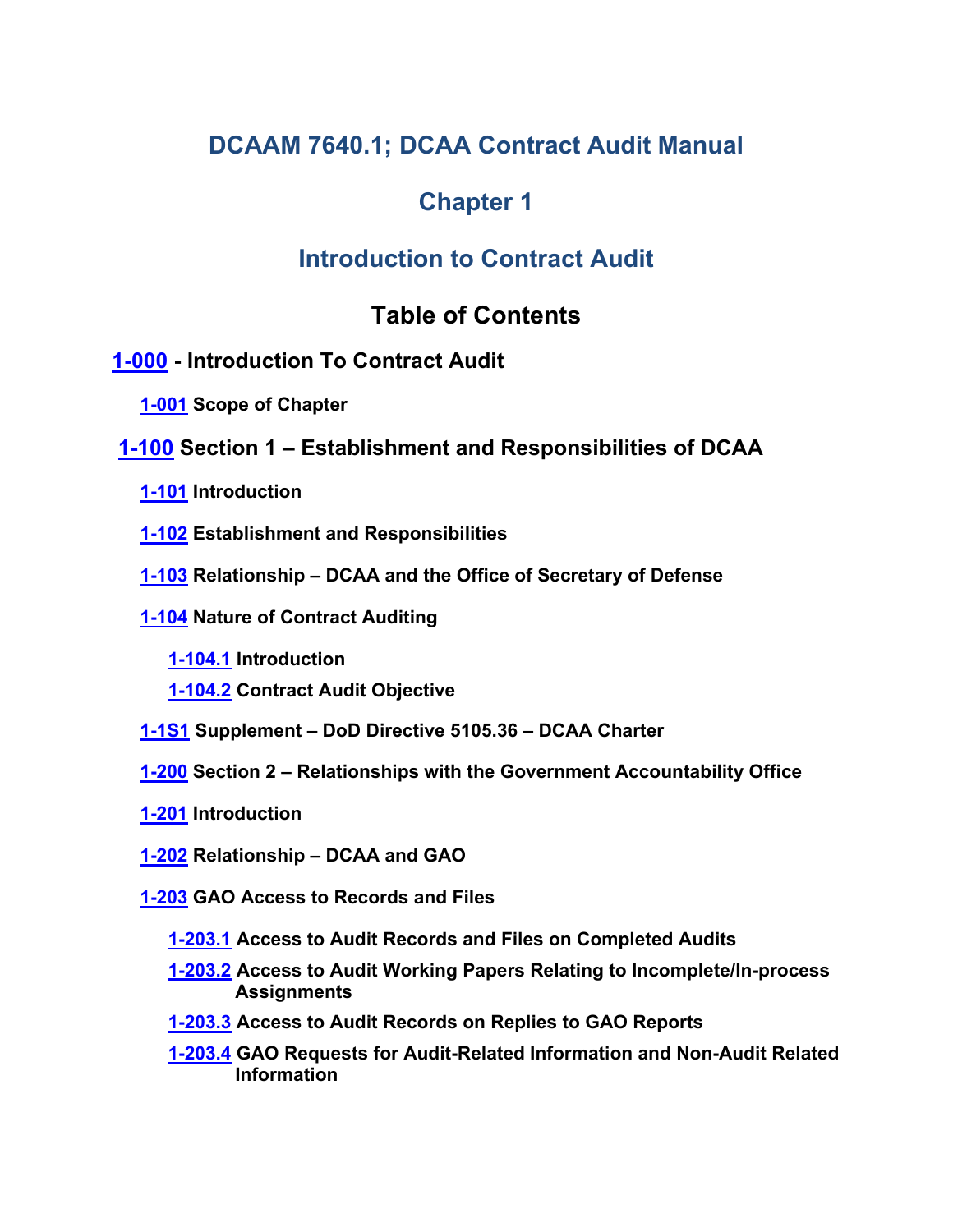# **DCAAM 7640.1; DCAA Contract Audit Manual**

# **Chapter 1**

# **Introduction to Contract Audit**

# <span id="page-0-16"></span><span id="page-0-14"></span><span id="page-0-10"></span><span id="page-0-9"></span><span id="page-0-8"></span><span id="page-0-6"></span><span id="page-0-5"></span><span id="page-0-4"></span><span id="page-0-2"></span><span id="page-0-1"></span><span id="page-0-0"></span>**Table of Contents**

## **[1-000](#page-5-0) - Introduction To Contract Audit**

- <span id="page-0-3"></span>**[1-001](#page-5-1) Scope of Chapter**
- <span id="page-0-17"></span><span id="page-0-15"></span><span id="page-0-13"></span><span id="page-0-12"></span><span id="page-0-11"></span><span id="page-0-7"></span>**[1-100](#page-5-2) Section 1 – Establishment and Responsibilities of DCAA**
	- **[1-101](#page-5-3) Introduction**
	- **[1-102](#page-5-4) Establishment and Responsibilities**
	- **[1-103](#page-5-5) Relationship – DCAA and the Office of Secretary of Defense**
	- **[1-104](#page-5-6) Nature of Contract Auditing**
		- **[1-104.1](#page-5-7) Introduction**
		- **[1-104.2](#page-6-0) Contract Audit Objective**
	- **[1-1S1](#page-8-0) Supplement – DoD Directive 5105.36 – DCAA Charter**
	- **[1-200](#page-8-1) Section 2 – Relationships with the Government Accountability Office**
	- **[1-201](#page-8-2) Introduction**
	- **[1-202](#page-8-3) Relationship – DCAA and GAO**
	- **[1-203](#page-8-4) GAO Access to Records and Files**
		- **[1-203.1](#page-9-0) Access to Audit Records and Files on Completed Audits**
		- **[1-203.2](#page-9-1) Access to Audit Working Papers Relating to Incomplete/In-process Assignments**
		- **[1-203.3](#page-10-0) Access to Audit Records on Replies to GAO Reports**
		- **[1-203.4](#page-10-1) GAO Requests for Audit-Related Information and Non-Audit Related Information**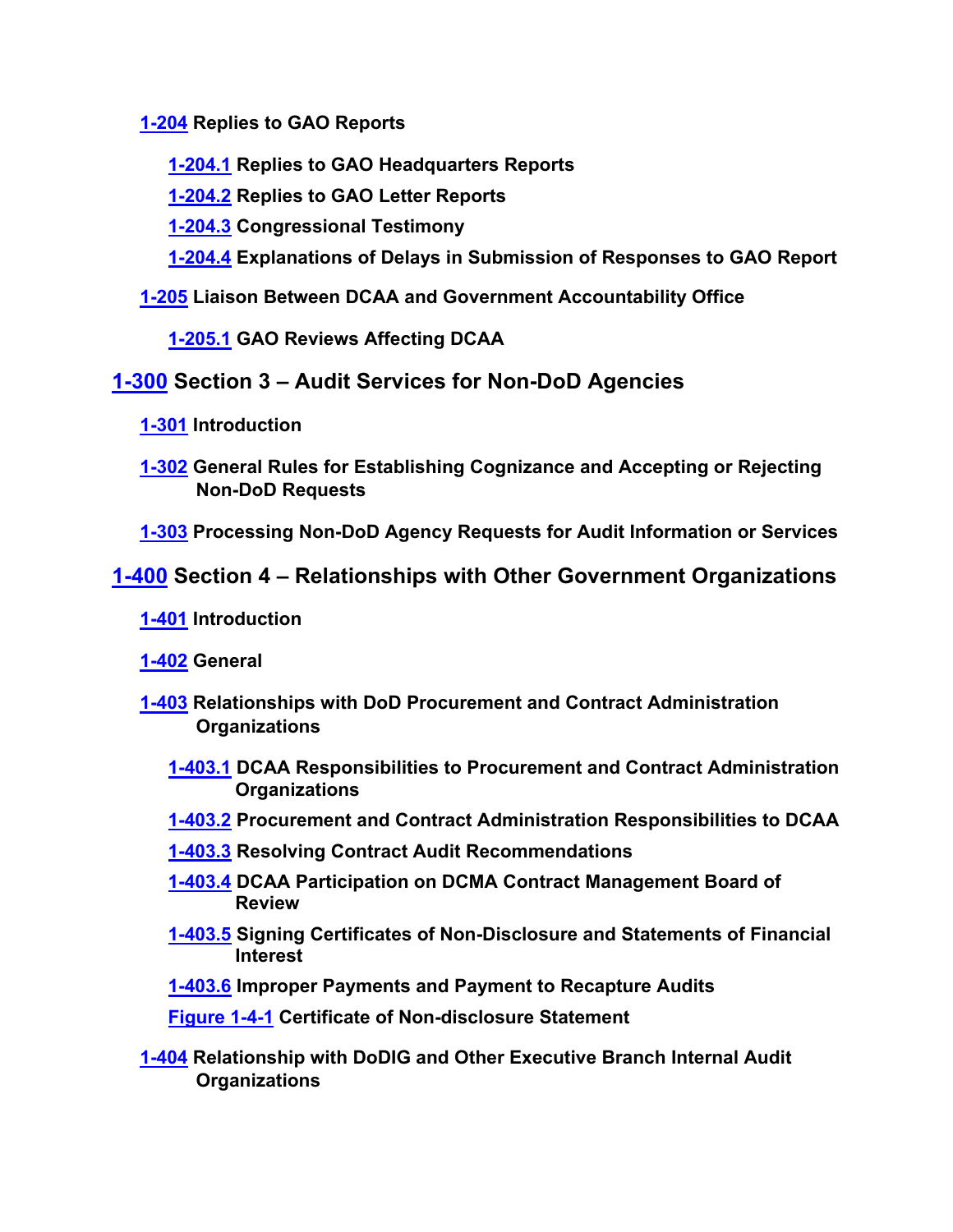**[1-204](#page-11-0) Replies to GAO Reports**

<span id="page-1-1"></span><span id="page-1-0"></span>**[1-204.1](#page-11-1) Replies to GAO Headquarters Reports**

<span id="page-1-2"></span>**[1-204.2](#page-12-0) Replies to GAO Letter Reports**

<span id="page-1-3"></span>**[1-204.3](#page-12-1) Congressional Testimony**

<span id="page-1-5"></span><span id="page-1-4"></span>**[1-204.4](#page-13-0) Explanations of Delays in Submission of Responses to GAO Report**

## **[1-205](#page-13-1) Liaison Between DCAA and Government Accountability Office**

<span id="page-1-10"></span><span id="page-1-8"></span><span id="page-1-7"></span><span id="page-1-6"></span>**[1-205.1](#page-13-2) GAO Reviews Affecting DCAA**

## **[1-300](#page-13-3) Section 3 – Audit Services for Non-DoD Agencies**

- **[1-301](#page-14-0) Introduction**
- <span id="page-1-9"></span>**[1-302](#page-14-1) General Rules for Establishing Cognizance and Accepting or Rejecting Non-DoD Requests**
- <span id="page-1-11"></span>**[1-303](#page-15-0) Processing Non-DoD Agency Requests for Audit Information or Services**

## **[1-400](#page-17-0) Section 4 – Relationships with Other Government Organizations**

- <span id="page-1-12"></span>**[1-401](#page-17-1) Introduction**
- <span id="page-1-13"></span>**[1-402](#page-17-2) General**
- <span id="page-1-15"></span><span id="page-1-14"></span>**[1-403](#page-18-0) Relationships with DoD Procurement and Contract Administration Organizations**
	- **[1-403.1](#page-18-1) DCAA Responsibilities to Procurement and Contract Administration Organizations**
	- **[1-403.2](#page-18-2) Procurement and Contract Administration Responsibilities to DCAA**
	- **[1-403.3](#page-19-0) Resolving Contract Audit Recommendations**
	- **[1-403.4](#page-20-0) DCAA Participation on DCMA Contract Management Board of Review**
	- **[1-403.5](#page-21-0) Signing Certificates of Non-Disclosure and Statements of Financial Interest**
	- **[1-403.6](#page-21-1) Improper Payments and Payment to Recapture Audits**

<span id="page-1-22"></span><span id="page-1-21"></span><span id="page-1-20"></span><span id="page-1-19"></span><span id="page-1-18"></span><span id="page-1-17"></span><span id="page-1-16"></span>**[Figure 1-4-1](#page-22-0) Certificate of Non-disclosure Statement**

**[1-404](#page-23-0) Relationship with DoDIG and Other Executive Branch Internal Audit Organizations**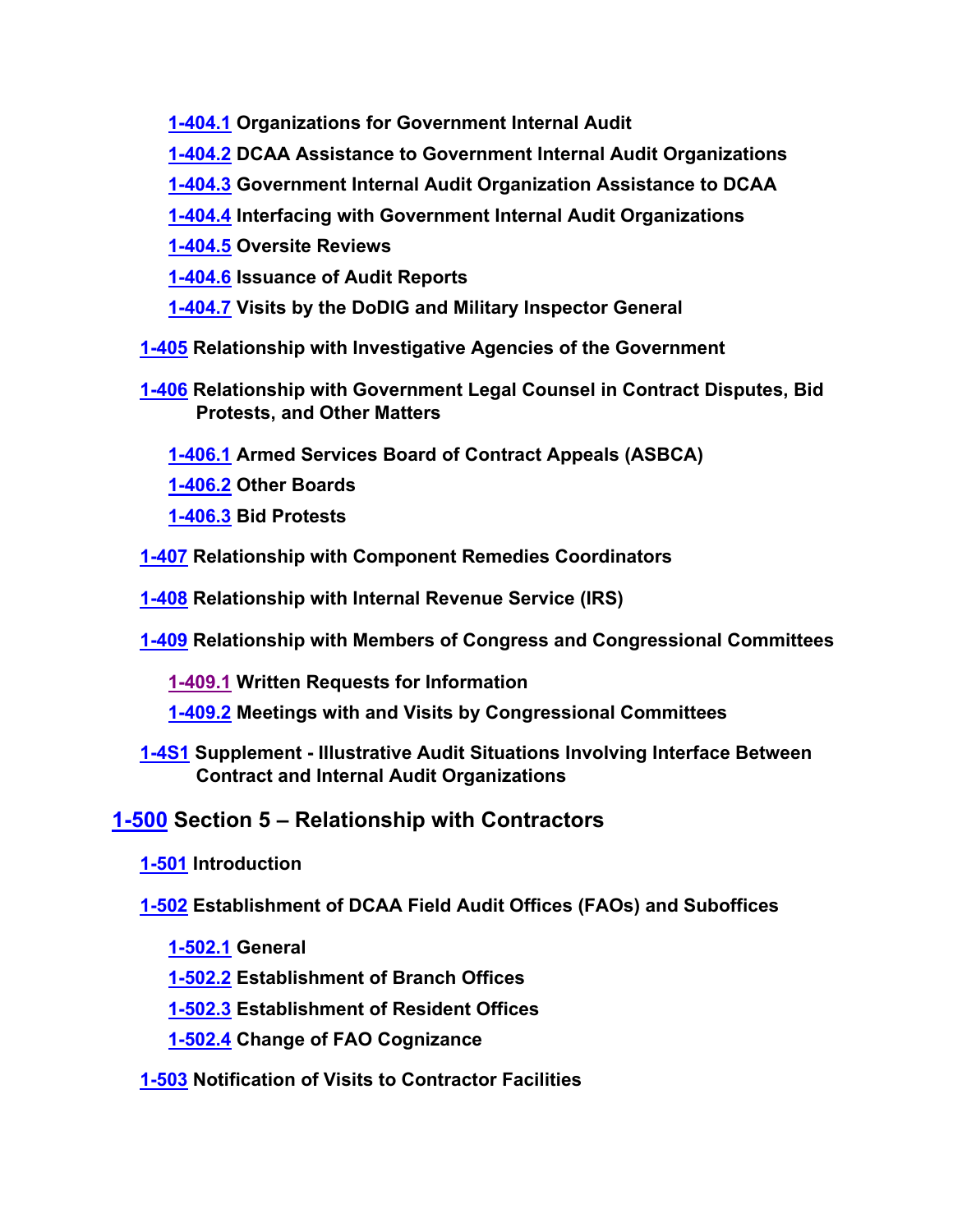<span id="page-2-0"></span>**[1-404.1](#page-23-1) Organizations for Government Internal Audit**

<span id="page-2-1"></span>**[1-404.2](#page-23-2) DCAA Assistance to Government Internal Audit Organizations**

- **[1-404.3](#page-24-0) Government Internal Audit Organization Assistance to DCAA**
- <span id="page-2-3"></span><span id="page-2-2"></span>**[1-404.4](#page-25-0) Interfacing with Government Internal Audit Organizations**

<span id="page-2-4"></span>**[1-404.5](#page-25-1) Oversite Reviews**

<span id="page-2-5"></span>**[1-404.6](#page-26-0) Issuance of Audit Reports**

<span id="page-2-7"></span><span id="page-2-6"></span>**[1-404.7](#page-26-1) Visits by the DoDIG and Military Inspector General**

**[1-405](#page-26-2) Relationship with Investigative Agencies of the Government**

**[1-406](#page-27-0) Relationship with Government Legal Counsel in Contract Disputes, Bid Protests, and Other Matters**

<span id="page-2-9"></span><span id="page-2-8"></span>**[1-406.1](#page-28-0) Armed Services Board of Contract Appeals (ASBCA)**

<span id="page-2-10"></span>**[1-406.2](#page-29-0) Other Boards**

- <span id="page-2-14"></span><span id="page-2-13"></span><span id="page-2-12"></span><span id="page-2-11"></span>**[1-406.3](#page-29-1) Bid Protests**
- **[1-407](#page-29-2) Relationship with Component Remedies Coordinators**
- **[1-408](#page-29-3) Relationship with Internal Revenue Service (IRS)**
- <span id="page-2-15"></span>**[1-409](#page-30-0) Relationship with Members of Congress and Congressional Committees**
	- **[1-409.1](#page-31-0) Written Requests for Information**
	- **[1-409.2](#page-32-0) Meetings with and Visits by Congressional Committees**
- <span id="page-2-17"></span><span id="page-2-16"></span>**[1-4S1](#page-32-1) Supplement - Illustrative Audit Situations Involving Interface Between Contract and Internal Audit Organizations**

## **[1-500](#page-34-0) Section 5 – Relationship with Contractors**

**[1-501](#page-34-1) Introduction**

**[1-502](#page-34-2) Establishment of DCAA Field Audit Offices (FAOs) and Suboffices**

- <span id="page-2-21"></span><span id="page-2-20"></span><span id="page-2-19"></span><span id="page-2-18"></span>**[1-502.1](#page-34-3) General**
- <span id="page-2-22"></span>**[1-502.2](#page-35-0) Establishment of Branch Offices**
- <span id="page-2-23"></span>**[1-502.3](#page-35-1) Establishment of Resident Offices**
- <span id="page-2-25"></span><span id="page-2-24"></span>**[1-502.4](#page-36-0) Change of FAO Cognizance**
- **[1-503](#page-39-0) Notification of Visits to Contractor Facilities**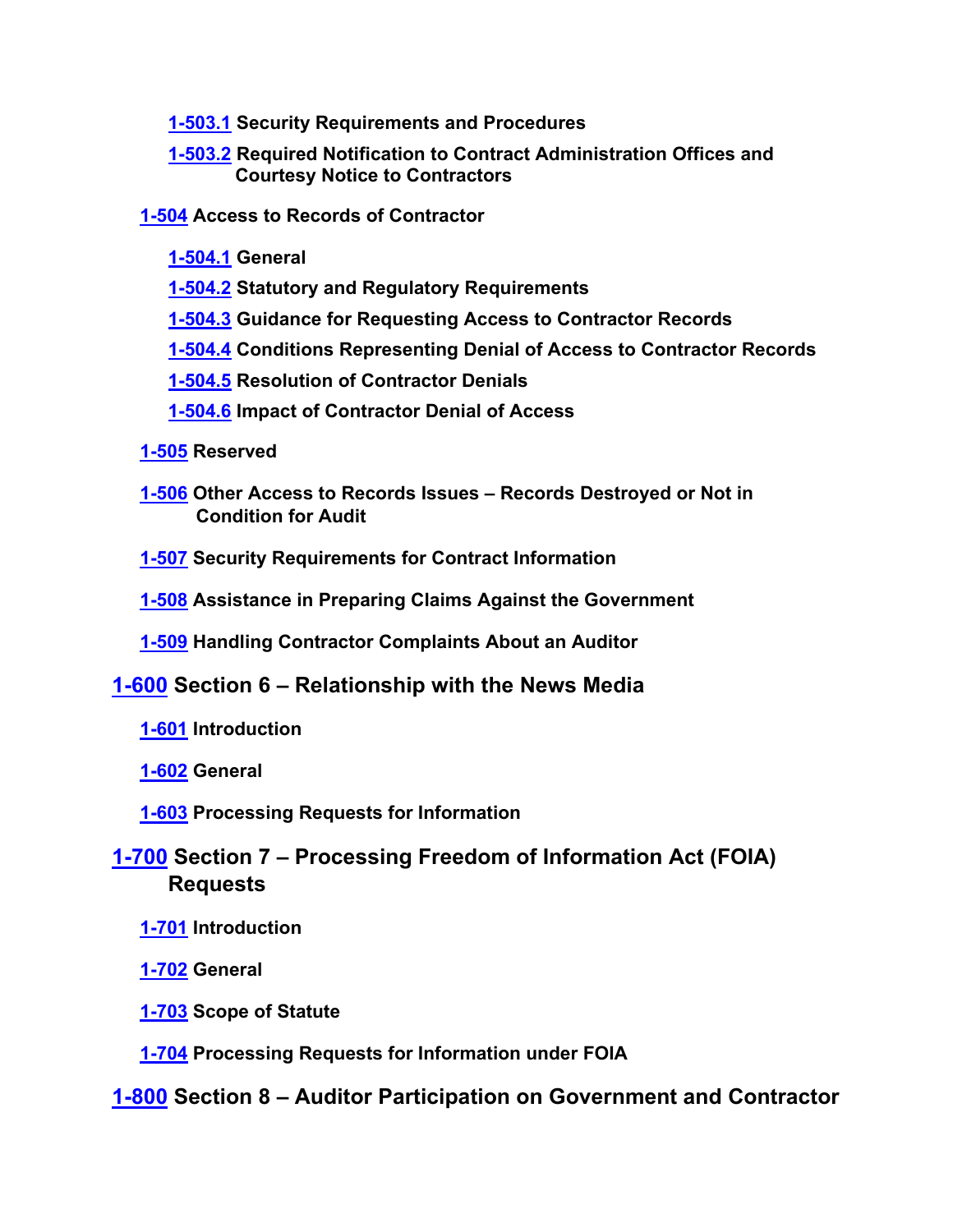- <span id="page-3-0"></span>**[1-503.1](#page-39-1) Security Requirements and Procedures**
- <span id="page-3-6"></span><span id="page-3-5"></span><span id="page-3-4"></span><span id="page-3-2"></span><span id="page-3-1"></span>**[1-503.2](#page-40-0) Required Notification to Contract Administration Offices and Courtesy Notice to Contractors**
- <span id="page-3-3"></span>**[1-504](#page-40-1) Access to Records of Contractor**
	- **[1-504.1](#page-40-2) General**
	- **[1-504.2](#page-42-0) Statutory and Regulatory Requirements**
	- **[1-504.3](#page-42-1) Guidance for Requesting Access to Contractor Records**
	- **[1-504.4](#page-44-0) Conditions Representing Denial of Access to Contractor Records**
	- **[1-504.5](#page-45-0) Resolution of Contractor Denials**
	- **[1-504.6](#page-46-0) Impact of Contractor Denial of Access**
- <span id="page-3-9"></span><span id="page-3-8"></span><span id="page-3-7"></span>**[1-505](#page-46-1) Reserved**
- <span id="page-3-10"></span>**[1-506](#page-46-2) Other Access to Records Issues – Records Destroyed or Not in Condition for Audit**
- <span id="page-3-11"></span>**[1-507](#page-47-0) Security Requirements for Contract Information**
- <span id="page-3-12"></span>**[1-508](#page-49-0) Assistance in Preparing Claims Against the Government**
- <span id="page-3-15"></span><span id="page-3-14"></span><span id="page-3-13"></span>**[1-509](#page-49-1) Handling Contractor Complaints About an Auditor**
- <span id="page-3-16"></span>**[1-600](#page-51-0) Section 6 – Relationship with the News Media**
	- **[1-601](#page-51-1) Introduction**
	- **[1-602](#page-51-2) General**
	- **[1-603](#page-51-3) Processing Requests for Information**

## **[1-700](#page-51-4) Section 7 – Processing Freedom of Information Act (FOIA) Requests**

- <span id="page-3-19"></span><span id="page-3-18"></span><span id="page-3-17"></span>**[1-701](#page-51-5) Introduction**
- <span id="page-3-20"></span>**[1-702](#page-51-6) General**
- <span id="page-3-21"></span>**[1-703](#page-51-7) Scope of Statute**
- <span id="page-3-22"></span>**[1-704](#page-52-0) Processing Requests for Information under FOIA**
- **[1-800](#page-52-1) Section 8 – Auditor Participation on Government and Contractor**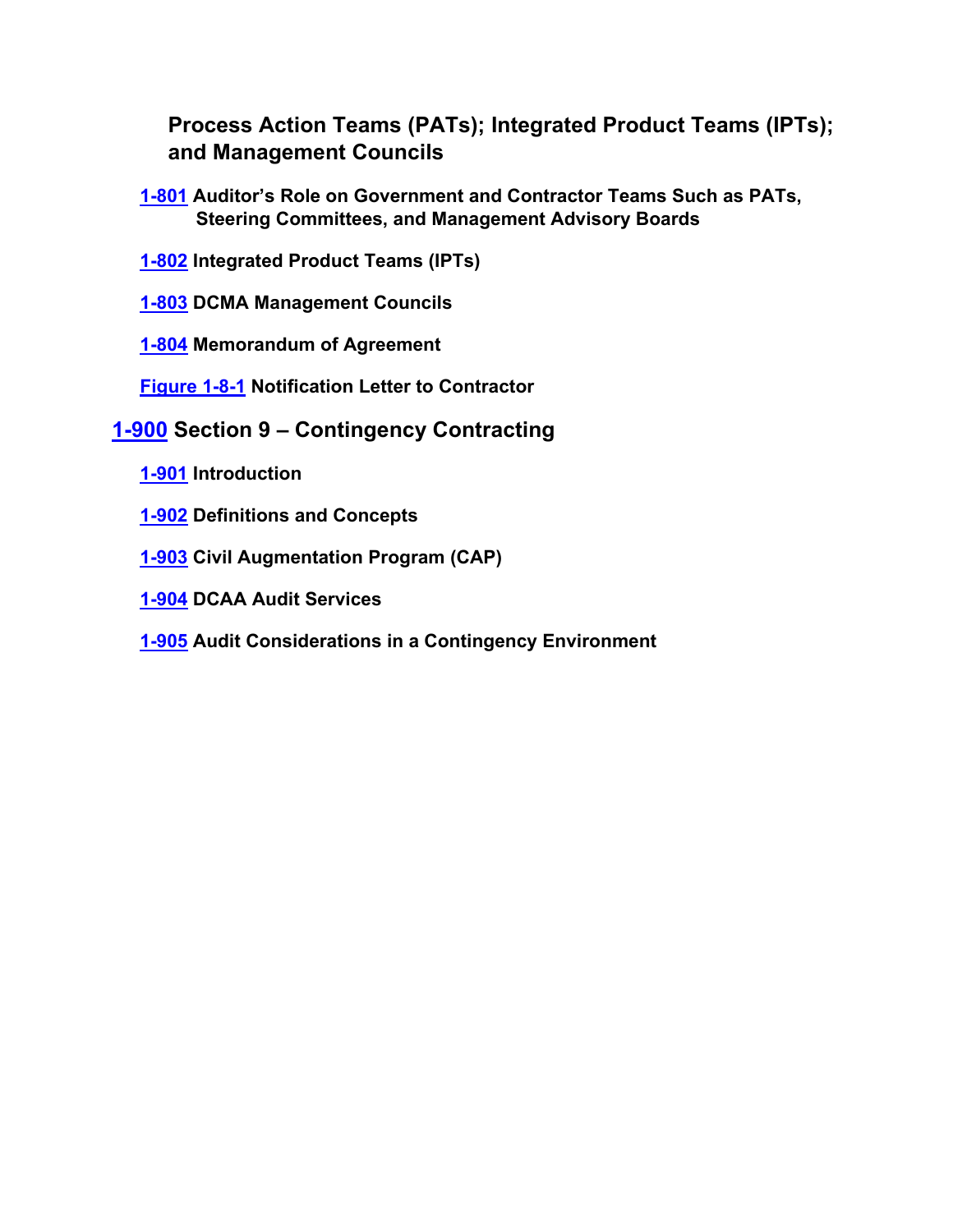<span id="page-4-1"></span><span id="page-4-0"></span>**Process Action Teams (PATs); Integrated Product Teams (IPTs); and Management Councils**

- **[1-801](#page-52-2) Auditor's Role on Government and Contractor Teams Such as PATs, Steering Committees, and Management Advisory Boards**
- <span id="page-4-2"></span>**[1-802](#page-53-0) Integrated Product Teams (IPTs)**

<span id="page-4-3"></span>**[1-803](#page-55-0) DCMA Management Councils** 

**[1-804](#page-56-0) Memorandum of Agreement**

<span id="page-4-10"></span><span id="page-4-8"></span><span id="page-4-7"></span><span id="page-4-6"></span><span id="page-4-5"></span><span id="page-4-4"></span>**[Figure 1-8-1](#page-56-1) Notification Letter to Contractor**

- <span id="page-4-9"></span>**[1-900](#page-57-0) Section 9 – Contingency Contracting**
	- **[1-901](#page-57-1) Introduction**
	- **[1-902](#page-57-2) Definitions and Concepts**
	- **[1-903](#page-57-3) Civil Augmentation Program (CAP)**
	- **[1-904](#page-58-0) DCAA Audit Services**
	- **[1-905](#page-58-1) Audit Considerations in a Contingency Environment**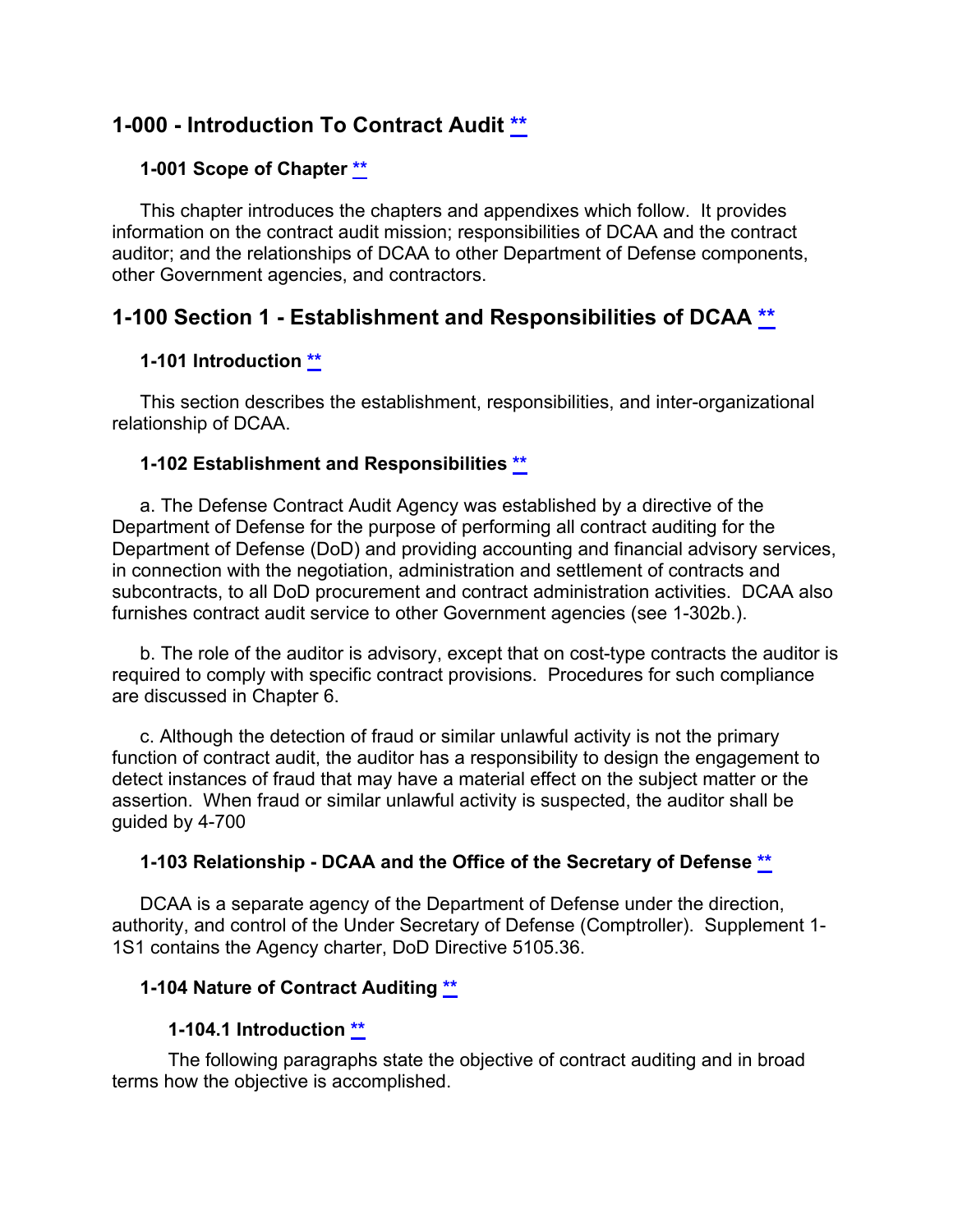## **1-000 - Introduction To Contract Audit [\\*\\*](#page-0-0)**

### <span id="page-5-1"></span><span id="page-5-0"></span>**1-001 Scope of Chapter [\\*\\*](#page-0-1)**

This chapter introduces the chapters and appendixes which follow. It provides information on the contract audit mission; responsibilities of DCAA and the contract auditor; and the relationships of DCAA to other Department of Defense components, other Government agencies, and contractors.

## **1-100 Section 1 - Establishment and Responsibilities of DCAA [\\*\\*](#page-0-2)**

### <span id="page-5-3"></span><span id="page-5-2"></span>**1-101 Introduction [\\*\\*](#page-0-3)**

This section describes the establishment, responsibilities, and inter-organizational relationship of DCAA.

#### <span id="page-5-4"></span>**1-102 Establishment and Responsibilities [\\*\\*](#page-0-4)**

a. The Defense Contract Audit Agency was established by a directive of the Department of Defense for the purpose of performing all contract auditing for the Department of Defense (DoD) and providing accounting and financial advisory services, in connection with the negotiation, administration and settlement of contracts and subcontracts, to all DoD procurement and contract administration activities. DCAA also furnishes contract audit service to other Government agencies (see 1-302b.).

b. The role of the auditor is advisory, except that on cost-type contracts the auditor is required to comply with specific contract provisions. Procedures for such compliance are discussed in Chapter 6.

c. Although the detection of fraud or similar unlawful activity is not the primary function of contract audit, the auditor has a responsibility to design the engagement to detect instances of fraud that may have a material effect on the subject matter or the assertion. When fraud or similar unlawful activity is suspected, the auditor shall be guided by 4-700

#### **1-103 Relationship - DCAA and the Office of the Secretary of Defense [\\*\\*](#page-0-5)**

DCAA is a separate agency of the Department of Defense under the direction, authority, and control of the Under Secretary of Defense (Comptroller). Supplement 1- 1S1 contains the Agency charter, DoD Directive 5105.36.

## **1-104 Nature of Contract Auditing [\\*\\*](#page-0-6)**

#### <span id="page-5-7"></span><span id="page-5-6"></span><span id="page-5-5"></span>**1-104.1 Introduction [\\*\\*](#page-0-7)**

The following paragraphs state the objective of contract auditing and in broad terms how the objective is accomplished.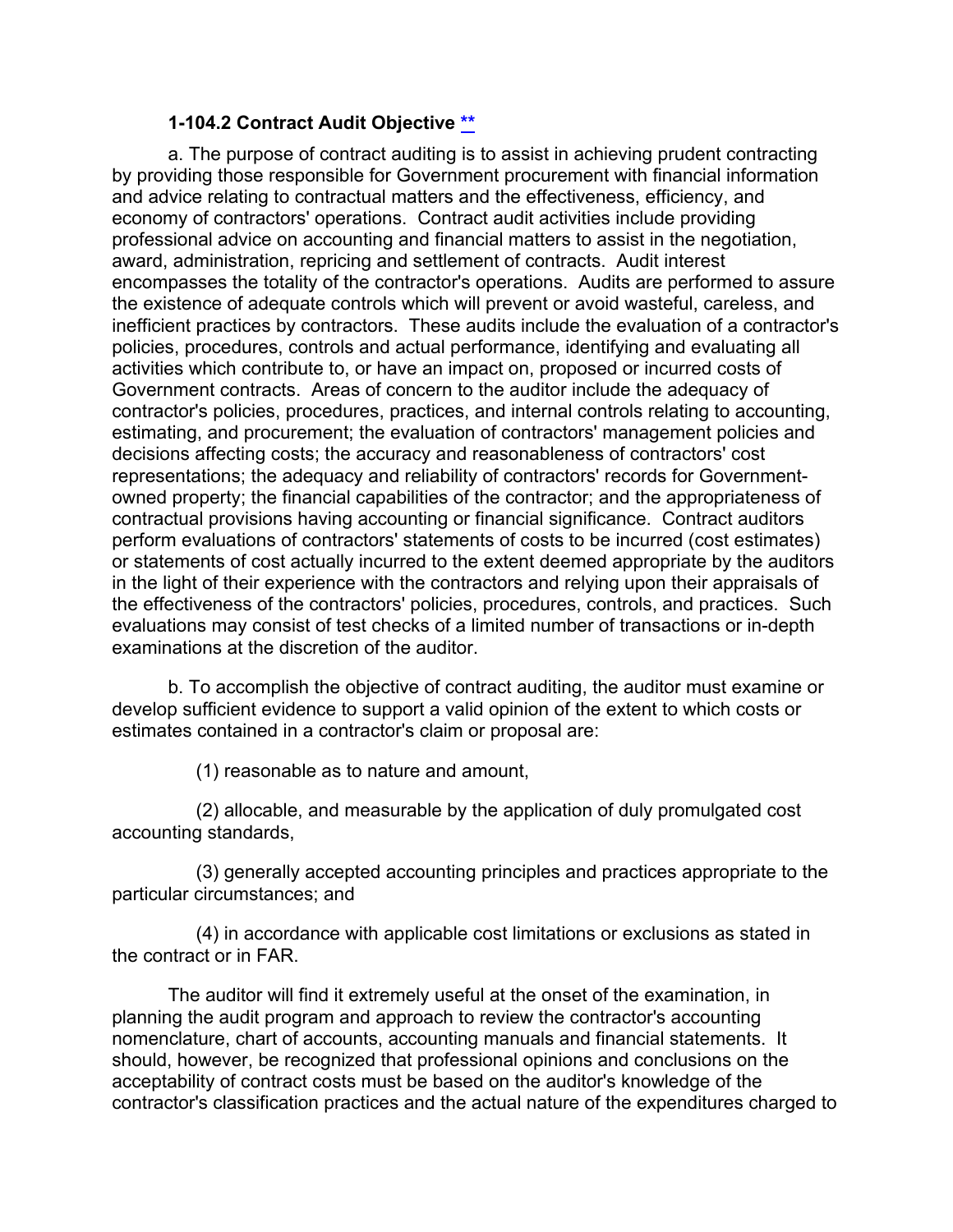### <span id="page-6-0"></span>**1-104.2 Contract Audit Objective [\\*\\*](#page-0-8)**

a. The purpose of contract auditing is to assist in achieving prudent contracting by providing those responsible for Government procurement with financial information and advice relating to contractual matters and the effectiveness, efficiency, and economy of contractors' operations. Contract audit activities include providing professional advice on accounting and financial matters to assist in the negotiation, award, administration, repricing and settlement of contracts. Audit interest encompasses the totality of the contractor's operations. Audits are performed to assure the existence of adequate controls which will prevent or avoid wasteful, careless, and inefficient practices by contractors. These audits include the evaluation of a contractor's policies, procedures, controls and actual performance, identifying and evaluating all activities which contribute to, or have an impact on, proposed or incurred costs of Government contracts. Areas of concern to the auditor include the adequacy of contractor's policies, procedures, practices, and internal controls relating to accounting, estimating, and procurement; the evaluation of contractors' management policies and decisions affecting costs; the accuracy and reasonableness of contractors' cost representations; the adequacy and reliability of contractors' records for Governmentowned property; the financial capabilities of the contractor; and the appropriateness of contractual provisions having accounting or financial significance. Contract auditors perform evaluations of contractors' statements of costs to be incurred (cost estimates) or statements of cost actually incurred to the extent deemed appropriate by the auditors in the light of their experience with the contractors and relying upon their appraisals of the effectiveness of the contractors' policies, procedures, controls, and practices. Such evaluations may consist of test checks of a limited number of transactions or in-depth examinations at the discretion of the auditor.

b. To accomplish the objective of contract auditing, the auditor must examine or develop sufficient evidence to support a valid opinion of the extent to which costs or estimates contained in a contractor's claim or proposal are:

(1) reasonable as to nature and amount,

(2) allocable, and measurable by the application of duly promulgated cost accounting standards,

(3) generally accepted accounting principles and practices appropriate to the particular circumstances; and

(4) in accordance with applicable cost limitations or exclusions as stated in the contract or in FAR.

The auditor will find it extremely useful at the onset of the examination, in planning the audit program and approach to review the contractor's accounting nomenclature, chart of accounts, accounting manuals and financial statements. It should, however, be recognized that professional opinions and conclusions on the acceptability of contract costs must be based on the auditor's knowledge of the contractor's classification practices and the actual nature of the expenditures charged to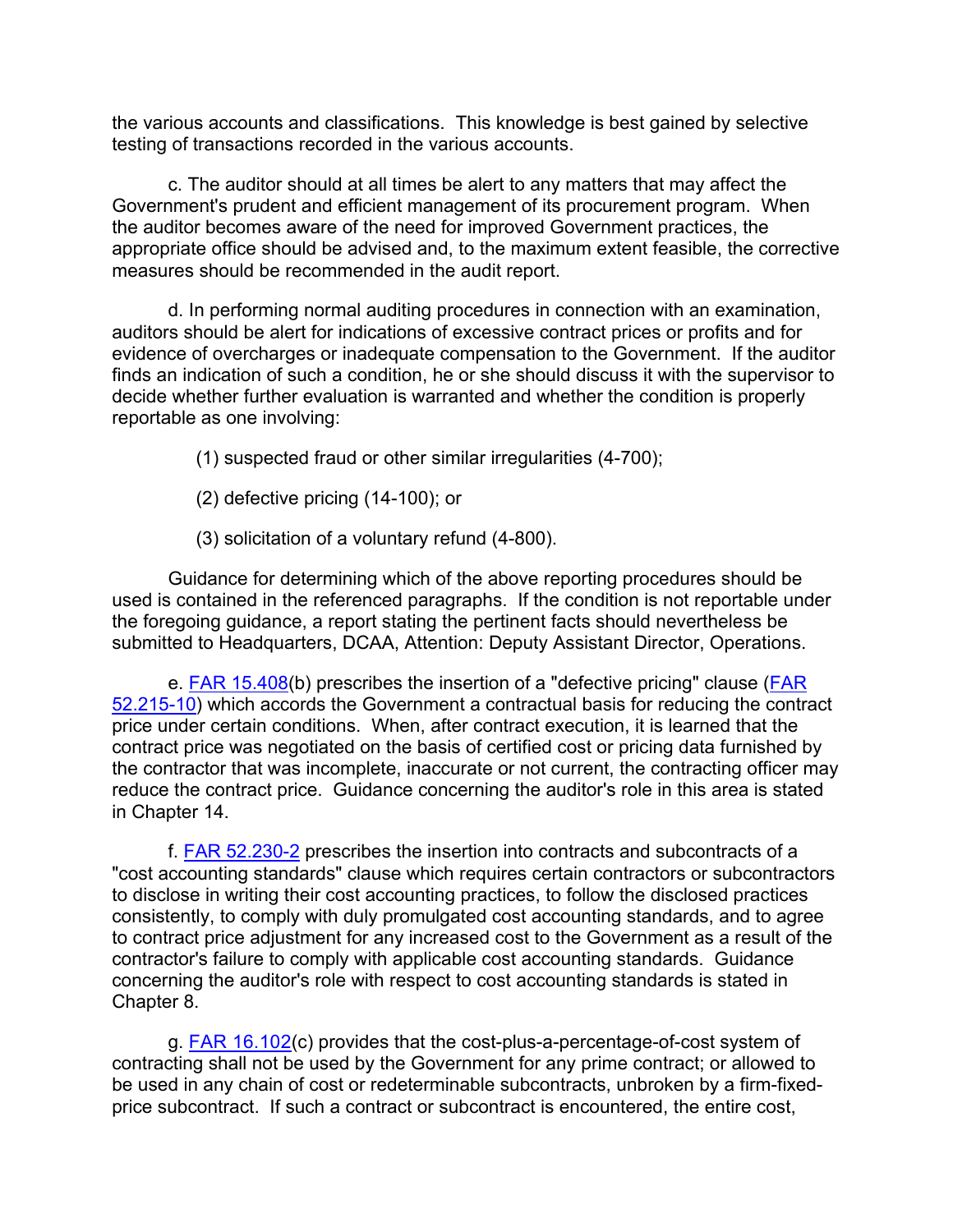the various accounts and classifications. This knowledge is best gained by selective testing of transactions recorded in the various accounts.

c. The auditor should at all times be alert to any matters that may affect the Government's prudent and efficient management of its procurement program. When the auditor becomes aware of the need for improved Government practices, the appropriate office should be advised and, to the maximum extent feasible, the corrective measures should be recommended in the audit report.

d. In performing normal auditing procedures in connection with an examination, auditors should be alert for indications of excessive contract prices or profits and for evidence of overcharges or inadequate compensation to the Government. If the auditor finds an indication of such a condition, he or she should discuss it with the supervisor to decide whether further evaluation is warranted and whether the condition is properly reportable as one involving:

(1) suspected fraud or other similar irregularities (4-700);

- (2) defective pricing (14-100); or
- (3) solicitation of a voluntary refund (4-800).

Guidance for determining which of the above reporting procedures should be used is contained in the referenced paragraphs. If the condition is not reportable under the foregoing guidance, a report stating the pertinent facts should nevertheless be submitted to Headquarters, DCAA, Attention: Deputy Assistant Director, Operations.

e.  $FAR$  15.408(b) prescribes the insertion of a "defective pricing" clause ( $FAR$ ) [52.215-10\)](http://www.ecfr.gov/cgi-bin/text-idx?SID=e5e2ba6b9bd51b95796ce24416ed86dc&mc=true&node=se48.2.52_1215_610&rgn=div8) which accords the Government a contractual basis for reducing the contract price under certain conditions. When, after contract execution, it is learned that the contract price was negotiated on the basis of certified cost or pricing data furnished by the contractor that was incomplete, inaccurate or not current, the contracting officer may reduce the contract price. Guidance concerning the auditor's role in this area is stated in Chapter 14.

f. [FAR 52.230-2](http://www.ecfr.gov/cgi-bin/text-idx?SID=5be93e0a2eb2ab6043ff96b23da74e5e&mc=true&node=se48.2.52_1230_62&rgn=div8) prescribes the insertion into contracts and subcontracts of a "cost accounting standards" clause which requires certain contractors or subcontractors to disclose in writing their cost accounting practices, to follow the disclosed practices consistently, to comply with duly promulgated cost accounting standards, and to agree to contract price adjustment for any increased cost to the Government as a result of the contractor's failure to comply with applicable cost accounting standards. Guidance concerning the auditor's role with respect to cost accounting standards is stated in Chapter 8.

g. **FAR 16.102(c)** provides that the cost-plus-a-percentage-of-cost system of contracting shall not be used by the Government for any prime contract; or allowed to be used in any chain of cost or redeterminable subcontracts, unbroken by a firm-fixedprice subcontract. If such a contract or subcontract is encountered, the entire cost,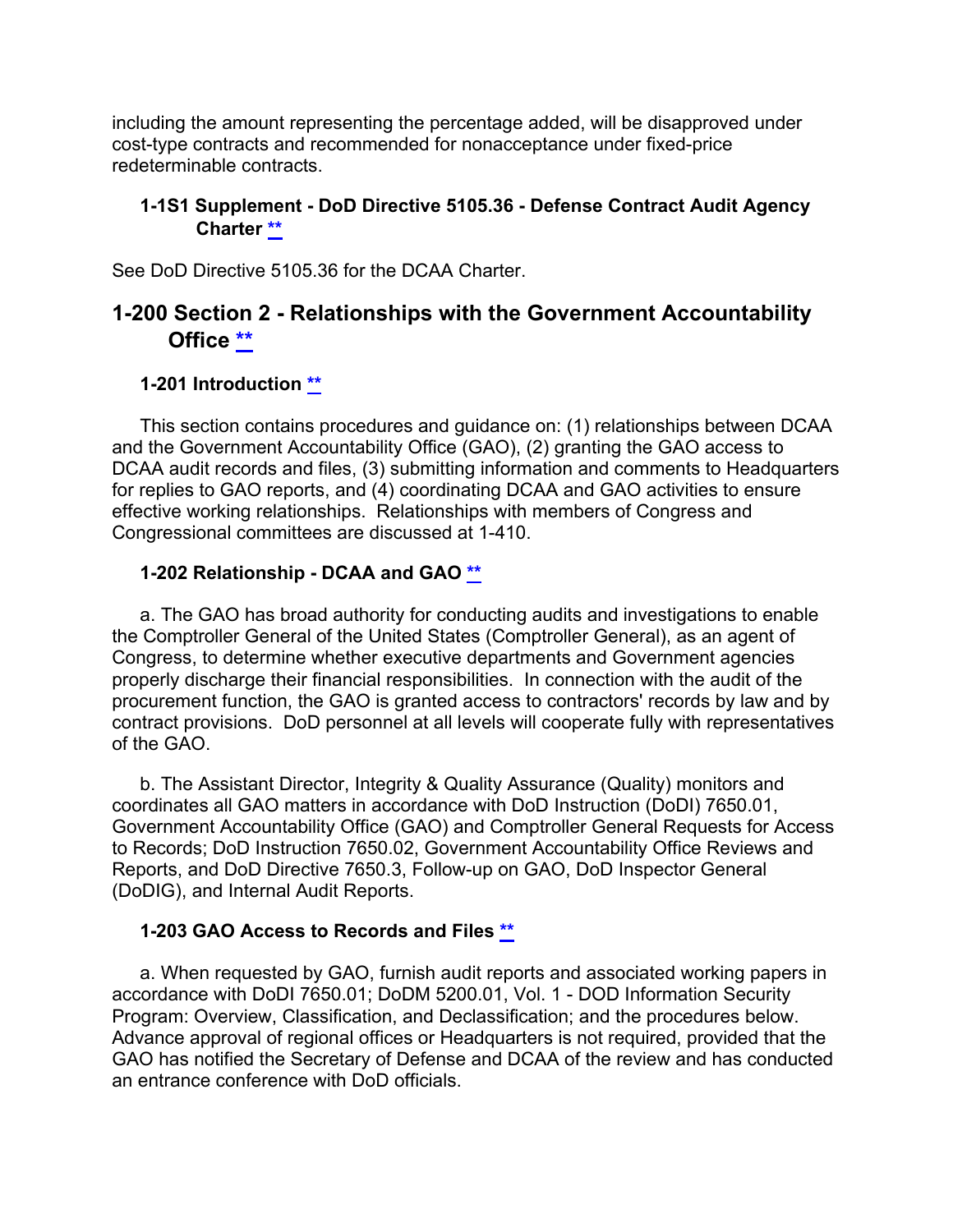including the amount representing the percentage added, will be disapproved under cost-type contracts and recommended for nonacceptance under fixed-price redeterminable contracts.

#### <span id="page-8-0"></span>**1-1S1 Supplement - DoD Directive 5105.36 - Defense Contract Audit Agency Charter [\\*\\*](#page-0-9)**

See DoD Directive 5105.36 for the DCAA Charter.

## **1-200 Section 2 - Relationships with the Government Accountability Office [\\*\\*](#page-0-10)**

### <span id="page-8-2"></span><span id="page-8-1"></span>**1-201 Introduction [\\*\\*](#page-0-11)**

This section contains procedures and guidance on: (1) relationships between DCAA and the Government Accountability Office (GAO), (2) granting the GAO access to DCAA audit records and files, (3) submitting information and comments to Headquarters for replies to GAO reports, and (4) coordinating DCAA and GAO activities to ensure effective working relationships. Relationships with members of Congress and Congressional committees are discussed at 1-410.

### <span id="page-8-3"></span>**1-202 Relationship - DCAA and GAO [\\*\\*](#page-0-12)**

a. The GAO has broad authority for conducting audits and investigations to enable the Comptroller General of the United States (Comptroller General), as an agent of Congress, to determine whether executive departments and Government agencies properly discharge their financial responsibilities. In connection with the audit of the procurement function, the GAO is granted access to contractors' records by law and by contract provisions. DoD personnel at all levels will cooperate fully with representatives of the GAO.

b. The Assistant Director, Integrity & Quality Assurance (Quality) monitors and coordinates all GAO matters in accordance with DoD Instruction (DoDI) 7650.01, Government Accountability Office (GAO) and Comptroller General Requests for Access to Records; DoD Instruction 7650.02, Government Accountability Office Reviews and Reports, and DoD Directive 7650.3, Follow-up on GAO, DoD Inspector General (DoDIG), and Internal Audit Reports.

#### <span id="page-8-4"></span>**1-203 GAO Access to Records and Files [\\*\\*](#page-0-13)**

a. When requested by GAO, furnish audit reports and associated working papers in accordance with DoDI 7650.01; DoDM 5200.01, Vol. 1 - DOD Information Security Program: Overview, Classification, and Declassification; and the procedures below. Advance approval of regional offices or Headquarters is not required, provided that the GAO has notified the Secretary of Defense and DCAA of the review and has conducted an entrance conference with DoD officials.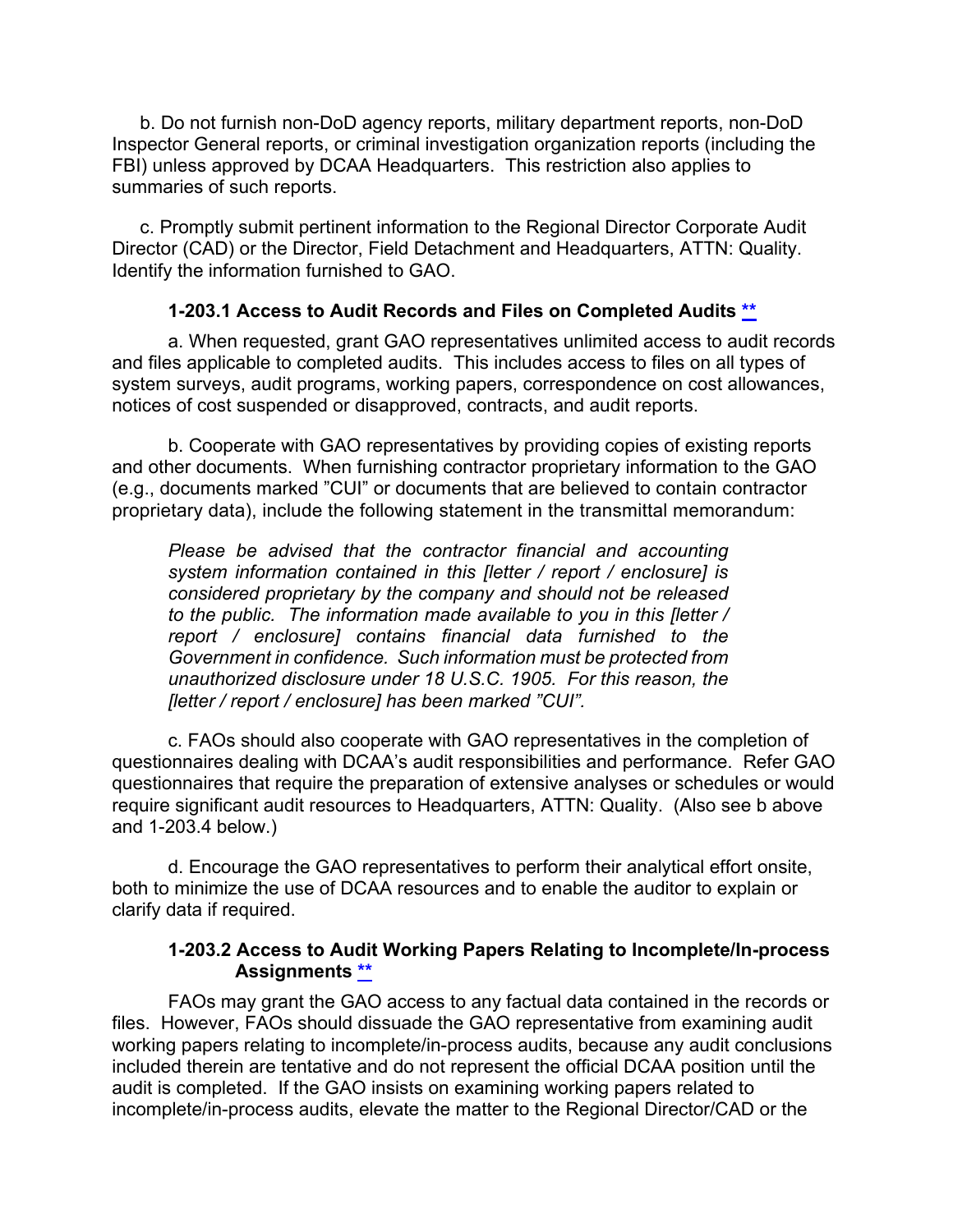b. Do not furnish non-DoD agency reports, military department reports, non-DoD Inspector General reports, or criminal investigation organization reports (including the FBI) unless approved by DCAA Headquarters. This restriction also applies to summaries of such reports.

c. Promptly submit pertinent information to the Regional Director Corporate Audit Director (CAD) or the Director, Field Detachment and Headquarters, ATTN: Quality. Identify the information furnished to GAO.

### <span id="page-9-0"></span>**1-203.1 Access to Audit Records and Files on Completed Audits [\\*\\*](#page-0-14)**

a. When requested, grant GAO representatives unlimited access to audit records and files applicable to completed audits. This includes access to files on all types of system surveys, audit programs, working papers, correspondence on cost allowances, notices of cost suspended or disapproved, contracts, and audit reports.

b. Cooperate with GAO representatives by providing copies of existing reports and other documents. When furnishing contractor proprietary information to the GAO (e.g., documents marked "CUI" or documents that are believed to contain contractor proprietary data), include the following statement in the transmittal memorandum:

*Please be advised that the contractor financial and accounting system information contained in this [letter / report / enclosure] is considered proprietary by the company and should not be released to the public. The information made available to you in this [letter / report / enclosure] contains financial data furnished to the Government in confidence. Such information must be protected from unauthorized disclosure under 18 U.S.C. 1905. For this reason, the [letter / report / enclosure] has been marked "CUI".*

c. FAOs should also cooperate with GAO representatives in the completion of questionnaires dealing with DCAA's audit responsibilities and performance. Refer GAO questionnaires that require the preparation of extensive analyses or schedules or would require significant audit resources to Headquarters, ATTN: Quality. (Also see b above and 1-203.4 below.)

d. Encourage the GAO representatives to perform their analytical effort onsite, both to minimize the use of DCAA resources and to enable the auditor to explain or clarify data if required.

#### <span id="page-9-1"></span>**1-203.2 Access to Audit Working Papers Relating to Incomplete/In-process Assignments [\\*\\*](#page-0-15)**

FAOs may grant the GAO access to any factual data contained in the records or files. However, FAOs should dissuade the GAO representative from examining audit working papers relating to incomplete/in-process audits, because any audit conclusions included therein are tentative and do not represent the official DCAA position until the audit is completed. If the GAO insists on examining working papers related to incomplete/in-process audits, elevate the matter to the Regional Director/CAD or the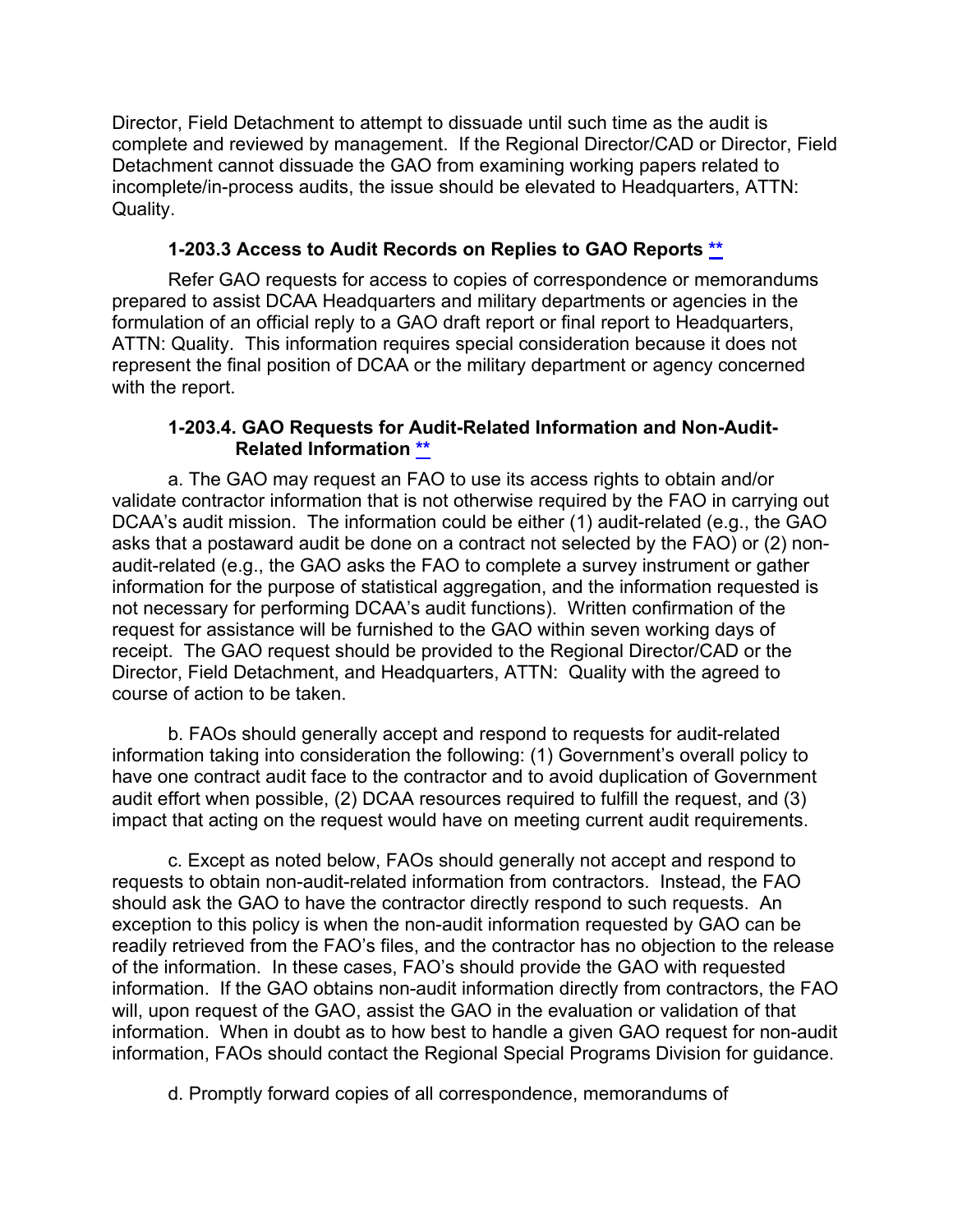Director, Field Detachment to attempt to dissuade until such time as the audit is complete and reviewed by management. If the Regional Director/CAD or Director, Field Detachment cannot dissuade the GAO from examining working papers related to incomplete/in-process audits, the issue should be elevated to Headquarters, ATTN: Quality.

## <span id="page-10-0"></span>**1-203.3 Access to Audit Records on Replies to GAO Reports [\\*\\*](#page-0-16)**

Refer GAO requests for access to copies of correspondence or memorandums prepared to assist DCAA Headquarters and military departments or agencies in the formulation of an official reply to a GAO draft report or final report to Headquarters, ATTN: Quality. This information requires special consideration because it does not represent the final position of DCAA or the military department or agency concerned with the report.

#### <span id="page-10-1"></span>**1-203.4. GAO Requests for Audit-Related Information and Non-Audit-Related Information [\\*\\*](#page-0-17)**

a. The GAO may request an FAO to use its access rights to obtain and/or validate contractor information that is not otherwise required by the FAO in carrying out DCAA's audit mission. The information could be either (1) audit-related (e.g., the GAO asks that a postaward audit be done on a contract not selected by the FAO) or (2) nonaudit-related (e.g., the GAO asks the FAO to complete a survey instrument or gather information for the purpose of statistical aggregation, and the information requested is not necessary for performing DCAA's audit functions). Written confirmation of the request for assistance will be furnished to the GAO within seven working days of receipt. The GAO request should be provided to the Regional Director/CAD or the Director, Field Detachment, and Headquarters, ATTN: Quality with the agreed to course of action to be taken.

b. FAOs should generally accept and respond to requests for audit-related information taking into consideration the following: (1) Government's overall policy to have one contract audit face to the contractor and to avoid duplication of Government audit effort when possible, (2) DCAA resources required to fulfill the request, and (3) impact that acting on the request would have on meeting current audit requirements.

c. Except as noted below, FAOs should generally not accept and respond to requests to obtain non-audit-related information from contractors. Instead, the FAO should ask the GAO to have the contractor directly respond to such requests. An exception to this policy is when the non-audit information requested by GAO can be readily retrieved from the FAO's files, and the contractor has no objection to the release of the information. In these cases, FAO's should provide the GAO with requested information. If the GAO obtains non-audit information directly from contractors, the FAO will, upon request of the GAO, assist the GAO in the evaluation or validation of that information. When in doubt as to how best to handle a given GAO request for non-audit information, FAOs should contact the Regional Special Programs Division for guidance.

d. Promptly forward copies of all correspondence, memorandums of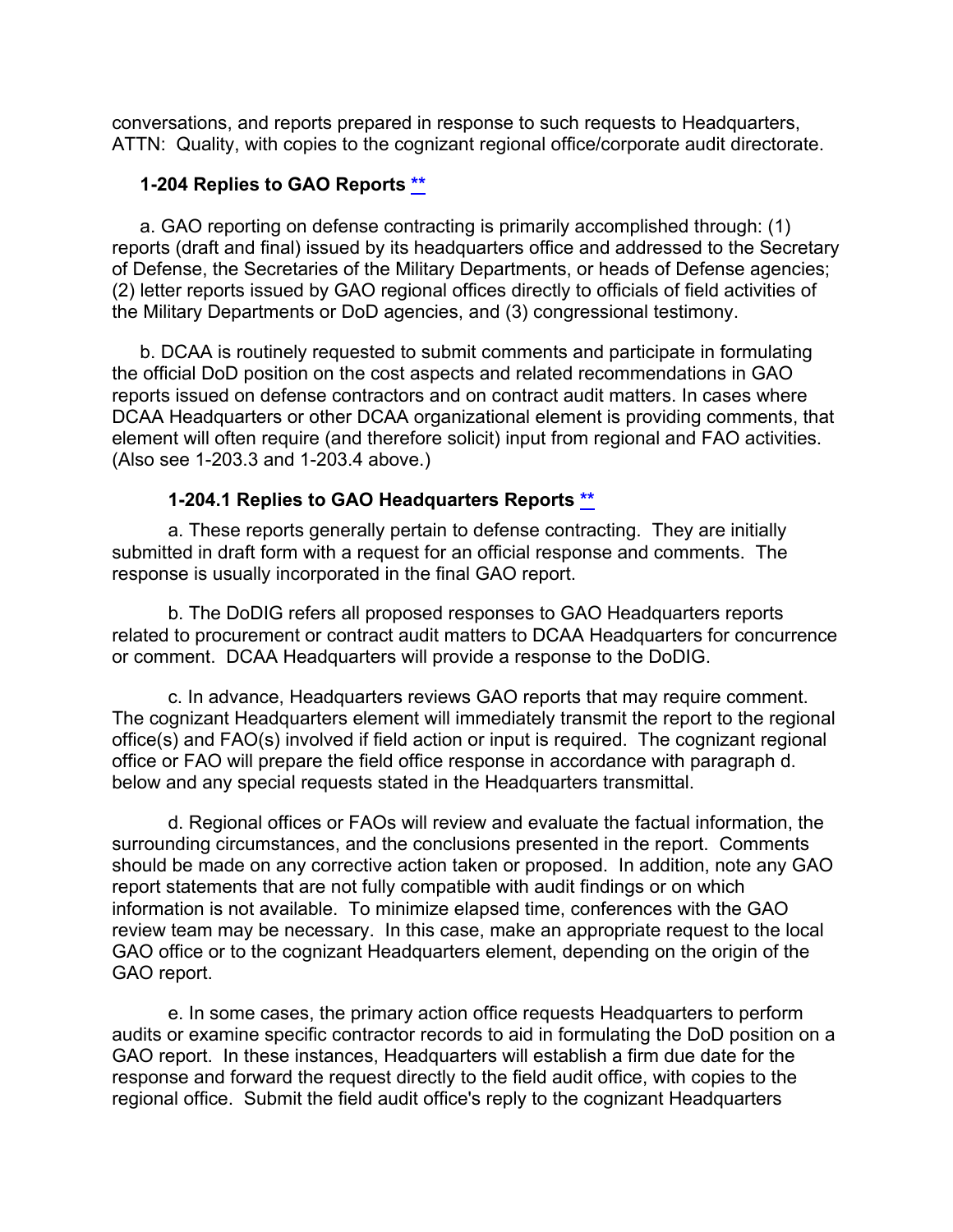conversations, and reports prepared in response to such requests to Headquarters, ATTN: Quality, with copies to the cognizant regional office/corporate audit directorate.

#### <span id="page-11-0"></span>**1-204 Replies to GAO Reports [\\*\\*](#page-1-0)**

a. GAO reporting on defense contracting is primarily accomplished through: (1) reports (draft and final) issued by its headquarters office and addressed to the Secretary of Defense, the Secretaries of the Military Departments, or heads of Defense agencies; (2) letter reports issued by GAO regional offices directly to officials of field activities of the Military Departments or DoD agencies, and (3) congressional testimony.

b. DCAA is routinely requested to submit comments and participate in formulating the official DoD position on the cost aspects and related recommendations in GAO reports issued on defense contractors and on contract audit matters. In cases where DCAA Headquarters or other DCAA organizational element is providing comments, that element will often require (and therefore solicit) input from regional and FAO activities. (Also see 1-203.3 and 1-203.4 above.)

### <span id="page-11-1"></span>**1-204.1 Replies to GAO Headquarters Reports [\\*\\*](#page-1-1)**

a. These reports generally pertain to defense contracting. They are initially submitted in draft form with a request for an official response and comments. The response is usually incorporated in the final GAO report.

b. The DoDIG refers all proposed responses to GAO Headquarters reports related to procurement or contract audit matters to DCAA Headquarters for concurrence or comment. DCAA Headquarters will provide a response to the DoDIG.

c. In advance, Headquarters reviews GAO reports that may require comment. The cognizant Headquarters element will immediately transmit the report to the regional office(s) and FAO(s) involved if field action or input is required. The cognizant regional office or FAO will prepare the field office response in accordance with paragraph d. below and any special requests stated in the Headquarters transmittal.

d. Regional offices or FAOs will review and evaluate the factual information, the surrounding circumstances, and the conclusions presented in the report. Comments should be made on any corrective action taken or proposed. In addition, note any GAO report statements that are not fully compatible with audit findings or on which information is not available. To minimize elapsed time, conferences with the GAO review team may be necessary. In this case, make an appropriate request to the local GAO office or to the cognizant Headquarters element, depending on the origin of the GAO report.

e. In some cases, the primary action office requests Headquarters to perform audits or examine specific contractor records to aid in formulating the DoD position on a GAO report. In these instances, Headquarters will establish a firm due date for the response and forward the request directly to the field audit office, with copies to the regional office. Submit the field audit office's reply to the cognizant Headquarters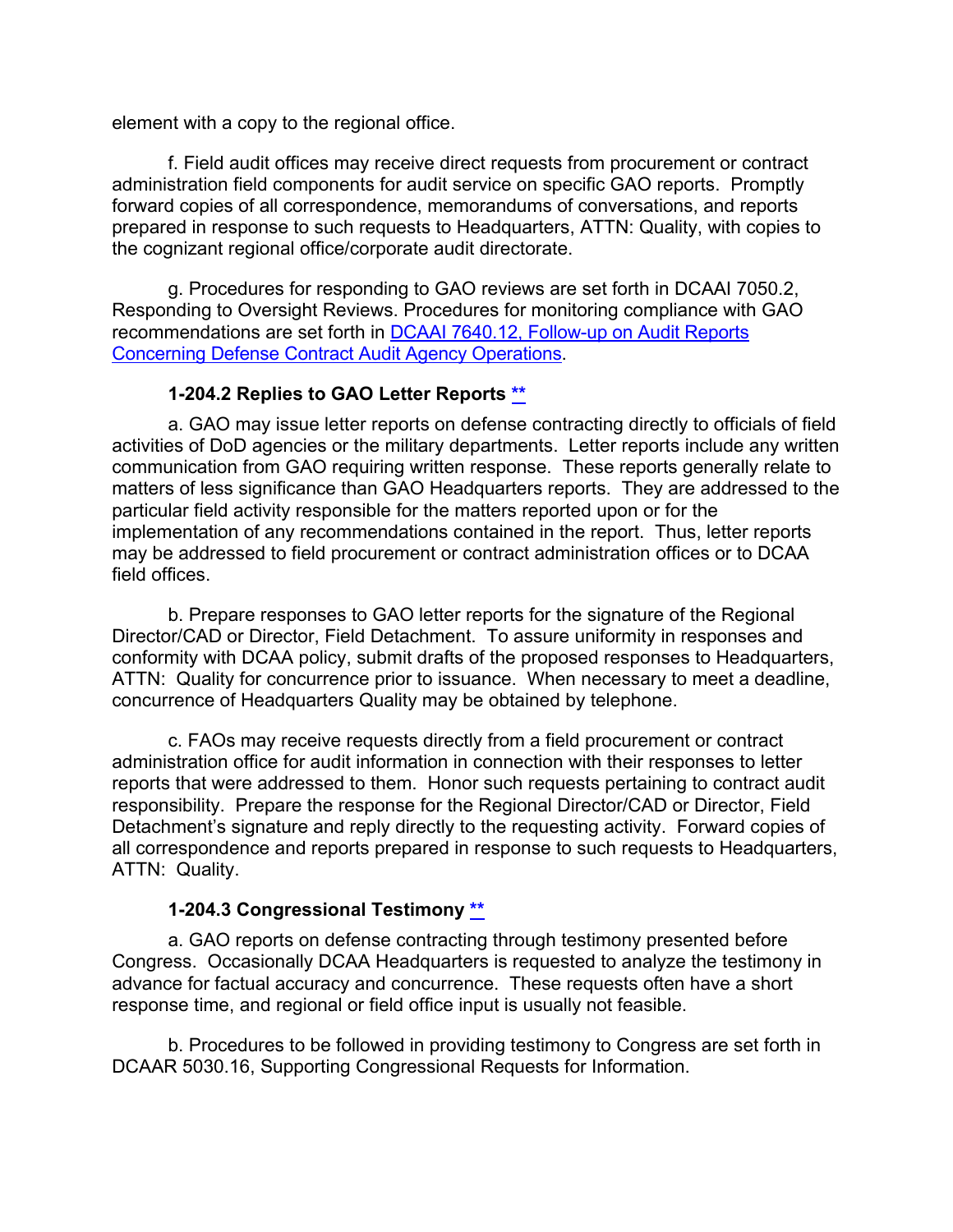element with a copy to the regional office.

f. Field audit offices may receive direct requests from procurement or contract administration field components for audit service on specific GAO reports. Promptly forward copies of all correspondence, memorandums of conversations, and reports prepared in response to such requests to Headquarters, ATTN: Quality, with copies to the cognizant regional office/corporate audit directorate.

g. Procedures for responding to GAO reviews are set forth in DCAAI 7050.2, Responding to Oversight Reviews. Procedures for monitoring compliance with GAO recommendations are set forth in DCAAI [7640.12, Follow-up on Audit Reports](https://sharepoint.dcaaintra.mil/headquarters/resources/CM/CMC/Publications/Publications/DCAAI%207640.12.pdf)  [Concerning Defense Contract Audit Agency Operations.](https://sharepoint.dcaaintra.mil/headquarters/resources/CM/CMC/Publications/Publications/DCAAI%207640.12.pdf)

### <span id="page-12-0"></span>**1-204.2 Replies to GAO Letter Reports [\\*\\*](#page-1-2)**

a. GAO may issue letter reports on defense contracting directly to officials of field activities of DoD agencies or the military departments. Letter reports include any written communication from GAO requiring written response. These reports generally relate to matters of less significance than GAO Headquarters reports. They are addressed to the particular field activity responsible for the matters reported upon or for the implementation of any recommendations contained in the report. Thus, letter reports may be addressed to field procurement or contract administration offices or to DCAA field offices.

b. Prepare responses to GAO letter reports for the signature of the Regional Director/CAD or Director, Field Detachment. To assure uniformity in responses and conformity with DCAA policy, submit drafts of the proposed responses to Headquarters, ATTN: Quality for concurrence prior to issuance. When necessary to meet a deadline, concurrence of Headquarters Quality may be obtained by telephone.

c. FAOs may receive requests directly from a field procurement or contract administration office for audit information in connection with their responses to letter reports that were addressed to them. Honor such requests pertaining to contract audit responsibility. Prepare the response for the Regional Director/CAD or Director, Field Detachment's signature and reply directly to the requesting activity. Forward copies of all correspondence and reports prepared in response to such requests to Headquarters, ATTN: Quality.

#### <span id="page-12-1"></span>**1-204.3 Congressional Testimony [\\*\\*](#page-1-3)**

a. GAO reports on defense contracting through testimony presented before Congress. Occasionally DCAA Headquarters is requested to analyze the testimony in advance for factual accuracy and concurrence. These requests often have a short response time, and regional or field office input is usually not feasible.

b. Procedures to be followed in providing testimony to Congress are set forth in DCAAR 5030.16, Supporting Congressional Requests for Information.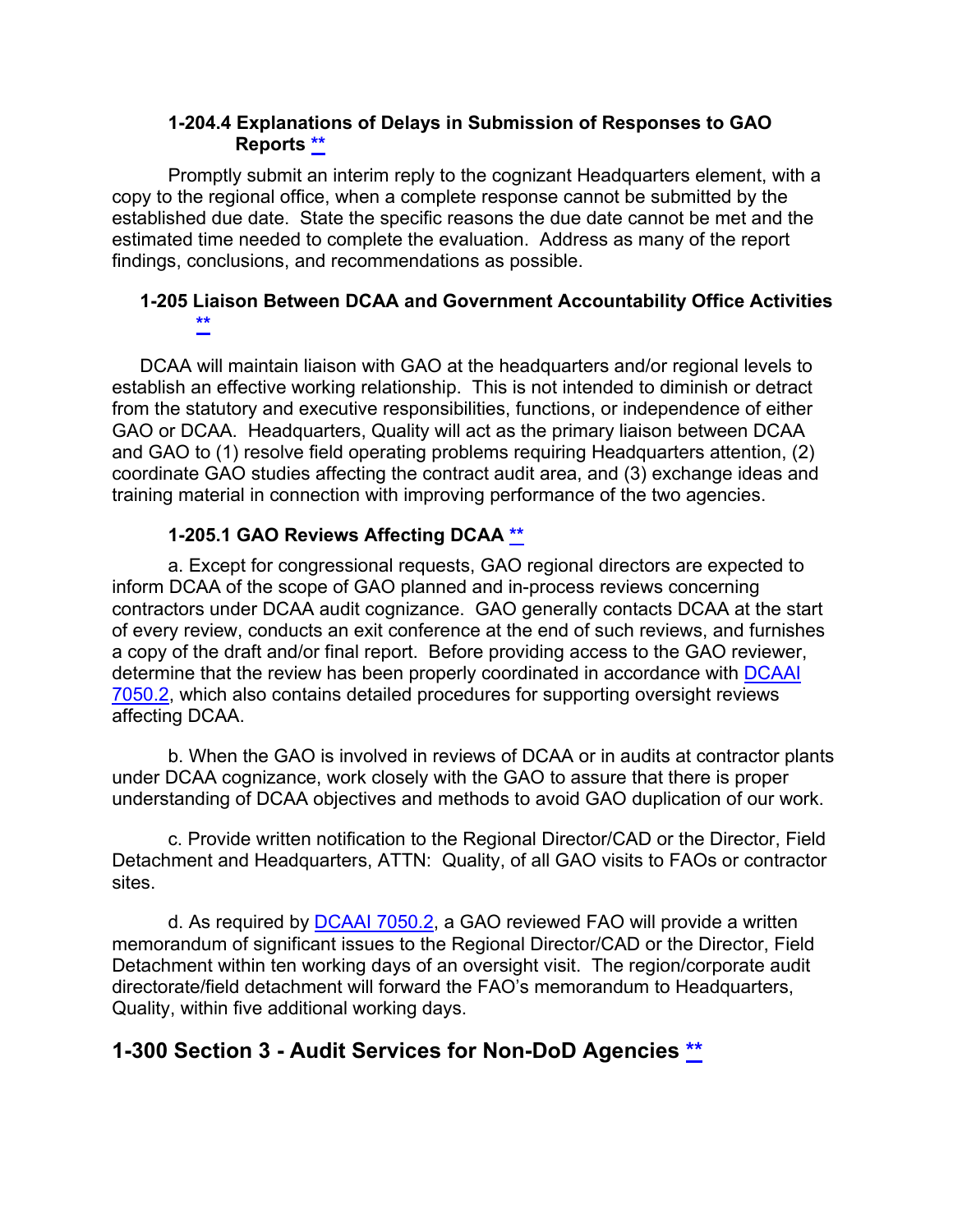### <span id="page-13-1"></span><span id="page-13-0"></span>**1-204.4 Explanations of Delays in Submission of Responses to GAO Reports [\\*\\*](#page-1-4)**

Promptly submit an interim reply to the cognizant Headquarters element, with a copy to the regional office, when a complete response cannot be submitted by the established due date. State the specific reasons the due date cannot be met and the estimated time needed to complete the evaluation. Address as many of the report findings, conclusions, and recommendations as possible.

## **1-205 Liaison Between DCAA and Government Accountability Office Activities [\\*\\*](#page-1-5)**

DCAA will maintain liaison with GAO at the headquarters and/or regional levels to establish an effective working relationship. This is not intended to diminish or detract from the statutory and executive responsibilities, functions, or independence of either GAO or DCAA. Headquarters, Quality will act as the primary liaison between DCAA and GAO to (1) resolve field operating problems requiring Headquarters attention, (2) coordinate GAO studies affecting the contract audit area, and (3) exchange ideas and training material in connection with improving performance of the two agencies.

## <span id="page-13-2"></span>**1-205.1 GAO Reviews Affecting DCAA [\\*\\*](#page-1-6)**

a. Except for congressional requests, GAO regional directors are expected to inform DCAA of the scope of GAO planned and in-process reviews concerning contractors under DCAA audit cognizance. GAO generally contacts DCAA at the start of every review, conducts an exit conference at the end of such reviews, and furnishes a copy of the draft and/or final report. Before providing access to the GAO reviewer, determine that the review has been properly coordinated in accordance with [DCAAI](https://sharepoint.dcaaintra.mil/headquarters/resources/CM/CMC/Publications/Publications/DCAAI%207050.2.pdf)  [7050.2,](https://sharepoint.dcaaintra.mil/headquarters/resources/CM/CMC/Publications/Publications/DCAAI%207050.2.pdf) which also contains detailed procedures for supporting oversight reviews affecting DCAA.

b. When the GAO is involved in reviews of DCAA or in audits at contractor plants under DCAA cognizance, work closely with the GAO to assure that there is proper understanding of DCAA objectives and methods to avoid GAO duplication of our work.

c. Provide written notification to the Regional Director/CAD or the Director, Field Detachment and Headquarters, ATTN: Quality, of all GAO visits to FAOs or contractor sites.

d. As required by [DCAAI 7050.2,](https://sharepoint.dcaaintra.mil/headquarters/resources/CM/CMC/Publications/Publications/DCAAI%207050.2.pdf) a GAO reviewed FAO will provide a written memorandum of significant issues to the Regional Director/CAD or the Director, Field Detachment within ten working days of an oversight visit. The region/corporate audit directorate/field detachment will forward the FAO's memorandum to Headquarters, Quality, within five additional working days.

## <span id="page-13-3"></span>**1-300 Section 3 - Audit Services for Non-DoD Agencies [\\*\\*](#page-1-7)**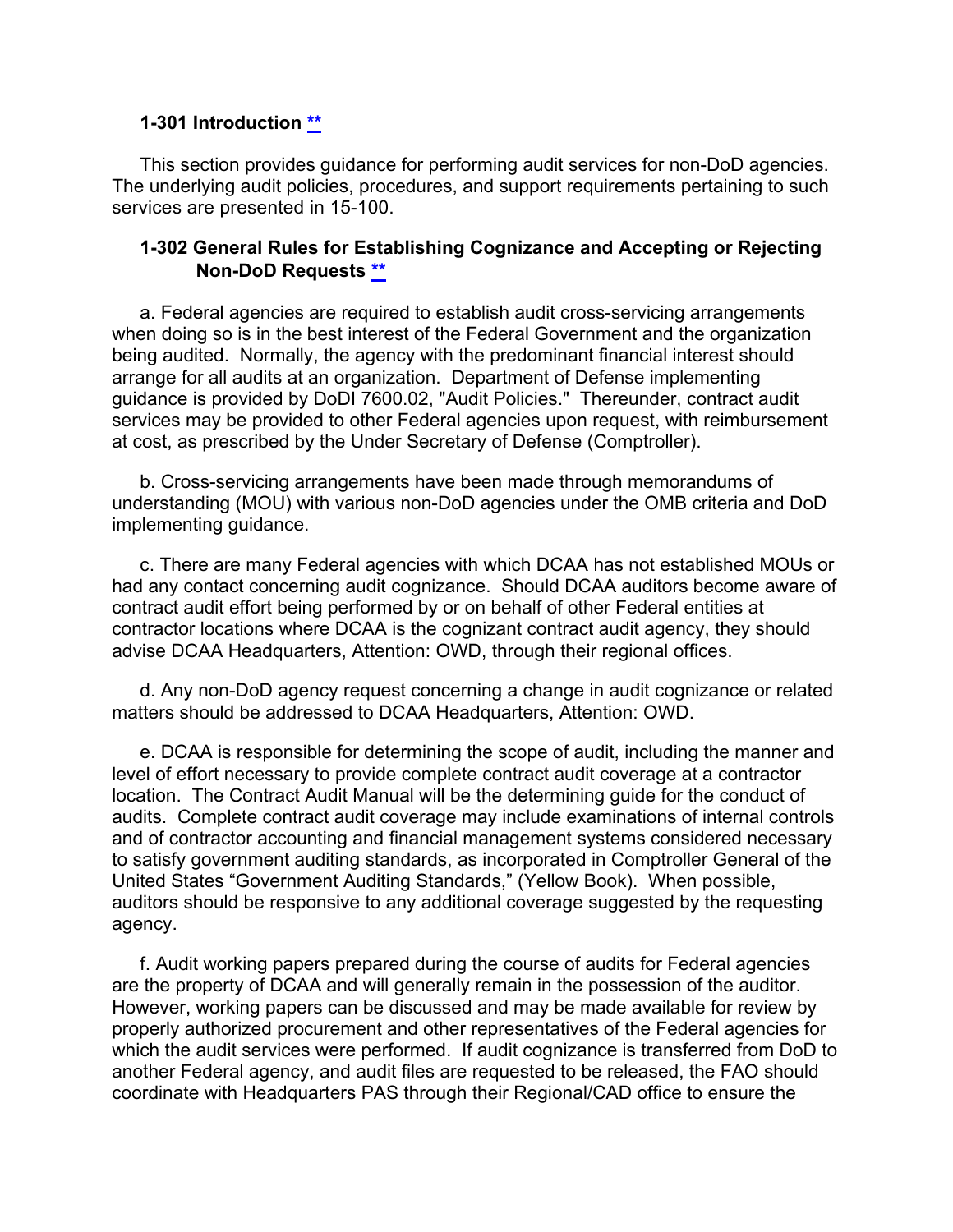#### <span id="page-14-0"></span>**1-301 Introduction [\\*\\*](#page-1-8)**

This section provides guidance for performing audit services for non-DoD agencies. The underlying audit policies, procedures, and support requirements pertaining to such services are presented in 15-100.

#### <span id="page-14-1"></span>**1-302 General Rules for Establishing Cognizance and Accepting or Rejecting Non-DoD Requests [\\*\\*](#page-1-9)**

a. Federal agencies are required to establish audit cross-servicing arrangements when doing so is in the best interest of the Federal Government and the organization being audited. Normally, the agency with the predominant financial interest should arrange for all audits at an organization. Department of Defense implementing guidance is provided by DoDI 7600.02, "Audit Policies." Thereunder, contract audit services may be provided to other Federal agencies upon request, with reimbursement at cost, as prescribed by the Under Secretary of Defense (Comptroller).

b. Cross-servicing arrangements have been made through memorandums of understanding (MOU) with various non-DoD agencies under the OMB criteria and DoD implementing guidance.

c. There are many Federal agencies with which DCAA has not established MOUs or had any contact concerning audit cognizance. Should DCAA auditors become aware of contract audit effort being performed by or on behalf of other Federal entities at contractor locations where DCAA is the cognizant contract audit agency, they should advise DCAA Headquarters, Attention: OWD, through their regional offices.

d. Any non-DoD agency request concerning a change in audit cognizance or related matters should be addressed to DCAA Headquarters, Attention: OWD.

e. DCAA is responsible for determining the scope of audit, including the manner and level of effort necessary to provide complete contract audit coverage at a contractor location. The Contract Audit Manual will be the determining guide for the conduct of audits. Complete contract audit coverage may include examinations of internal controls and of contractor accounting and financial management systems considered necessary to satisfy government auditing standards, as incorporated in Comptroller General of the United States "Government Auditing Standards," (Yellow Book). When possible, auditors should be responsive to any additional coverage suggested by the requesting agency.

f. Audit working papers prepared during the course of audits for Federal agencies are the property of DCAA and will generally remain in the possession of the auditor. However, working papers can be discussed and may be made available for review by properly authorized procurement and other representatives of the Federal agencies for which the audit services were performed. If audit cognizance is transferred from DoD to another Federal agency, and audit files are requested to be released, the FAO should coordinate with Headquarters PAS through their Regional/CAD office to ensure the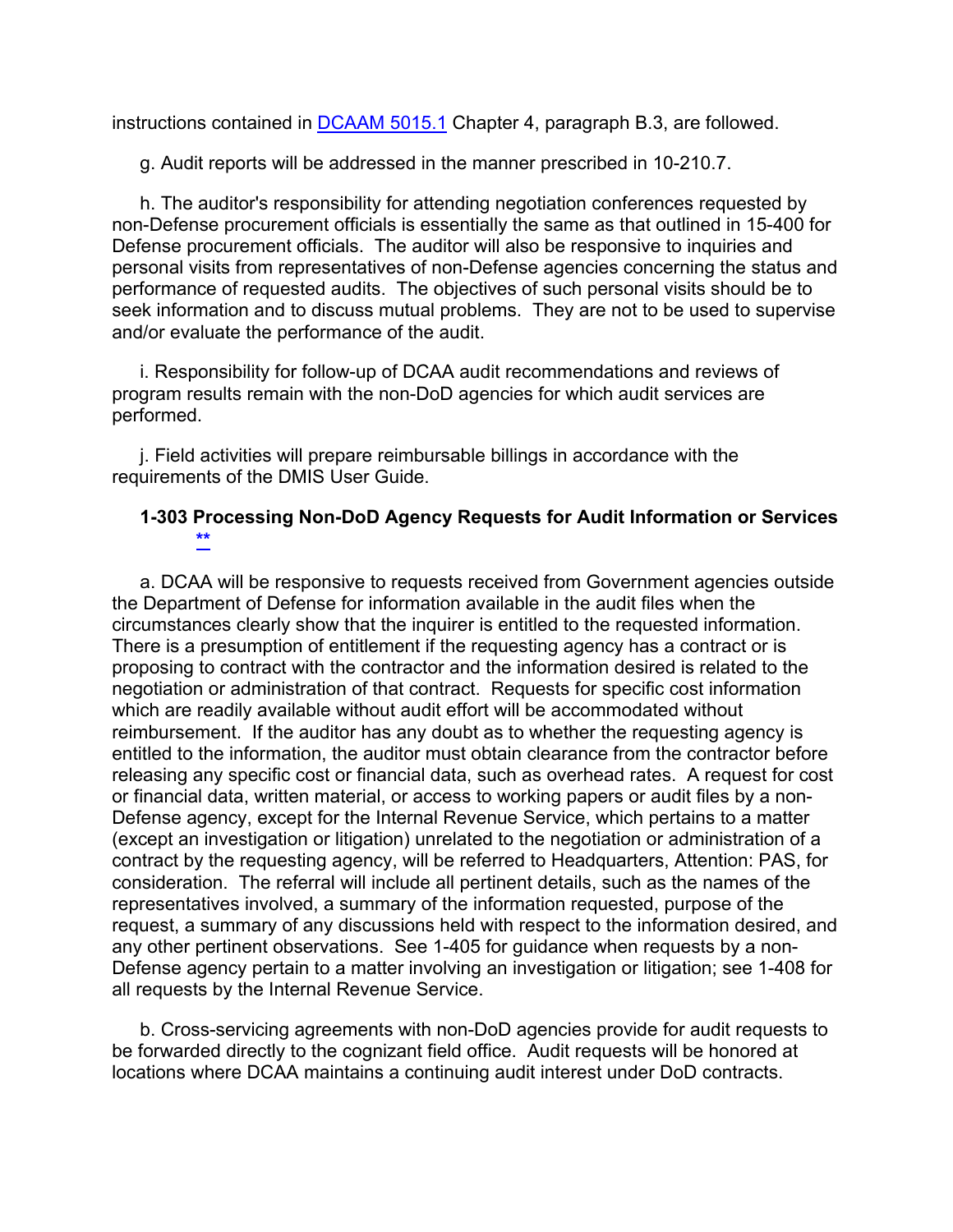instructions contained in [DCAAM 5015.1](https://sharepoint.dcaaintra.mil/headquarters/resources/CM/CMC/Publications/Publications/DCAAM%205015.1.pdf) Chapter 4, paragraph B.3, are followed.

g. Audit reports will be addressed in the manner prescribed in 10-210.7.

h. The auditor's responsibility for attending negotiation conferences requested by non-Defense procurement officials is essentially the same as that outlined in 15-400 for Defense procurement officials. The auditor will also be responsive to inquiries and personal visits from representatives of non-Defense agencies concerning the status and performance of requested audits. The objectives of such personal visits should be to seek information and to discuss mutual problems. They are not to be used to supervise and/or evaluate the performance of the audit.

i. Responsibility for follow-up of DCAA audit recommendations and reviews of program results remain with the non-DoD agencies for which audit services are performed.

j. Field activities will prepare reimbursable billings in accordance with the requirements of the DMIS User Guide.

#### <span id="page-15-0"></span>**1-303 Processing Non-DoD Agency Requests for Audit Information or Services [\\*\\*](#page-1-10)**

a. DCAA will be responsive to requests received from Government agencies outside the Department of Defense for information available in the audit files when the circumstances clearly show that the inquirer is entitled to the requested information. There is a presumption of entitlement if the requesting agency has a contract or is proposing to contract with the contractor and the information desired is related to the negotiation or administration of that contract. Requests for specific cost information which are readily available without audit effort will be accommodated without reimbursement. If the auditor has any doubt as to whether the requesting agency is entitled to the information, the auditor must obtain clearance from the contractor before releasing any specific cost or financial data, such as overhead rates. A request for cost or financial data, written material, or access to working papers or audit files by a non-Defense agency, except for the Internal Revenue Service, which pertains to a matter (except an investigation or litigation) unrelated to the negotiation or administration of a contract by the requesting agency, will be referred to Headquarters, Attention: PAS, for consideration. The referral will include all pertinent details, such as the names of the representatives involved, a summary of the information requested, purpose of the request, a summary of any discussions held with respect to the information desired, and any other pertinent observations. See 1-405 for guidance when requests by a non-Defense agency pertain to a matter involving an investigation or litigation; see 1-408 for all requests by the Internal Revenue Service.

b. Cross-servicing agreements with non-DoD agencies provide for audit requests to be forwarded directly to the cognizant field office. Audit requests will be honored at locations where DCAA maintains a continuing audit interest under DoD contracts.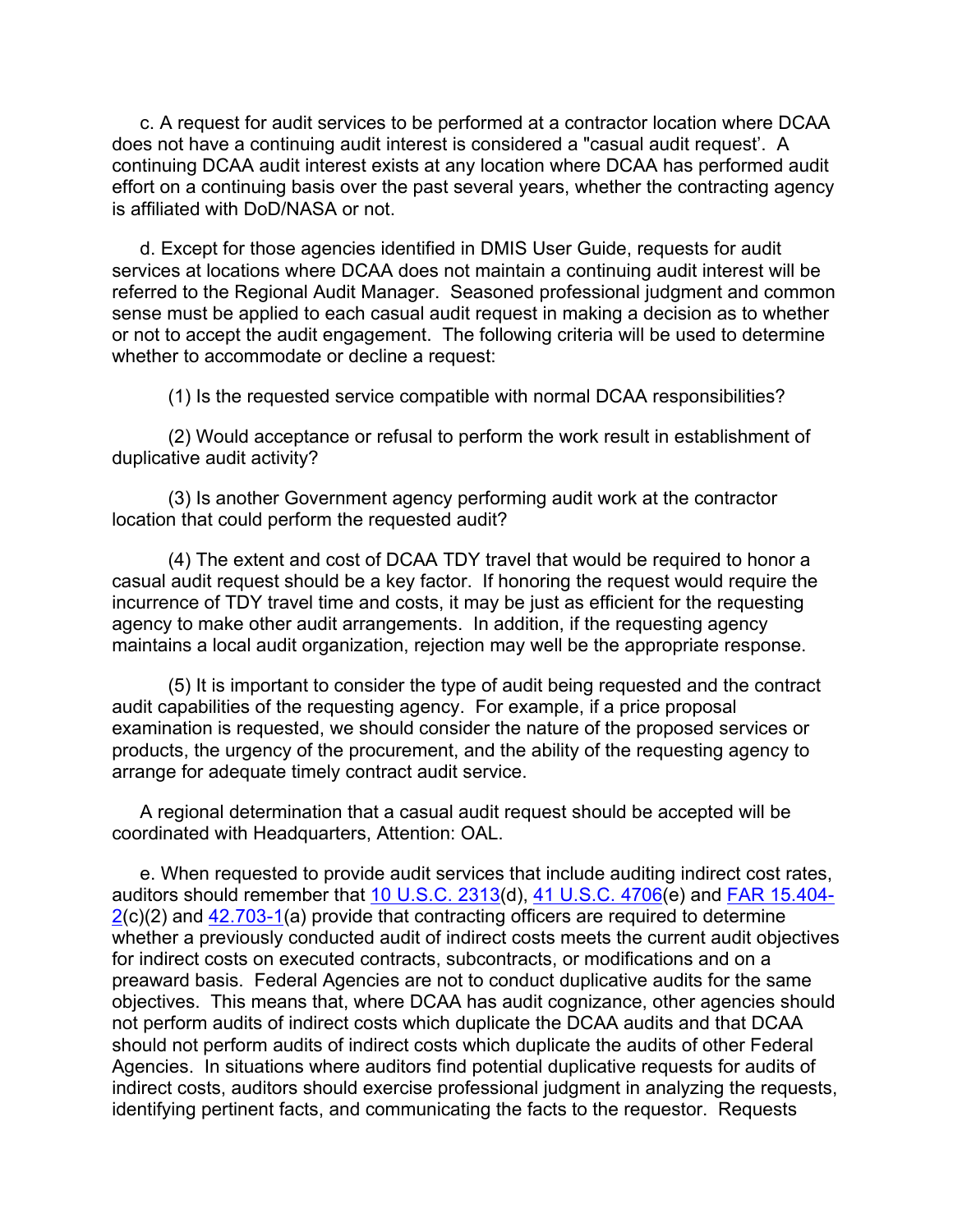c. A request for audit services to be performed at a contractor location where DCAA does not have a continuing audit interest is considered a "casual audit request'. A continuing DCAA audit interest exists at any location where DCAA has performed audit effort on a continuing basis over the past several years, whether the contracting agency is affiliated with DoD/NASA or not.

d. Except for those agencies identified in DMIS User Guide, requests for audit services at locations where DCAA does not maintain a continuing audit interest will be referred to the Regional Audit Manager. Seasoned professional judgment and common sense must be applied to each casual audit request in making a decision as to whether or not to accept the audit engagement. The following criteria will be used to determine whether to accommodate or decline a request:

(1) Is the requested service compatible with normal DCAA responsibilities?

(2) Would acceptance or refusal to perform the work result in establishment of duplicative audit activity?

(3) Is another Government agency performing audit work at the contractor location that could perform the requested audit?

(4) The extent and cost of DCAA TDY travel that would be required to honor a casual audit request should be a key factor. If honoring the request would require the incurrence of TDY travel time and costs, it may be just as efficient for the requesting agency to make other audit arrangements. In addition, if the requesting agency maintains a local audit organization, rejection may well be the appropriate response.

(5) It is important to consider the type of audit being requested and the contract audit capabilities of the requesting agency. For example, if a price proposal examination is requested, we should consider the nature of the proposed services or products, the urgency of the procurement, and the ability of the requesting agency to arrange for adequate timely contract audit service.

A regional determination that a casual audit request should be accepted will be coordinated with Headquarters, Attention: OAL.

e. When requested to provide audit services that include auditing indirect cost rates, auditors should remember that [10 U.S.C. 2313\(](http://uscode.house.gov/view.xhtml?req=(title:10%20section:2313%20edition:prelim)%20OR%20(granuleid:USC-prelim-title10-section2313)&f=treesort&edition=prelim&num=0&jumpTo=true)d), [41 U.S.C. 4706\(](http://uscode.house.gov/view.xhtml?req=(title:41%20section:4706%20edition:prelim)%20OR%20(granuleid:USC-prelim-title41-section4706)&f=treesort&edition=prelim&num=0&jumpTo=true)e) and [FAR 15.404-](http://www.ecfr.gov/cgi-bin/text-idx?SID=0c7ff6c848d1b43990389ff801825b7c&mc=true&node=se48.1.15_1404_62&rgn=div8) [2\(](http://www.ecfr.gov/cgi-bin/text-idx?SID=0c7ff6c848d1b43990389ff801825b7c&mc=true&node=se48.1.15_1404_62&rgn=div8)c)(2) and [42.703-1\(](http://www.ecfr.gov/cgi-bin/text-idx?SID=0c7ff6c848d1b43990389ff801825b7c&mc=true&node=se48.1.42_1703_61&rgn=div8)a) provide that contracting officers are required to determine whether a previously conducted audit of indirect costs meets the current audit objectives for indirect costs on executed contracts, subcontracts, or modifications and on a preaward basis. Federal Agencies are not to conduct duplicative audits for the same objectives. This means that, where DCAA has audit cognizance, other agencies should not perform audits of indirect costs which duplicate the DCAA audits and that DCAA should not perform audits of indirect costs which duplicate the audits of other Federal Agencies. In situations where auditors find potential duplicative requests for audits of indirect costs, auditors should exercise professional judgment in analyzing the requests, identifying pertinent facts, and communicating the facts to the requestor. Requests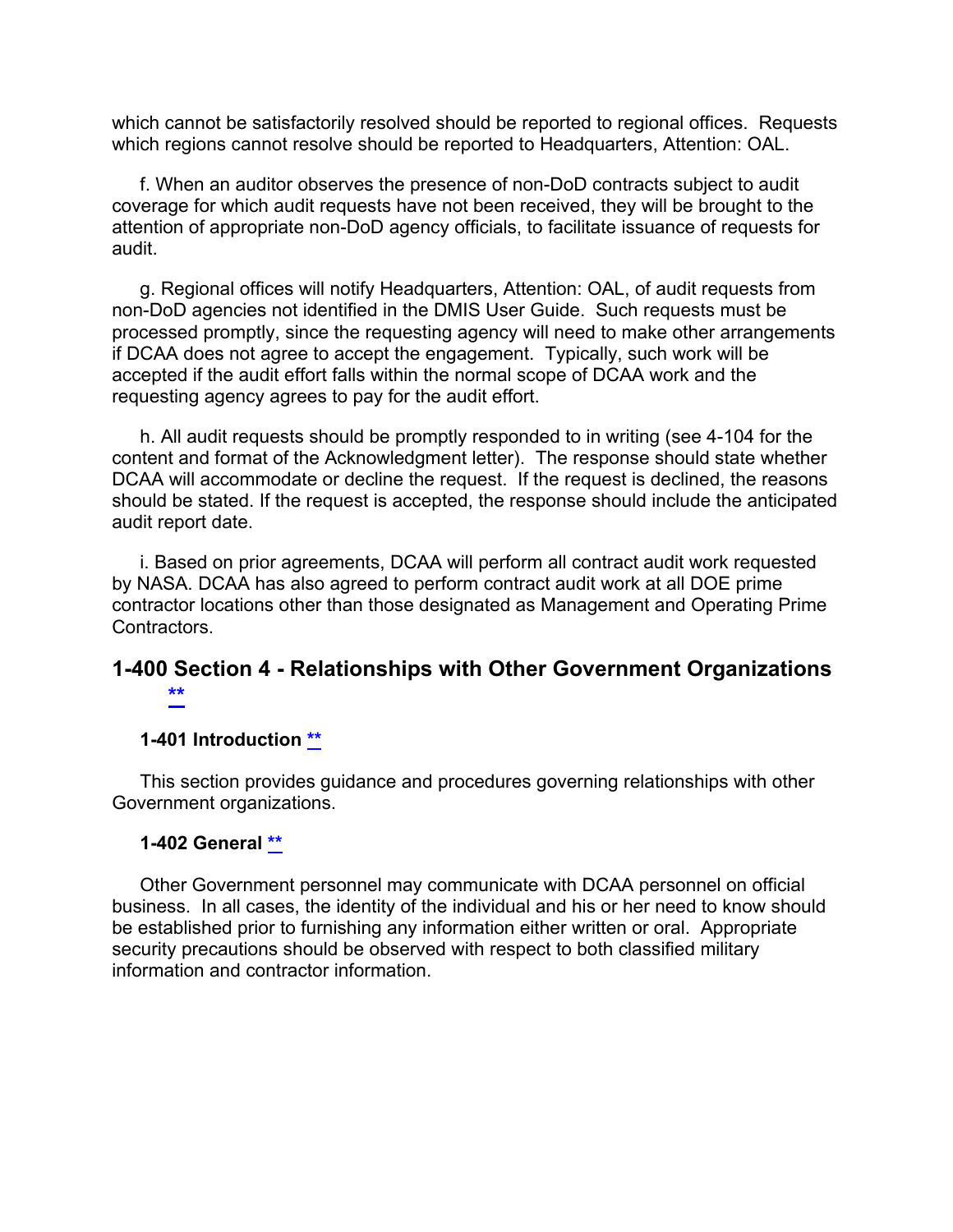which cannot be satisfactorily resolved should be reported to regional offices. Requests which regions cannot resolve should be reported to Headquarters, Attention: OAL.

f. When an auditor observes the presence of non-DoD contracts subject to audit coverage for which audit requests have not been received, they will be brought to the attention of appropriate non-DoD agency officials, to facilitate issuance of requests for audit.

g. Regional offices will notify Headquarters, Attention: OAL, of audit requests from non-DoD agencies not identified in the DMIS User Guide. Such requests must be processed promptly, since the requesting agency will need to make other arrangements if DCAA does not agree to accept the engagement. Typically, such work will be accepted if the audit effort falls within the normal scope of DCAA work and the requesting agency agrees to pay for the audit effort.

h. All audit requests should be promptly responded to in writing (see 4-104 for the content and format of the Acknowledgment letter). The response should state whether DCAA will accommodate or decline the request. If the request is declined, the reasons should be stated. If the request is accepted, the response should include the anticipated audit report date.

i. Based on prior agreements, DCAA will perform all contract audit work requested by NASA. DCAA has also agreed to perform contract audit work at all DOE prime contractor locations other than those designated as Management and Operating Prime Contractors.

## **1-400 Section 4 - Relationships with Other Government Organizations [\\*\\*](#page-1-11)**

#### <span id="page-17-1"></span><span id="page-17-0"></span>**1-401 Introduction [\\*\\*](#page-1-12)**

This section provides guidance and procedures governing relationships with other Government organizations.

#### <span id="page-17-2"></span>**1-402 General [\\*\\*](#page-1-13)**

Other Government personnel may communicate with DCAA personnel on official business. In all cases, the identity of the individual and his or her need to know should be established prior to furnishing any information either written or oral. Appropriate security precautions should be observed with respect to both classified military information and contractor information.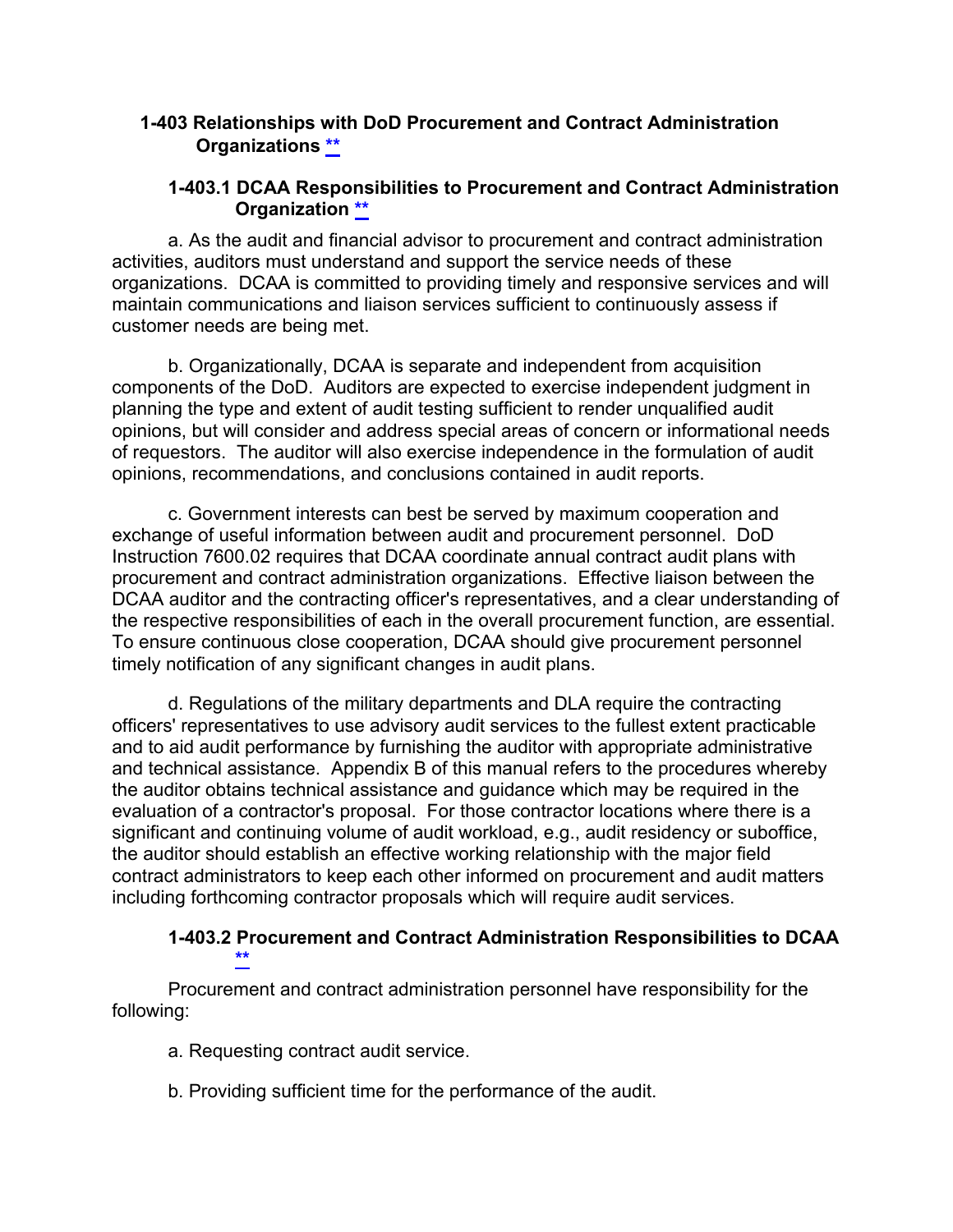### **1-403 Relationships with DoD Procurement and Contract Administration Organizations [\\*\\*](#page-1-14)**

### <span id="page-18-1"></span><span id="page-18-0"></span>**1-403.1 DCAA Responsibilities to Procurement and Contract Administration Organization [\\*\\*](#page-1-15)**

a. As the audit and financial advisor to procurement and contract administration activities, auditors must understand and support the service needs of these organizations. DCAA is committed to providing timely and responsive services and will maintain communications and liaison services sufficient to continuously assess if customer needs are being met.

b. Organizationally, DCAA is separate and independent from acquisition components of the DoD. Auditors are expected to exercise independent judgment in planning the type and extent of audit testing sufficient to render unqualified audit opinions, but will consider and address special areas of concern or informational needs of requestors. The auditor will also exercise independence in the formulation of audit opinions, recommendations, and conclusions contained in audit reports.

c. Government interests can best be served by maximum cooperation and exchange of useful information between audit and procurement personnel. DoD Instruction 7600.02 requires that DCAA coordinate annual contract audit plans with procurement and contract administration organizations. Effective liaison between the DCAA auditor and the contracting officer's representatives, and a clear understanding of the respective responsibilities of each in the overall procurement function, are essential. To ensure continuous close cooperation, DCAA should give procurement personnel timely notification of any significant changes in audit plans.

d. Regulations of the military departments and DLA require the contracting officers' representatives to use advisory audit services to the fullest extent practicable and to aid audit performance by furnishing the auditor with appropriate administrative and technical assistance. Appendix B of this manual refers to the procedures whereby the auditor obtains technical assistance and guidance which may be required in the evaluation of a contractor's proposal. For those contractor locations where there is a significant and continuing volume of audit workload, e.g., audit residency or suboffice, the auditor should establish an effective working relationship with the major field contract administrators to keep each other informed on procurement and audit matters including forthcoming contractor proposals which will require audit services.

#### <span id="page-18-2"></span>**1-403.2 Procurement and Contract Administration Responsibilities to DCAA [\\*\\*](#page-1-16)**

Procurement and contract administration personnel have responsibility for the following:

- a. Requesting contract audit service.
- b. Providing sufficient time for the performance of the audit.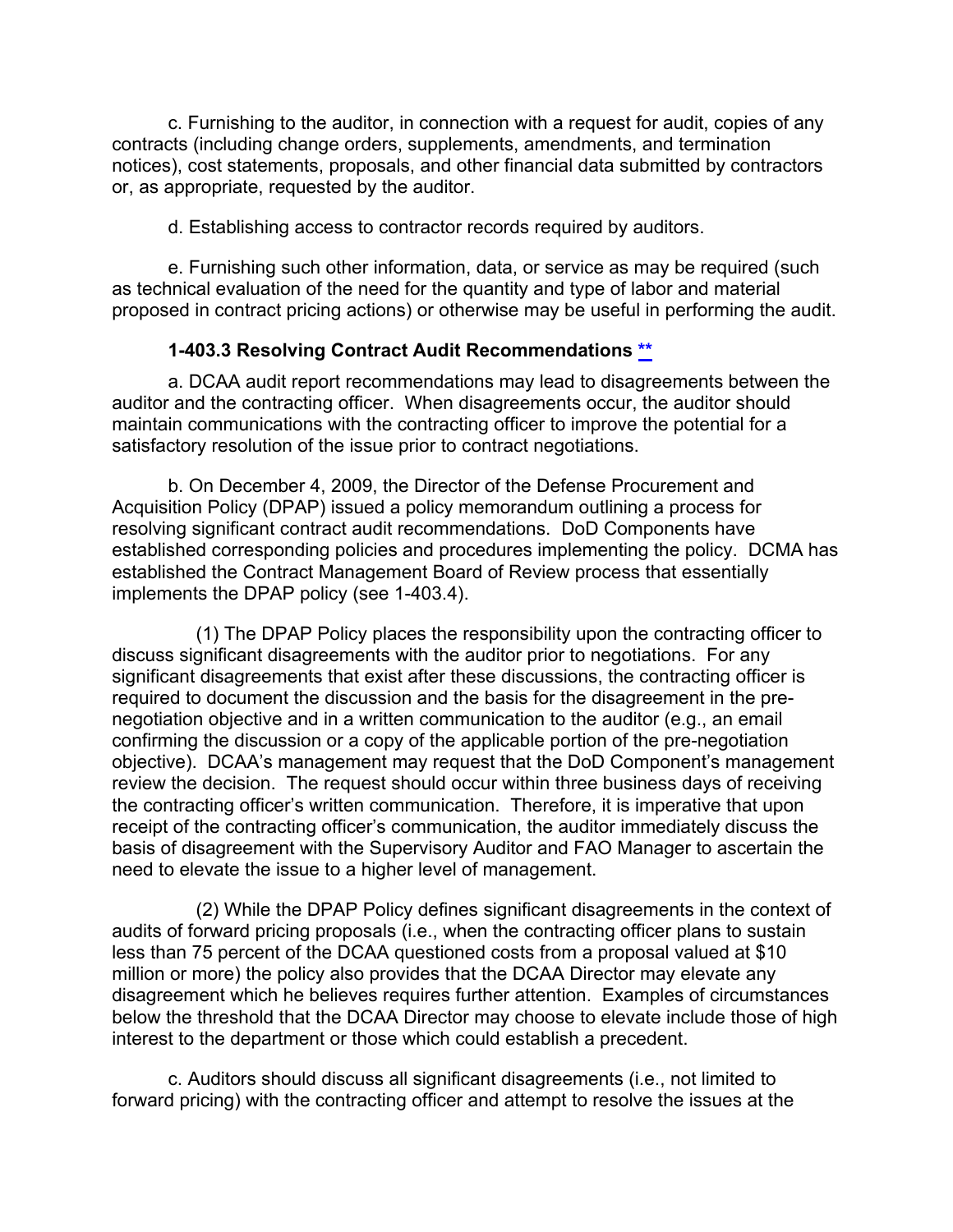c. Furnishing to the auditor, in connection with a request for audit, copies of any contracts (including change orders, supplements, amendments, and termination notices), cost statements, proposals, and other financial data submitted by contractors or, as appropriate, requested by the auditor.

d. Establishing access to contractor records required by auditors.

e. Furnishing such other information, data, or service as may be required (such as technical evaluation of the need for the quantity and type of labor and material proposed in contract pricing actions) or otherwise may be useful in performing the audit.

#### <span id="page-19-0"></span>**1-403.3 Resolving Contract Audit Recommendations [\\*\\*](#page-1-17)**

a. DCAA audit report recommendations may lead to disagreements between the auditor and the contracting officer. When disagreements occur, the auditor should maintain communications with the contracting officer to improve the potential for a satisfactory resolution of the issue prior to contract negotiations.

b. On December 4, 2009, the Director of the Defense Procurement and Acquisition Policy (DPAP) issued a policy memorandum outlining a process for resolving significant contract audit recommendations. DoD Components have established corresponding policies and procedures implementing the policy. DCMA has established the Contract Management Board of Review process that essentially implements the DPAP policy (see 1-403.4).

(1) The DPAP Policy places the responsibility upon the contracting officer to discuss significant disagreements with the auditor prior to negotiations. For any significant disagreements that exist after these discussions, the contracting officer is required to document the discussion and the basis for the disagreement in the prenegotiation objective and in a written communication to the auditor (e.g., an email confirming the discussion or a copy of the applicable portion of the pre-negotiation objective). DCAA's management may request that the DoD Component's management review the decision. The request should occur within three business days of receiving the contracting officer's written communication. Therefore, it is imperative that upon receipt of the contracting officer's communication, the auditor immediately discuss the basis of disagreement with the Supervisory Auditor and FAO Manager to ascertain the need to elevate the issue to a higher level of management.

(2) While the DPAP Policy defines significant disagreements in the context of audits of forward pricing proposals (i.e., when the contracting officer plans to sustain less than 75 percent of the DCAA questioned costs from a proposal valued at \$10 million or more) the policy also provides that the DCAA Director may elevate any disagreement which he believes requires further attention. Examples of circumstances below the threshold that the DCAA Director may choose to elevate include those of high interest to the department or those which could establish a precedent.

c. Auditors should discuss all significant disagreements (i.e., not limited to forward pricing) with the contracting officer and attempt to resolve the issues at the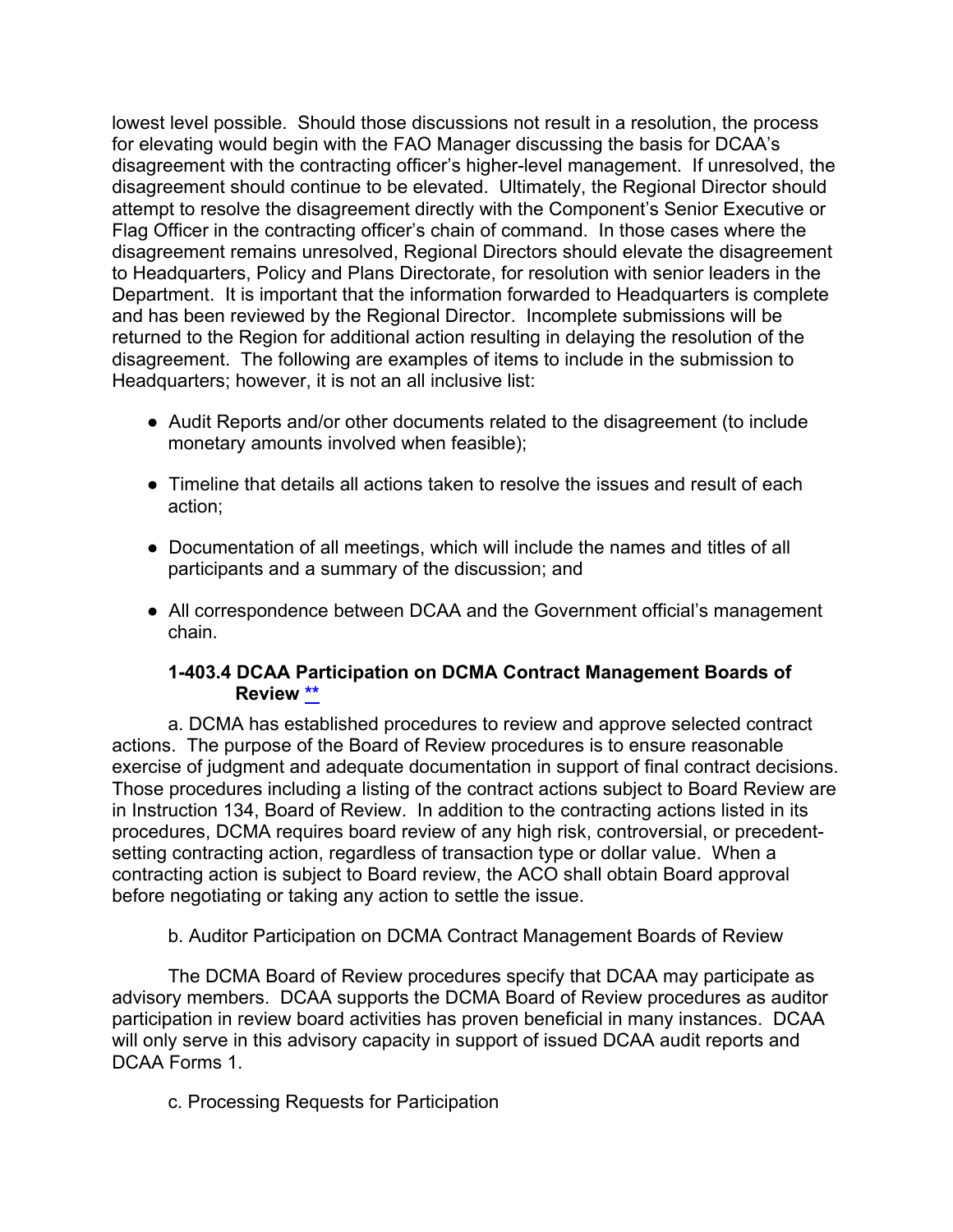lowest level possible. Should those discussions not result in a resolution, the process for elevating would begin with the FAO Manager discussing the basis for DCAA's disagreement with the contracting officer's higher-level management. If unresolved, the disagreement should continue to be elevated. Ultimately, the Regional Director should attempt to resolve the disagreement directly with the Component's Senior Executive or Flag Officer in the contracting officer's chain of command. In those cases where the disagreement remains unresolved, Regional Directors should elevate the disagreement to Headquarters, Policy and Plans Directorate, for resolution with senior leaders in the Department. It is important that the information forwarded to Headquarters is complete and has been reviewed by the Regional Director. Incomplete submissions will be returned to the Region for additional action resulting in delaying the resolution of the disagreement. The following are examples of items to include in the submission to Headquarters; however, it is not an all inclusive list:

- Audit Reports and/or other documents related to the disagreement (to include monetary amounts involved when feasible);
- Timeline that details all actions taken to resolve the issues and result of each action;
- Documentation of all meetings, which will include the names and titles of all participants and a summary of the discussion; and
- All correspondence between DCAA and the Government official's management chain.

### <span id="page-20-0"></span>**1-403.4 DCAA Participation on DCMA Contract Management Boards of Review [\\*\\*](#page-1-18)**

a. DCMA has established procedures to review and approve selected contract actions. The purpose of the Board of Review procedures is to ensure reasonable exercise of judgment and adequate documentation in support of final contract decisions. Those procedures including a listing of the contract actions subject to Board Review are in Instruction 134, Board of Review. In addition to the contracting actions listed in its procedures, DCMA requires board review of any high risk, controversial, or precedentsetting contracting action, regardless of transaction type or dollar value. When a contracting action is subject to Board review, the ACO shall obtain Board approval before negotiating or taking any action to settle the issue.

b. Auditor Participation on DCMA Contract Management Boards of Review

The DCMA Board of Review procedures specify that DCAA may participate as advisory members. DCAA supports the DCMA Board of Review procedures as auditor participation in review board activities has proven beneficial in many instances. DCAA will only serve in this advisory capacity in support of issued DCAA audit reports and DCAA Forms 1.

c. Processing Requests for Participation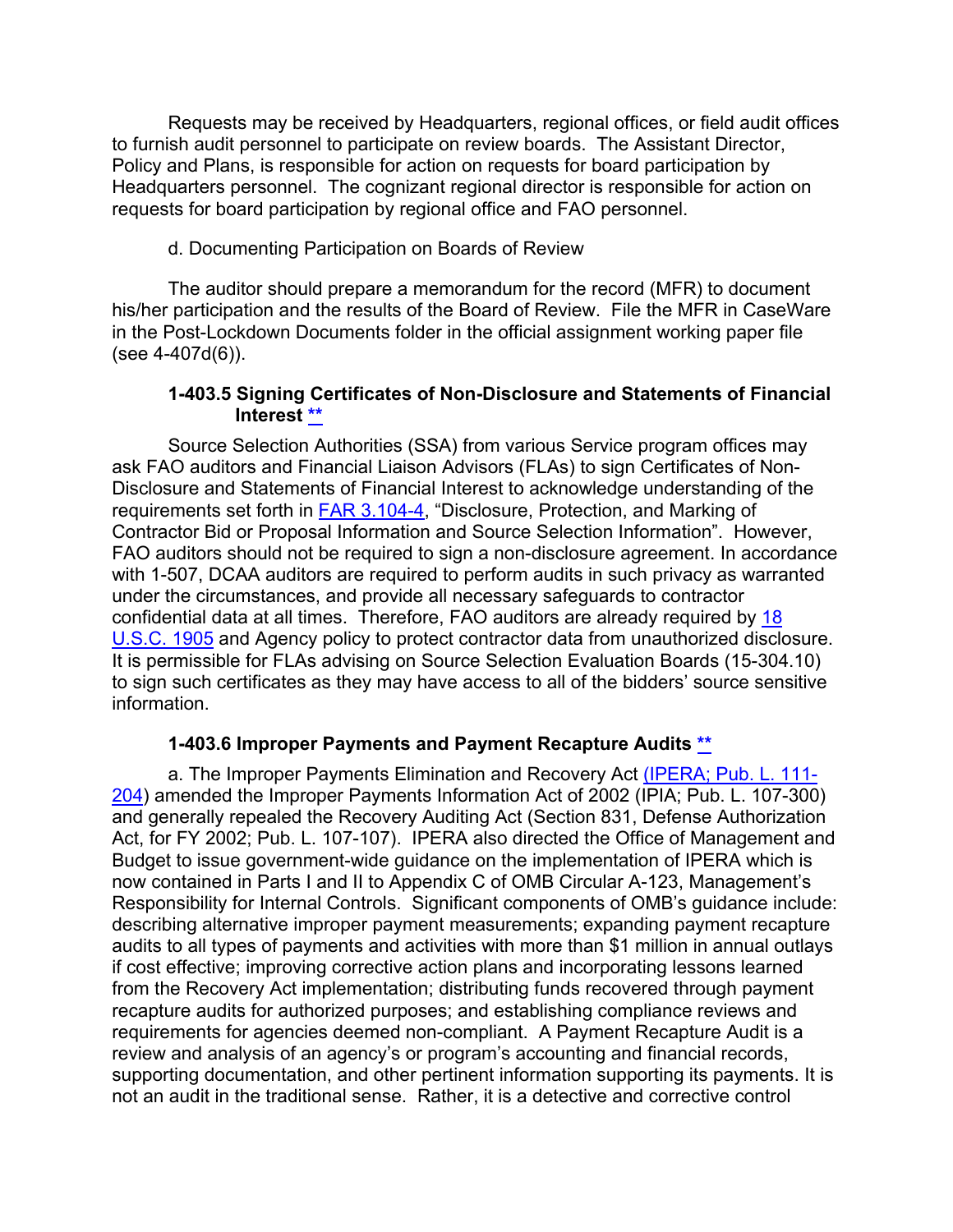Requests may be received by Headquarters, regional offices, or field audit offices to furnish audit personnel to participate on review boards. The Assistant Director, Policy and Plans, is responsible for action on requests for board participation by Headquarters personnel. The cognizant regional director is responsible for action on requests for board participation by regional office and FAO personnel.

#### d. Documenting Participation on Boards of Review

The auditor should prepare a memorandum for the record (MFR) to document his/her participation and the results of the Board of Review. File the MFR in CaseWare in the Post-Lockdown Documents folder in the official assignment working paper file (see 4-407d(6)).

### <span id="page-21-0"></span>**1-403.5 Signing Certificates of Non-Disclosure and Statements of Financial Interest [\\*\\*](#page-1-19)**

Source Selection Authorities (SSA) from various Service program offices may ask FAO auditors and Financial Liaison Advisors (FLAs) to sign Certificates of Non-Disclosure and Statements of Financial Interest to acknowledge understanding of the requirements set forth in [FAR 3.104-4,](http://www.ecfr.gov/cgi-bin/text-idx?SID=0c7ff6c848d1b43990389ff801825b7c&mc=true&node=se48.1.3_1104_64&rgn=div8) "Disclosure, Protection, and Marking of Contractor Bid or Proposal Information and Source Selection Information". However, FAO auditors should not be required to sign a non-disclosure agreement. In accordance with 1-507, DCAA auditors are required to perform audits in such privacy as warranted under the circumstances, and provide all necessary safeguards to contractor confidential data at all times. Therefore, FAO auditors are already required by [18](http://uscode.house.gov/view.xhtml?req=(title:18%20section:1905%20edition:prelim)%20OR%20(granuleid:USC-prelim-title18-section1905)&f=treesort&edition=prelim&num=0&jumpTo=true)  [U.S.C. 1905](http://uscode.house.gov/view.xhtml?req=(title:18%20section:1905%20edition:prelim)%20OR%20(granuleid:USC-prelim-title18-section1905)&f=treesort&edition=prelim&num=0&jumpTo=true) and Agency policy to protect contractor data from unauthorized disclosure. It is permissible for FLAs advising on Source Selection Evaluation Boards (15-304.10) to sign such certificates as they may have access to all of the bidders' source sensitive information.

## <span id="page-21-1"></span>**1-403.6 Improper Payments and Payment Recapture Audits [\\*\\*](#page-1-20)**

a. The Improper Payments Elimination and Recovery Act [\(IPERA; Pub. L. 111-](https://www.whitehouse.gov/sites/default/files/omb/financial/_improper/PL_111-204.pdf) [204\)](https://www.whitehouse.gov/sites/default/files/omb/financial/_improper/PL_111-204.pdf) amended the Improper Payments Information Act of 2002 (IPIA; Pub. L. 107-300) and generally repealed the Recovery Auditing Act (Section 831, Defense Authorization Act, for FY 2002; Pub. L. 107-107). IPERA also directed the Office of Management and Budget to issue government-wide guidance on the implementation of IPERA which is now contained in Parts I and II to Appendix C of OMB Circular A-123, Management's Responsibility for Internal Controls. Significant components of OMB's guidance include: describing alternative improper payment measurements; expanding payment recapture audits to all types of payments and activities with more than \$1 million in annual outlays if cost effective; improving corrective action plans and incorporating lessons learned from the Recovery Act implementation; distributing funds recovered through payment recapture audits for authorized purposes; and establishing compliance reviews and requirements for agencies deemed non-compliant. A Payment Recapture Audit is a review and analysis of an agency's or program's accounting and financial records, supporting documentation, and other pertinent information supporting its payments. It is not an audit in the traditional sense. Rather, it is a detective and corrective control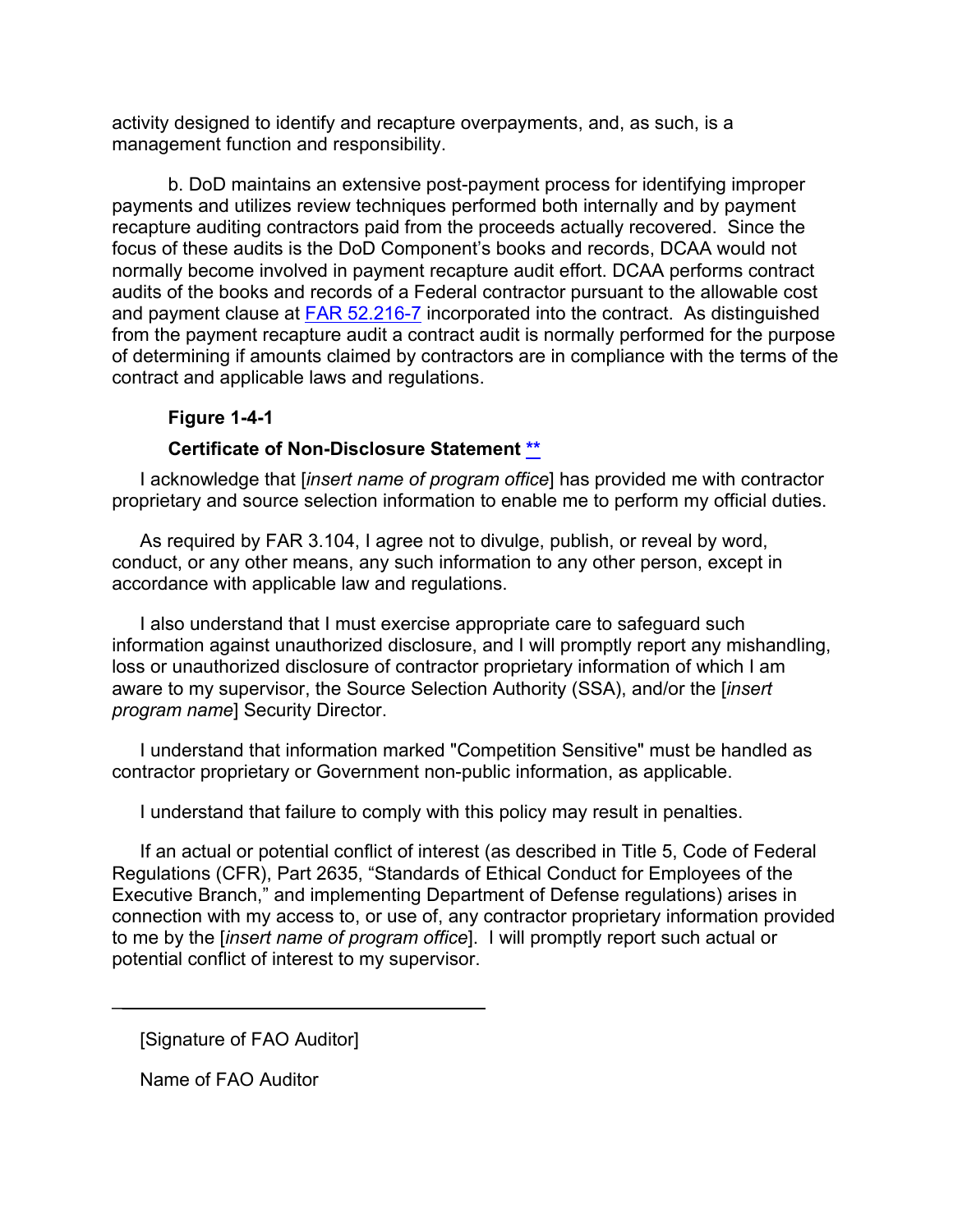activity designed to identify and recapture overpayments, and, as such, is a management function and responsibility.

b. DoD maintains an extensive post-payment process for identifying improper payments and utilizes review techniques performed both internally and by payment recapture auditing contractors paid from the proceeds actually recovered. Since the focus of these audits is the DoD Component's books and records, DCAA would not normally become involved in payment recapture audit effort. DCAA performs contract audits of the books and records of a Federal contractor pursuant to the allowable cost and payment clause at **FAR 52.216-7** incorporated into the contract. As distinguished from the payment recapture audit a contract audit is normally performed for the purpose of determining if amounts claimed by contractors are in compliance with the terms of the contract and applicable laws and regulations.

### <span id="page-22-0"></span>**Figure 1-4-1**

#### **Certificate of Non-Disclosure Statement [\\*\\*](#page-1-21)**

I acknowledge that [*insert name of program office*] has provided me with contractor proprietary and source selection information to enable me to perform my official duties.

As required by FAR 3.104, I agree not to divulge, publish, or reveal by word, conduct, or any other means, any such information to any other person, except in accordance with applicable law and regulations.

I also understand that I must exercise appropriate care to safeguard such information against unauthorized disclosure, and I will promptly report any mishandling, loss or unauthorized disclosure of contractor proprietary information of which I am aware to my supervisor, the Source Selection Authority (SSA), and/or the [*insert program name*] Security Director.

I understand that information marked "Competition Sensitive" must be handled as contractor proprietary or Government non-public information, as applicable.

I understand that failure to comply with this policy may result in penalties.

If an actual or potential conflict of interest (as described in Title 5, Code of Federal Regulations (CFR), Part 2635, "Standards of Ethical Conduct for Employees of the Executive Branch," and implementing Department of Defense regulations) arises in connection with my access to, or use of, any contractor proprietary information provided to me by the [*insert name of program office*]. I will promptly report such actual or potential conflict of interest to my supervisor.

[Signature of FAO Auditor].

 $\overline{\phantom{a}}$  ,  $\overline{\phantom{a}}$  ,  $\overline{\phantom{a}}$  ,  $\overline{\phantom{a}}$  ,  $\overline{\phantom{a}}$  ,  $\overline{\phantom{a}}$  ,  $\overline{\phantom{a}}$  ,  $\overline{\phantom{a}}$  ,  $\overline{\phantom{a}}$  ,  $\overline{\phantom{a}}$  ,  $\overline{\phantom{a}}$  ,  $\overline{\phantom{a}}$  ,  $\overline{\phantom{a}}$  ,  $\overline{\phantom{a}}$  ,  $\overline{\phantom{a}}$  ,  $\overline{\phantom{a}}$ 

Name of FAO Auditor.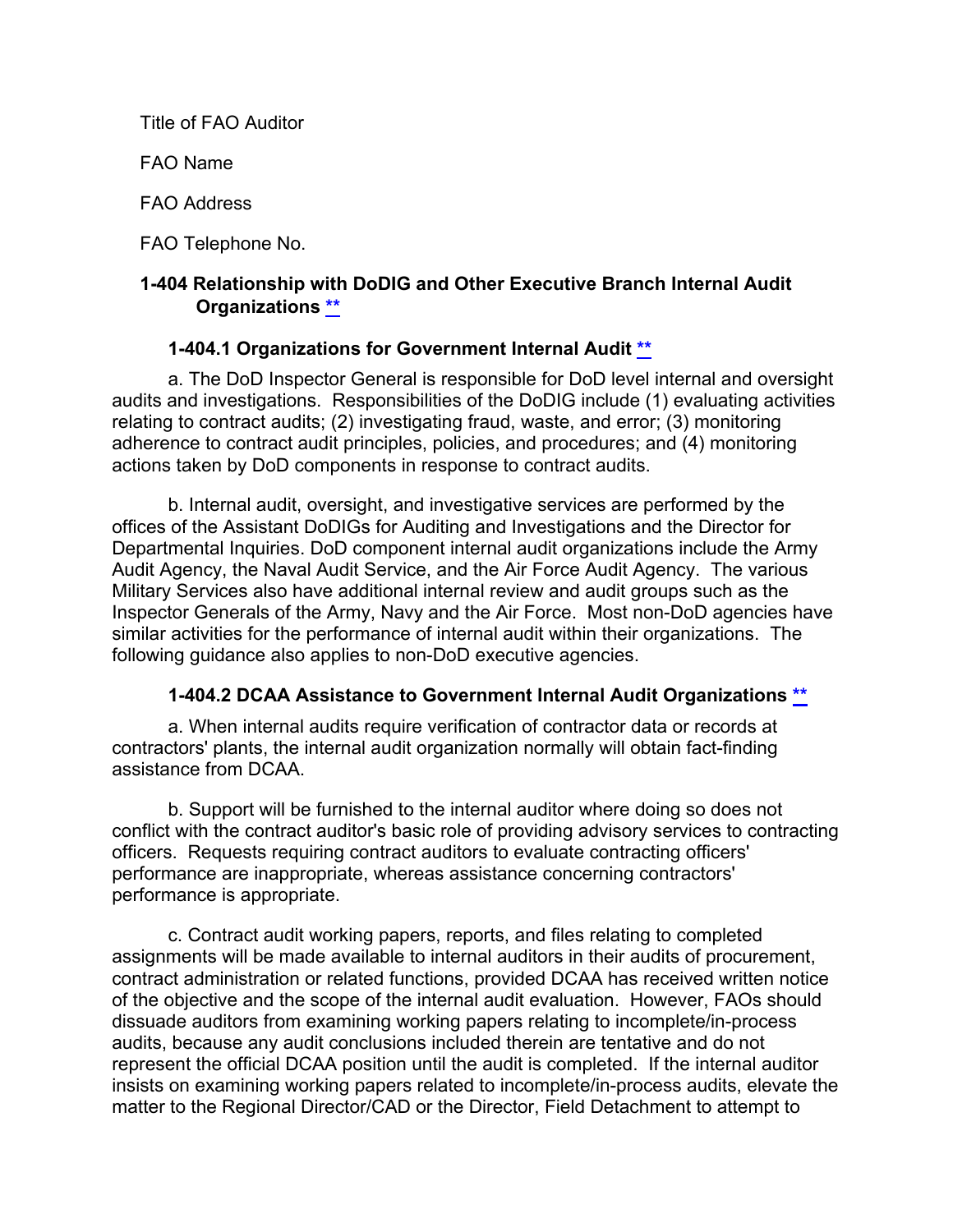Title of FAO Auditor.

FAO Name.

FAO Address.

FAO Telephone No.

## **1-404 Relationship with DoDIG and Other Executive Branch Internal Audit Organizations [\\*\\*](#page-1-22)**

## <span id="page-23-1"></span><span id="page-23-0"></span>**1-404.1 Organizations for Government Internal Audit [\\*\\*](#page-2-0)**

a. The DoD Inspector General is responsible for DoD level internal and oversight audits and investigations. Responsibilities of the DoDIG include (1) evaluating activities relating to contract audits; (2) investigating fraud, waste, and error; (3) monitoring adherence to contract audit principles, policies, and procedures; and (4) monitoring actions taken by DoD components in response to contract audits.

b. Internal audit, oversight, and investigative services are performed by the offices of the Assistant DoDIGs for Auditing and Investigations and the Director for Departmental Inquiries. DoD component internal audit organizations include the Army Audit Agency, the Naval Audit Service, and the Air Force Audit Agency. The various Military Services also have additional internal review and audit groups such as the Inspector Generals of the Army, Navy and the Air Force. Most non-DoD agencies have similar activities for the performance of internal audit within their organizations. The following guidance also applies to non-DoD executive agencies.

## <span id="page-23-2"></span>**1-404.2 DCAA Assistance to Government Internal Audit Organizations [\\*\\*](#page-2-1)**

a. When internal audits require verification of contractor data or records at contractors' plants, the internal audit organization normally will obtain fact-finding assistance from DCAA.

b. Support will be furnished to the internal auditor where doing so does not conflict with the contract auditor's basic role of providing advisory services to contracting officers. Requests requiring contract auditors to evaluate contracting officers' performance are inappropriate, whereas assistance concerning contractors' performance is appropriate.

c. Contract audit working papers, reports, and files relating to completed assignments will be made available to internal auditors in their audits of procurement, contract administration or related functions, provided DCAA has received written notice of the objective and the scope of the internal audit evaluation. However, FAOs should dissuade auditors from examining working papers relating to incomplete/in-process audits, because any audit conclusions included therein are tentative and do not represent the official DCAA position until the audit is completed. If the internal auditor insists on examining working papers related to incomplete/in-process audits, elevate the matter to the Regional Director/CAD or the Director, Field Detachment to attempt to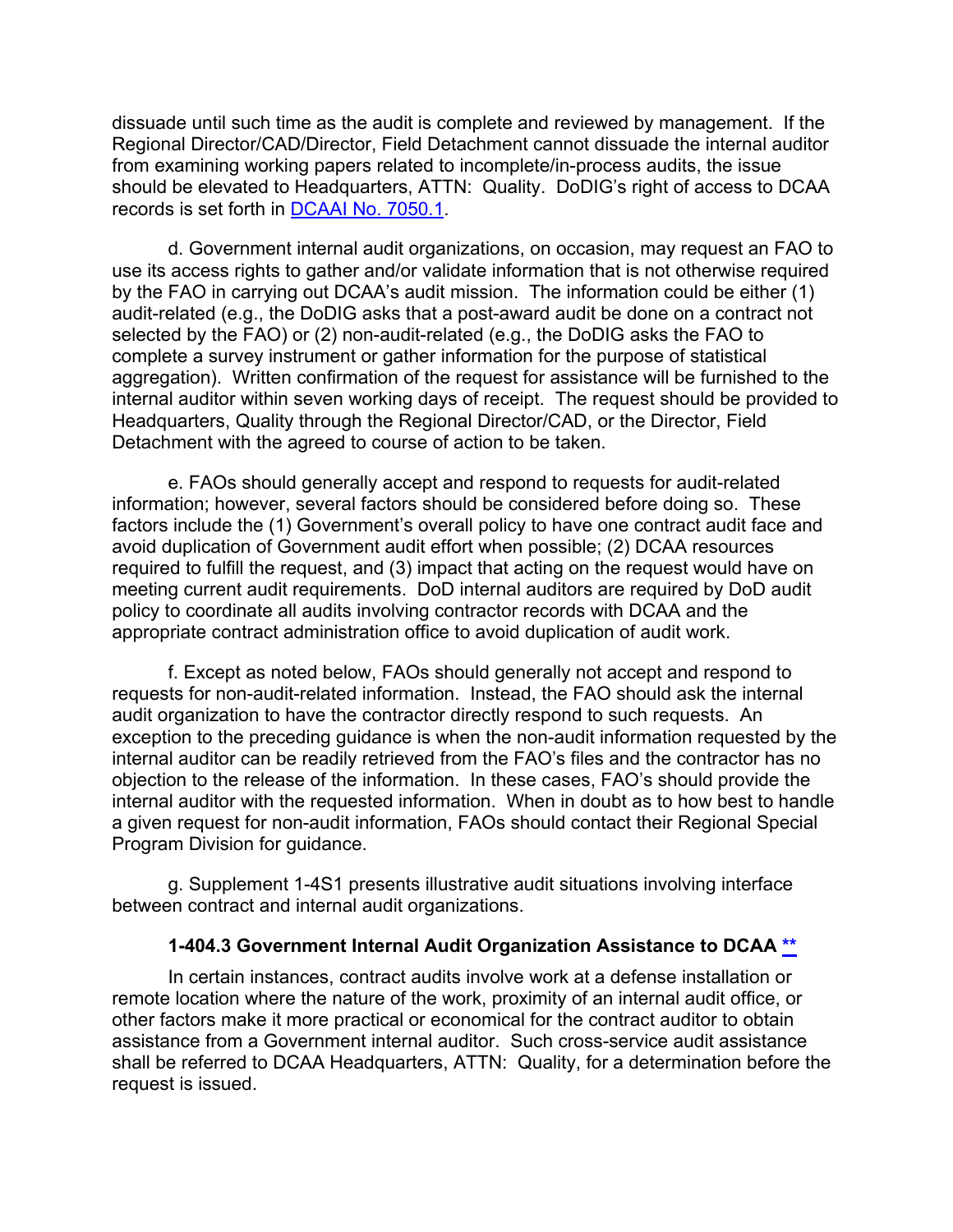dissuade until such time as the audit is complete and reviewed by management. If the Regional Director/CAD/Director, Field Detachment cannot dissuade the internal auditor from examining working papers related to incomplete/in-process audits, the issue should be elevated to Headquarters, ATTN: Quality. DoDIG's right of access to DCAA records is set forth in [DCAAI No. 7050.1.](https://sharepoint.dcaaintra.mil/headquarters/resources/CM/CMC/Publications/Publications/DCAAI%207050.1.pdf)

d. Government internal audit organizations, on occasion, may request an FAO to use its access rights to gather and/or validate information that is not otherwise required by the FAO in carrying out DCAA's audit mission. The information could be either (1) audit-related (e.g., the DoDIG asks that a post-award audit be done on a contract not selected by the FAO) or (2) non-audit-related (e.g., the DoDIG asks the FAO to complete a survey instrument or gather information for the purpose of statistical aggregation). Written confirmation of the request for assistance will be furnished to the internal auditor within seven working days of receipt. The request should be provided to Headquarters, Quality through the Regional Director/CAD, or the Director, Field Detachment with the agreed to course of action to be taken.

e. FAOs should generally accept and respond to requests for audit-related information; however, several factors should be considered before doing so. These factors include the (1) Government's overall policy to have one contract audit face and avoid duplication of Government audit effort when possible; (2) DCAA resources required to fulfill the request, and (3) impact that acting on the request would have on meeting current audit requirements. DoD internal auditors are required by DoD audit policy to coordinate all audits involving contractor records with DCAA and the appropriate contract administration office to avoid duplication of audit work.

f. Except as noted below, FAOs should generally not accept and respond to requests for non-audit-related information. Instead, the FAO should ask the internal audit organization to have the contractor directly respond to such requests. An exception to the preceding guidance is when the non-audit information requested by the internal auditor can be readily retrieved from the FAO's files and the contractor has no objection to the release of the information. In these cases, FAO's should provide the internal auditor with the requested information. When in doubt as to how best to handle a given request for non-audit information, FAOs should contact their Regional Special Program Division for guidance.

g. Supplement 1-4S1 presents illustrative audit situations involving interface between contract and internal audit organizations.

#### <span id="page-24-0"></span>**1-404.3 Government Internal Audit Organization Assistance to DCAA [\\*\\*](#page-2-2)**

In certain instances, contract audits involve work at a defense installation or remote location where the nature of the work, proximity of an internal audit office, or other factors make it more practical or economical for the contract auditor to obtain assistance from a Government internal auditor. Such cross-service audit assistance shall be referred to DCAA Headquarters, ATTN: Quality, for a determination before the request is issued.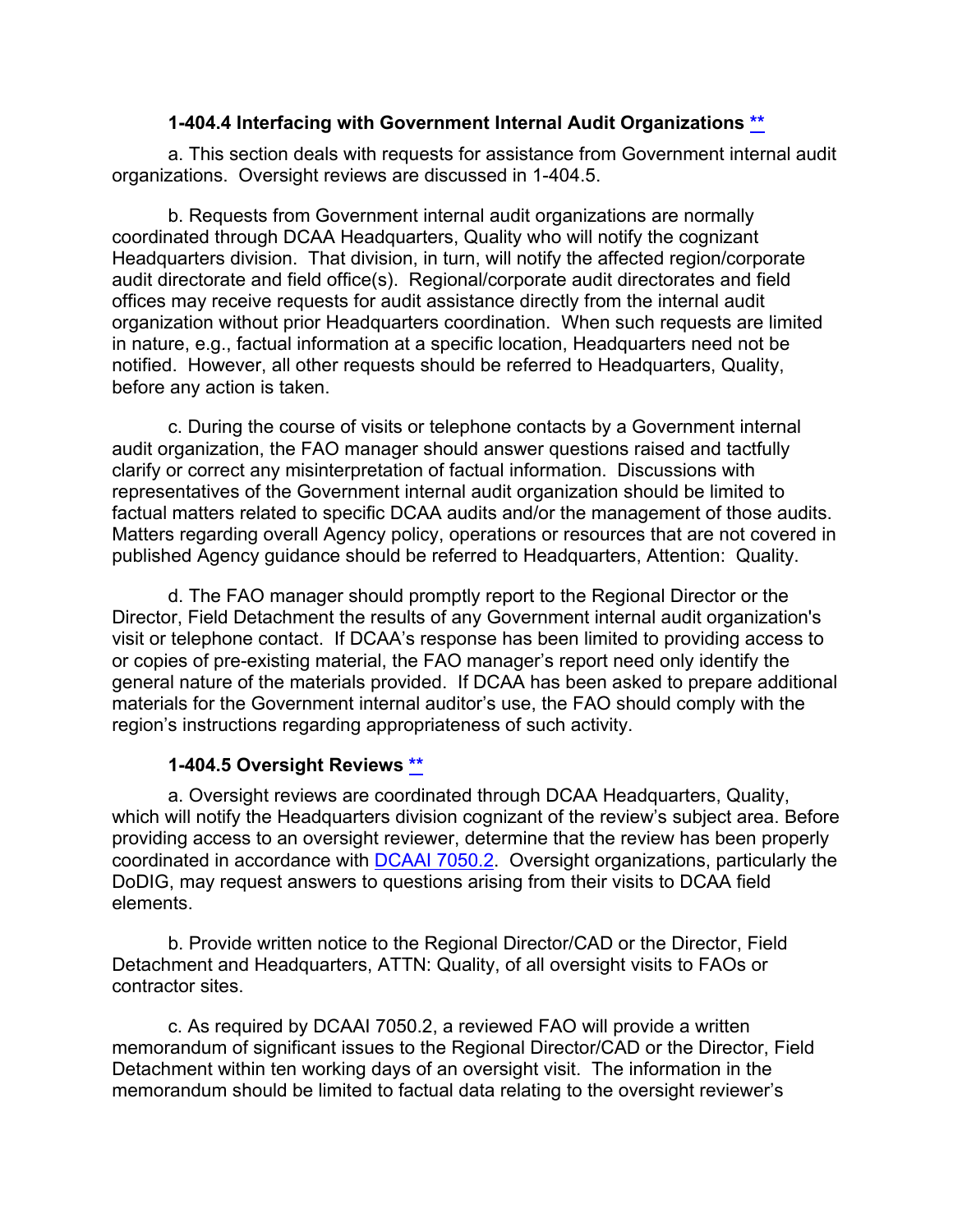#### <span id="page-25-0"></span>**1-404.4 Interfacing with Government Internal Audit Organizations [\\*\\*](#page-2-3)**

a. This section deals with requests for assistance from Government internal audit organizations. Oversight reviews are discussed in 1-404.5.

b. Requests from Government internal audit organizations are normally coordinated through DCAA Headquarters, Quality who will notify the cognizant Headquarters division. That division, in turn, will notify the affected region/corporate audit directorate and field office(s). Regional/corporate audit directorates and field offices may receive requests for audit assistance directly from the internal audit organization without prior Headquarters coordination. When such requests are limited in nature, e.g., factual information at a specific location, Headquarters need not be notified. However, all other requests should be referred to Headquarters, Quality, before any action is taken.

c. During the course of visits or telephone contacts by a Government internal audit organization, the FAO manager should answer questions raised and tactfully clarify or correct any misinterpretation of factual information. Discussions with representatives of the Government internal audit organization should be limited to factual matters related to specific DCAA audits and/or the management of those audits. Matters regarding overall Agency policy, operations or resources that are not covered in published Agency guidance should be referred to Headquarters, Attention: Quality.

d. The FAO manager should promptly report to the Regional Director or the Director, Field Detachment the results of any Government internal audit organization's visit or telephone contact. If DCAA's response has been limited to providing access to or copies of pre-existing material, the FAO manager's report need only identify the general nature of the materials provided. If DCAA has been asked to prepare additional materials for the Government internal auditor's use, the FAO should comply with the region's instructions regarding appropriateness of such activity.

## <span id="page-25-1"></span>**1-404.5 Oversight Reviews [\\*\\*](#page-2-4)**

a. Oversight reviews are coordinated through DCAA Headquarters, Quality, which will notify the Headquarters division cognizant of the review's subject area. Before providing access to an oversight reviewer, determine that the review has been properly coordinated in accordance with DCAAI [7050.2.](https://sharepoint.dcaaintra.mil/headquarters/resources/CM/CMC/Publications/Publications/DCAAI%207050.2.pdf) Oversight organizations, particularly the DoDIG, may request answers to questions arising from their visits to DCAA field elements.

b. Provide written notice to the Regional Director/CAD or the Director, Field Detachment and Headquarters, ATTN: Quality, of all oversight visits to FAOs or contractor sites.

c. As required by DCAAI 7050.2, a reviewed FAO will provide a written memorandum of significant issues to the Regional Director/CAD or the Director, Field Detachment within ten working days of an oversight visit. The information in the memorandum should be limited to factual data relating to the oversight reviewer's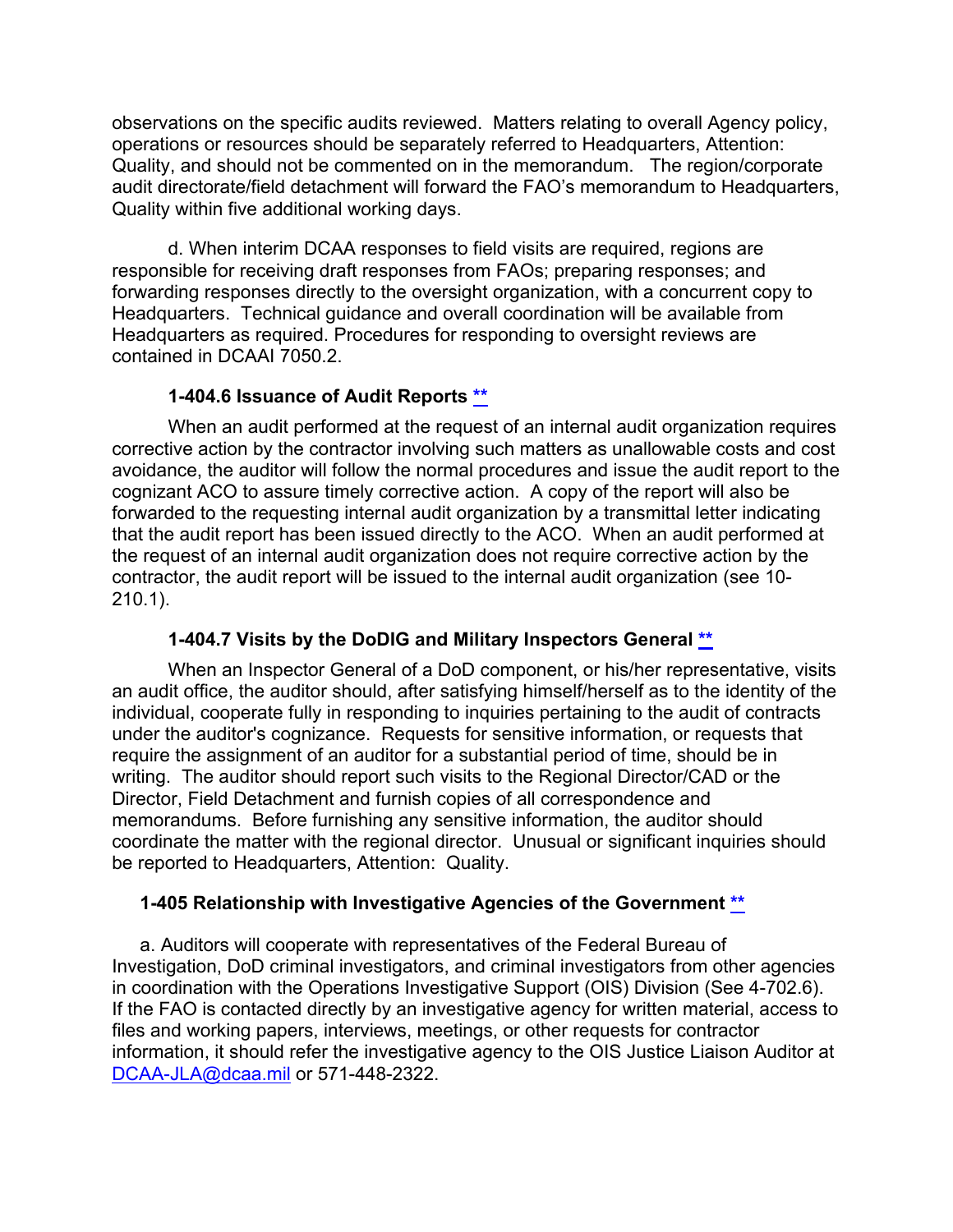observations on the specific audits reviewed. Matters relating to overall Agency policy, operations or resources should be separately referred to Headquarters, Attention: Quality, and should not be commented on in the memorandum. The region/corporate audit directorate/field detachment will forward the FAO's memorandum to Headquarters, Quality within five additional working days.

d. When interim DCAA responses to field visits are required, regions are responsible for receiving draft responses from FAOs; preparing responses; and forwarding responses directly to the oversight organization, with a concurrent copy to Headquarters. Technical guidance and overall coordination will be available from Headquarters as required. Procedures for responding to oversight reviews are contained in DCAAI 7050.2.

## <span id="page-26-0"></span>**1-404.6 Issuance of Audit Reports [\\*\\*](#page-2-5)**

When an audit performed at the request of an internal audit organization requires corrective action by the contractor involving such matters as unallowable costs and cost avoidance, the auditor will follow the normal procedures and issue the audit report to the cognizant ACO to assure timely corrective action. A copy of the report will also be forwarded to the requesting internal audit organization by a transmittal letter indicating that the audit report has been issued directly to the ACO. When an audit performed at the request of an internal audit organization does not require corrective action by the contractor, the audit report will be issued to the internal audit organization (see 10- 210.1).

## <span id="page-26-1"></span>**1-404.7 Visits by the DoDIG and Military Inspectors General [\\*\\*](#page-2-6)**

When an Inspector General of a DoD component, or his/her representative, visits an audit office, the auditor should, after satisfying himself/herself as to the identity of the individual, cooperate fully in responding to inquiries pertaining to the audit of contracts under the auditor's cognizance. Requests for sensitive information, or requests that require the assignment of an auditor for a substantial period of time, should be in writing. The auditor should report such visits to the Regional Director/CAD or the Director, Field Detachment and furnish copies of all correspondence and memorandums. Before furnishing any sensitive information, the auditor should coordinate the matter with the regional director. Unusual or significant inquiries should be reported to Headquarters, Attention: Quality.

## <span id="page-26-2"></span>**1-405 Relationship with Investigative Agencies of the Government [\\*\\*](#page-2-7)**

a. Auditors will cooperate with representatives of the Federal Bureau of Investigation, DoD criminal investigators, and criminal investigators from other agencies in coordination with the Operations Investigative Support (OIS) Division (See 4-702.6). If the FAO is contacted directly by an investigative agency for written material, access to files and working papers, interviews, meetings, or other requests for contractor information, it should refer the investigative agency to the OIS Justice Liaison Auditor at [DCAA-JLA@dcaa.mil](mailto:DCAA-JLA@dcaa.mil) or 571-448-2322.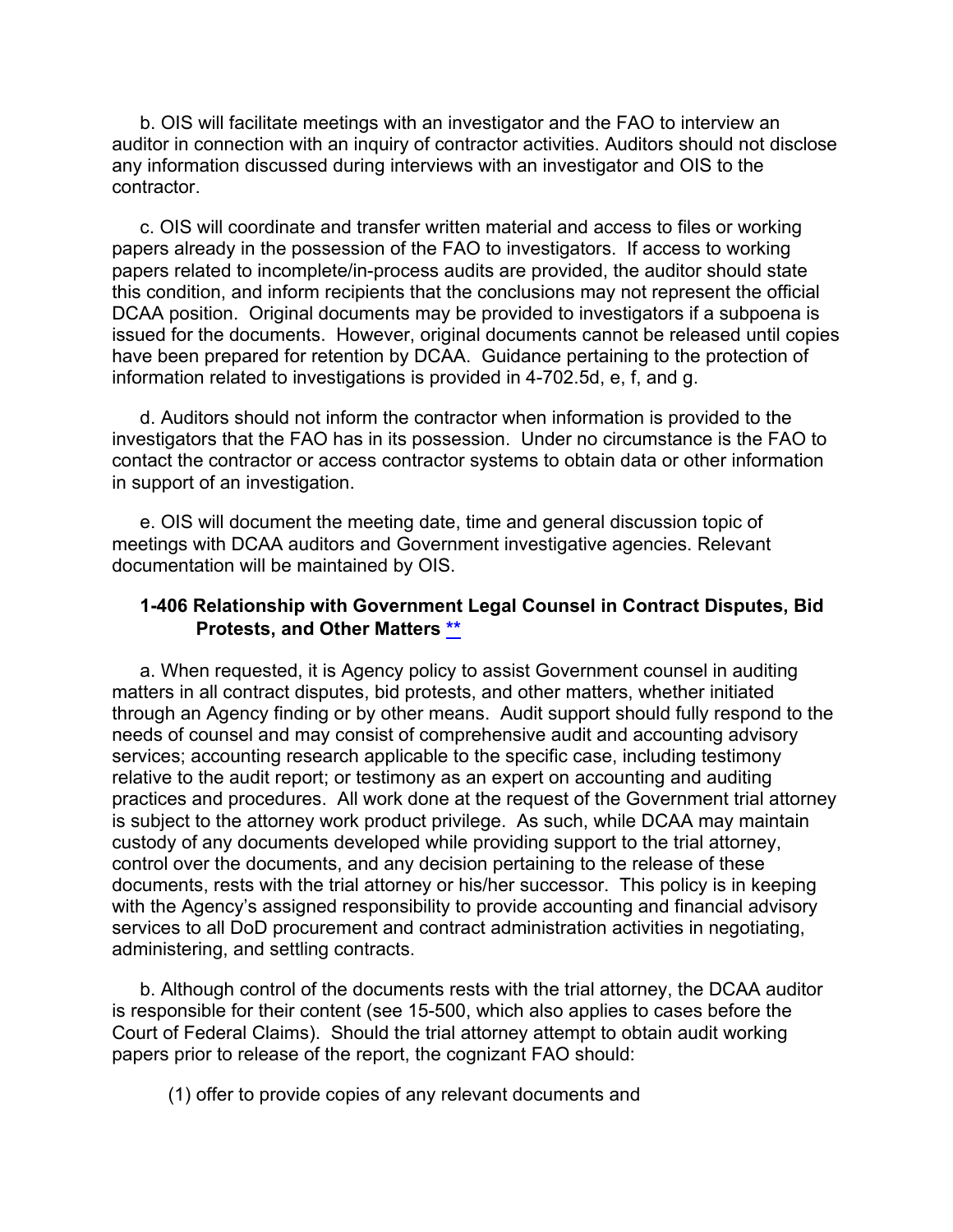b. OIS will facilitate meetings with an investigator and the FAO to interview an auditor in connection with an inquiry of contractor activities. Auditors should not disclose any information discussed during interviews with an investigator and OIS to the contractor.

c. OIS will coordinate and transfer written material and access to files or working papers already in the possession of the FAO to investigators. If access to working papers related to incomplete/in-process audits are provided, the auditor should state this condition, and inform recipients that the conclusions may not represent the official DCAA position. Original documents may be provided to investigators if a subpoena is issued for the documents. However, original documents cannot be released until copies have been prepared for retention by DCAA. Guidance pertaining to the protection of information related to investigations is provided in 4-702.5d, e, f, and g.

d. Auditors should not inform the contractor when information is provided to the investigators that the FAO has in its possession. Under no circumstance is the FAO to contact the contractor or access contractor systems to obtain data or other information in support of an investigation.

e. OIS will document the meeting date, time and general discussion topic of meetings with DCAA auditors and Government investigative agencies. Relevant documentation will be maintained by OIS.

#### <span id="page-27-0"></span>**1-406 Relationship with Government Legal Counsel in Contract Disputes, Bid Protests, and Other Matters [\\*\\*](#page-2-8)**

a. When requested, it is Agency policy to assist Government counsel in auditing matters in all contract disputes, bid protests, and other matters, whether initiated through an Agency finding or by other means. Audit support should fully respond to the needs of counsel and may consist of comprehensive audit and accounting advisory services; accounting research applicable to the specific case, including testimony relative to the audit report; or testimony as an expert on accounting and auditing practices and procedures. All work done at the request of the Government trial attorney is subject to the attorney work product privilege. As such, while DCAA may maintain custody of any documents developed while providing support to the trial attorney, control over the documents, and any decision pertaining to the release of these documents, rests with the trial attorney or his/her successor. This policy is in keeping with the Agency's assigned responsibility to provide accounting and financial advisory services to all DoD procurement and contract administration activities in negotiating, administering, and settling contracts.

b. Although control of the documents rests with the trial attorney, the DCAA auditor is responsible for their content (see 15-500, which also applies to cases before the Court of Federal Claims). Should the trial attorney attempt to obtain audit working papers prior to release of the report, the cognizant FAO should:

(1) offer to provide copies of any relevant documents and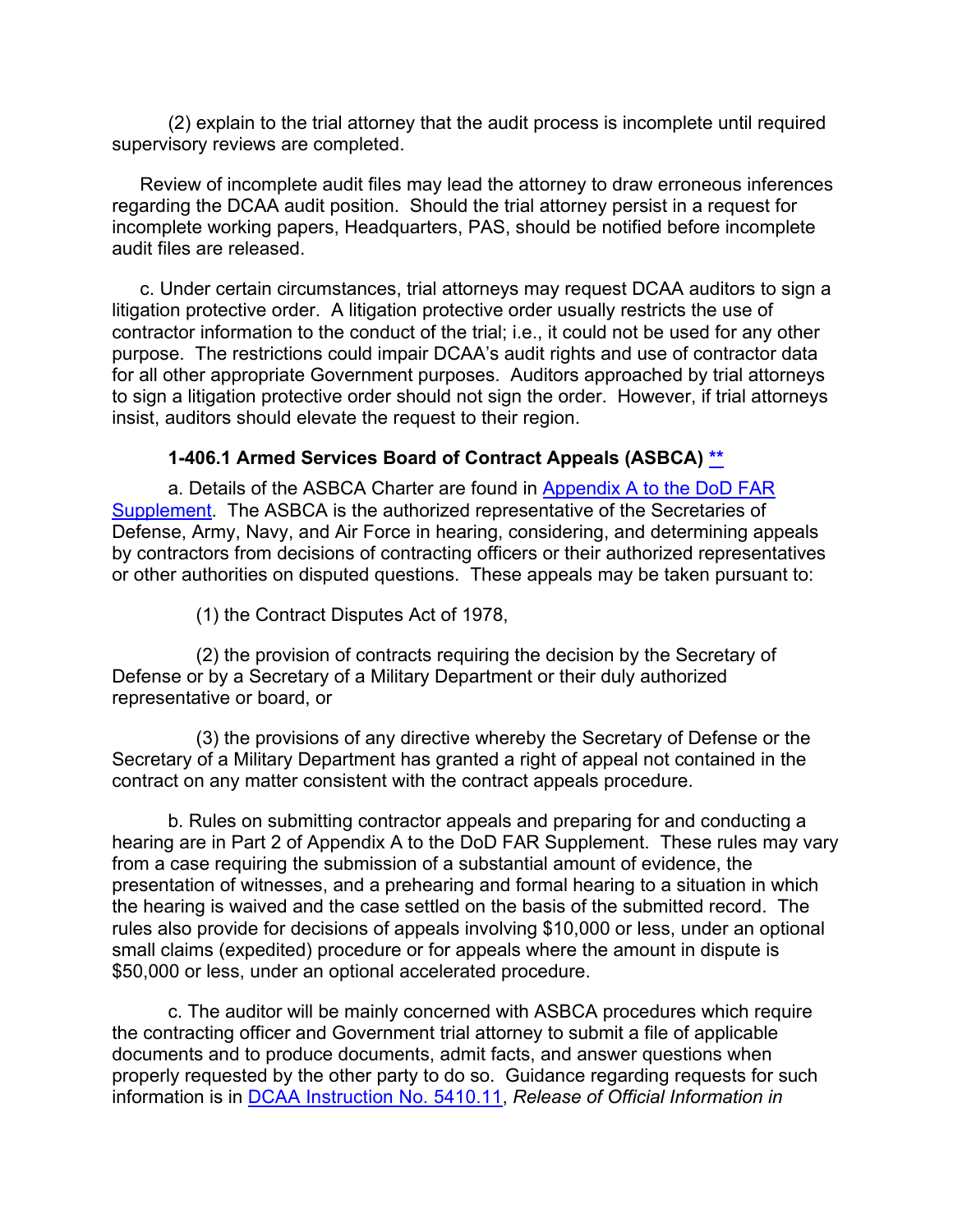(2) explain to the trial attorney that the audit process is incomplete until required supervisory reviews are completed.

Review of incomplete audit files may lead the attorney to draw erroneous inferences regarding the DCAA audit position. Should the trial attorney persist in a request for incomplete working papers, Headquarters, PAS, should be notified before incomplete audit files are released.

c. Under certain circumstances, trial attorneys may request DCAA auditors to sign a litigation protective order. A litigation protective order usually restricts the use of contractor information to the conduct of the trial; i.e., it could not be used for any other purpose. The restrictions could impair DCAA's audit rights and use of contractor data for all other appropriate Government purposes. Auditors approached by trial attorneys to sign a litigation protective order should not sign the order. However, if trial attorneys insist, auditors should elevate the request to their region.

#### **1-406.1 Armed Services Board of Contract Appeals (ASBCA) [\\*\\*](#page-2-9)**

a. Details of the ASBCA Charter are found in [Appendix A to the DoD FAR](http://www.ecfr.gov/cgi-bin/text-idx?SID=c90ce63422255e5174afc417de9c83ef&mc=true&node=ap48.3.254_6299.a&rgn=div9)  [Supplement.](http://www.ecfr.gov/cgi-bin/text-idx?SID=c90ce63422255e5174afc417de9c83ef&mc=true&node=ap48.3.254_6299.a&rgn=div9) The ASBCA is the authorized representative of the Secretaries of Defense, Army, Navy, and Air Force in hearing, considering, and determining appeals by contractors from decisions of contracting officers or their authorized representatives or other authorities on disputed questions. These appeals may be taken pursuant to:

<span id="page-28-0"></span>(1) the Contract Disputes Act of 1978,

(2) the provision of contracts requiring the decision by the Secretary of Defense or by a Secretary of a Military Department or their duly authorized representative or board, or

(3) the provisions of any directive whereby the Secretary of Defense or the Secretary of a Military Department has granted a right of appeal not contained in the contract on any matter consistent with the contract appeals procedure.

b. Rules on submitting contractor appeals and preparing for and conducting a hearing are in Part 2 of Appendix A to the DoD FAR Supplement. These rules may vary from a case requiring the submission of a substantial amount of evidence, the presentation of witnesses, and a prehearing and formal hearing to a situation in which the hearing is waived and the case settled on the basis of the submitted record. The rules also provide for decisions of appeals involving \$10,000 or less, under an optional small claims (expedited) procedure or for appeals where the amount in dispute is \$50,000 or less, under an optional accelerated procedure.

c. The auditor will be mainly concerned with ASBCA procedures which require the contracting officer and Government trial attorney to submit a file of applicable documents and to produce documents, admit facts, and answer questions when properly requested by the other party to do so. Guidance regarding requests for such information is in [DCAA Instruction](https://sharepoint.dcaaintra.mil/headquarters/resources/CM/CMC/Publications/Publications/DCAAI%205410.11.pdf) No. 5410.11, *Release of Official Information in*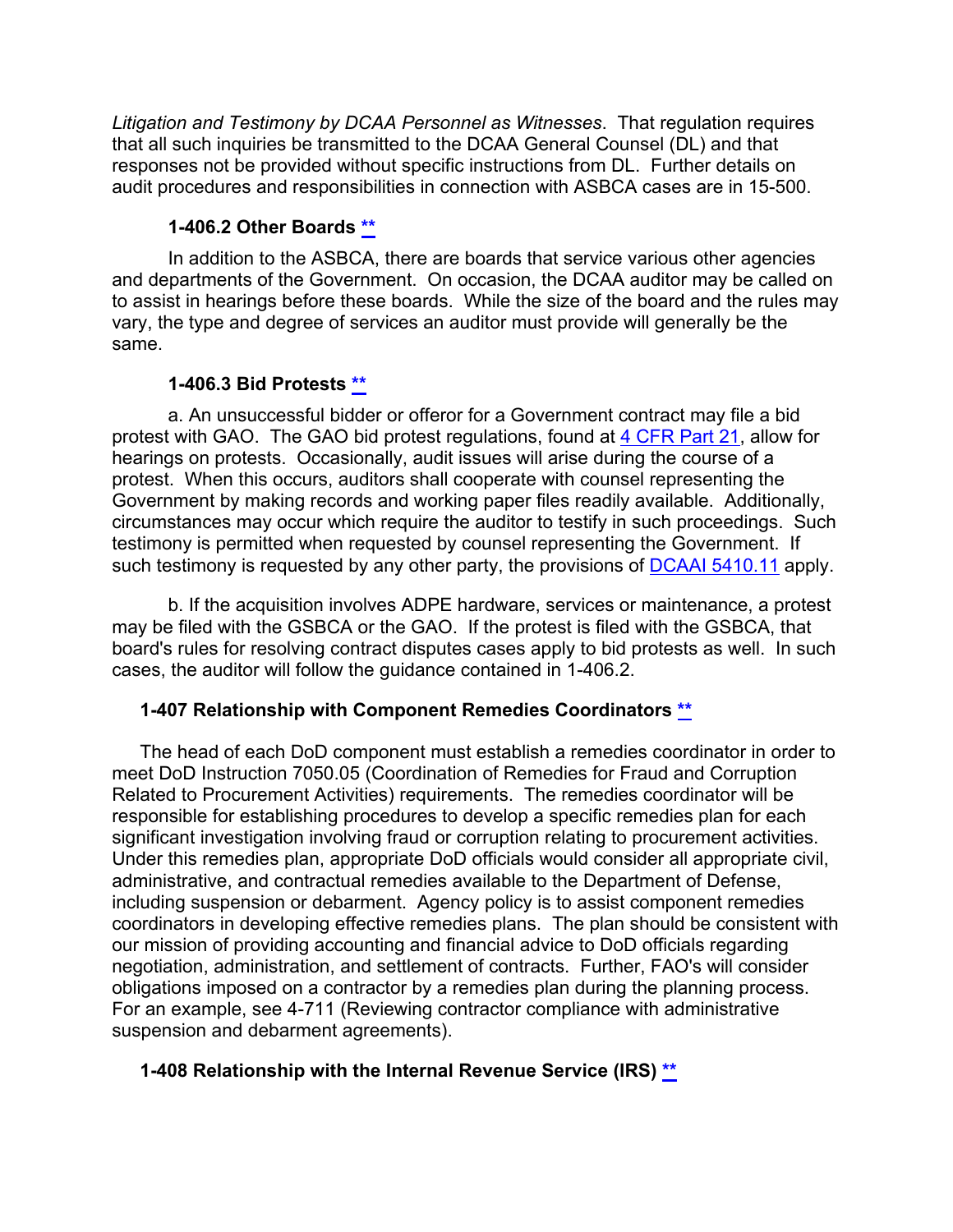*Litigation and Testimony by DCAA Personnel as Witnesses*. That regulation requires that all such inquiries be transmitted to the DCAA General Counsel (DL) and that responses not be provided without specific instructions from DL. Further details on audit procedures and responsibilities in connection with ASBCA cases are in 15-500.

## <span id="page-29-0"></span>**1-406.2 Other Boards [\\*\\*](#page-2-10)**

In addition to the ASBCA, there are boards that service various other agencies and departments of the Government. On occasion, the DCAA auditor may be called on to assist in hearings before these boards. While the size of the board and the rules may vary, the type and degree of services an auditor must provide will generally be the same.

## <span id="page-29-1"></span>**1-406.3 Bid Protests [\\*\\*](#page-2-11)**

a. An unsuccessful bidder or offeror for a Government contract may file a bid protest with GAO. The GAO bid protest regulations, found at [4 CFR Part 21,](http://www.ecfr.gov/cgi-bin/text-idx?SID=e4df689ba44565eb85aaa655f04618b8&mc=true&node=pt4.1.21&rgn=div5) allow for hearings on protests. Occasionally, audit issues will arise during the course of a protest. When this occurs, auditors shall cooperate with counsel representing the Government by making records and working paper files readily available. Additionally, circumstances may occur which require the auditor to testify in such proceedings. Such testimony is permitted when requested by counsel representing the Government. If such testimony is requested by any other party, the provisions of DCAAI [5410.11](https://sharepoint.dcaaintra.mil/headquarters/resources/CM/CMC/Publications/Publications/DCAAI%205410.11.pdf) apply.

b. If the acquisition involves ADPE hardware, services or maintenance, a protest may be filed with the GSBCA or the GAO. If the protest is filed with the GSBCA, that board's rules for resolving contract disputes cases apply to bid protests as well. In such cases, the auditor will follow the guidance contained in 1-406.2.

## <span id="page-29-2"></span>**1-407 Relationship with Component Remedies Coordinators [\\*\\*](#page-2-12)**

The head of each DoD component must establish a remedies coordinator in order to meet DoD Instruction 7050.05 (Coordination of Remedies for Fraud and Corruption Related to Procurement Activities) requirements. The remedies coordinator will be responsible for establishing procedures to develop a specific remedies plan for each significant investigation involving fraud or corruption relating to procurement activities. Under this remedies plan, appropriate DoD officials would consider all appropriate civil, administrative, and contractual remedies available to the Department of Defense, including suspension or debarment. Agency policy is to assist component remedies coordinators in developing effective remedies plans. The plan should be consistent with our mission of providing accounting and financial advice to DoD officials regarding negotiation, administration, and settlement of contracts. Further, FAO's will consider obligations imposed on a contractor by a remedies plan during the planning process. For an example, see 4-711 (Reviewing contractor compliance with administrative suspension and debarment agreements).

## <span id="page-29-3"></span>**1-408 Relationship with the Internal Revenue Service (IRS) [\\*\\*](#page-2-13)**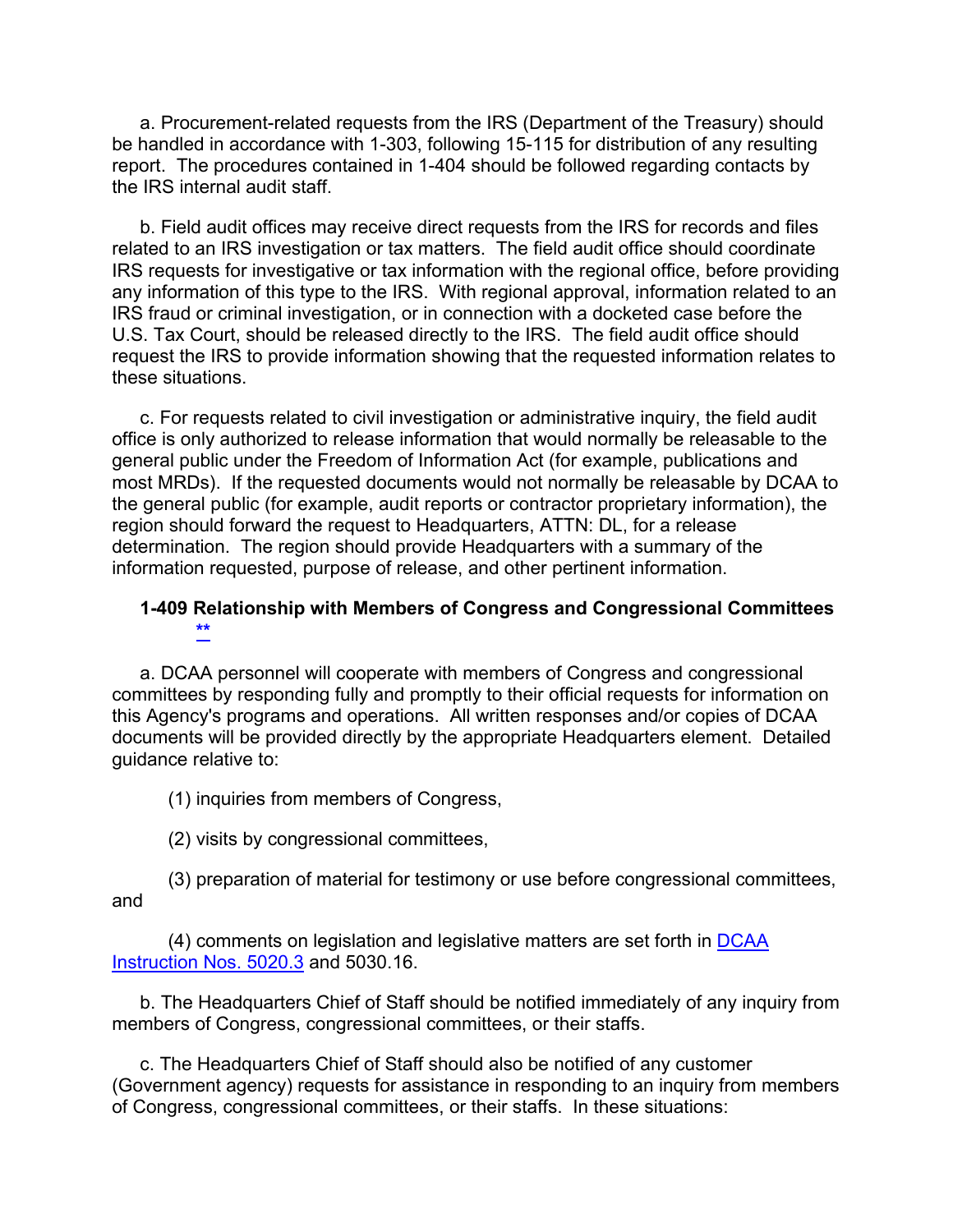a. Procurement-related requests from the IRS (Department of the Treasury) should be handled in accordance with 1-303, following 15-115 for distribution of any resulting report. The procedures contained in 1-404 should be followed regarding contacts by the IRS internal audit staff.

b. Field audit offices may receive direct requests from the IRS for records and files related to an IRS investigation or tax matters. The field audit office should coordinate IRS requests for investigative or tax information with the regional office, before providing any information of this type to the IRS. With regional approval, information related to an IRS fraud or criminal investigation, or in connection with a docketed case before the U.S. Tax Court, should be released directly to the IRS. The field audit office should request the IRS to provide information showing that the requested information relates to these situations.

c. For requests related to civil investigation or administrative inquiry, the field audit office is only authorized to release information that would normally be releasable to the general public under the Freedom of Information Act (for example, publications and most MRDs). If the requested documents would not normally be releasable by DCAA to the general public (for example, audit reports or contractor proprietary information), the region should forward the request to Headquarters, ATTN: DL, for a release determination. The region should provide Headquarters with a summary of the information requested, purpose of release, and other pertinent information.

#### **1-409 Relationship with Members of Congress and Congressional Committees [\\*\\*](#page-2-14)**

a. DCAA personnel will cooperate with members of Congress and congressional committees by responding fully and promptly to their official requests for information on this Agency's programs and operations. All written responses and/or copies of DCAA documents will be provided directly by the appropriate Headquarters element. Detailed guidance relative to:

<span id="page-30-0"></span>(1) inquiries from members of Congress,

(2) visits by congressional committees,

(3) preparation of material for testimony or use before congressional committees, and

(4) comments on legislation and legislative matters are set forth in DCAA Instruction [Nos. 5020.3](https://sharepoint.dcaaintra.mil/headquarters/resources/CM/CMC/Publications/Publications/DCAAI%205020.3.pdf) and 5030.16.

b. The Headquarters Chief of Staff should be notified immediately of any inquiry from members of Congress, congressional committees, or their staffs.

c. The Headquarters Chief of Staff should also be notified of any customer (Government agency) requests for assistance in responding to an inquiry from members of Congress, congressional committees, or their staffs. In these situations: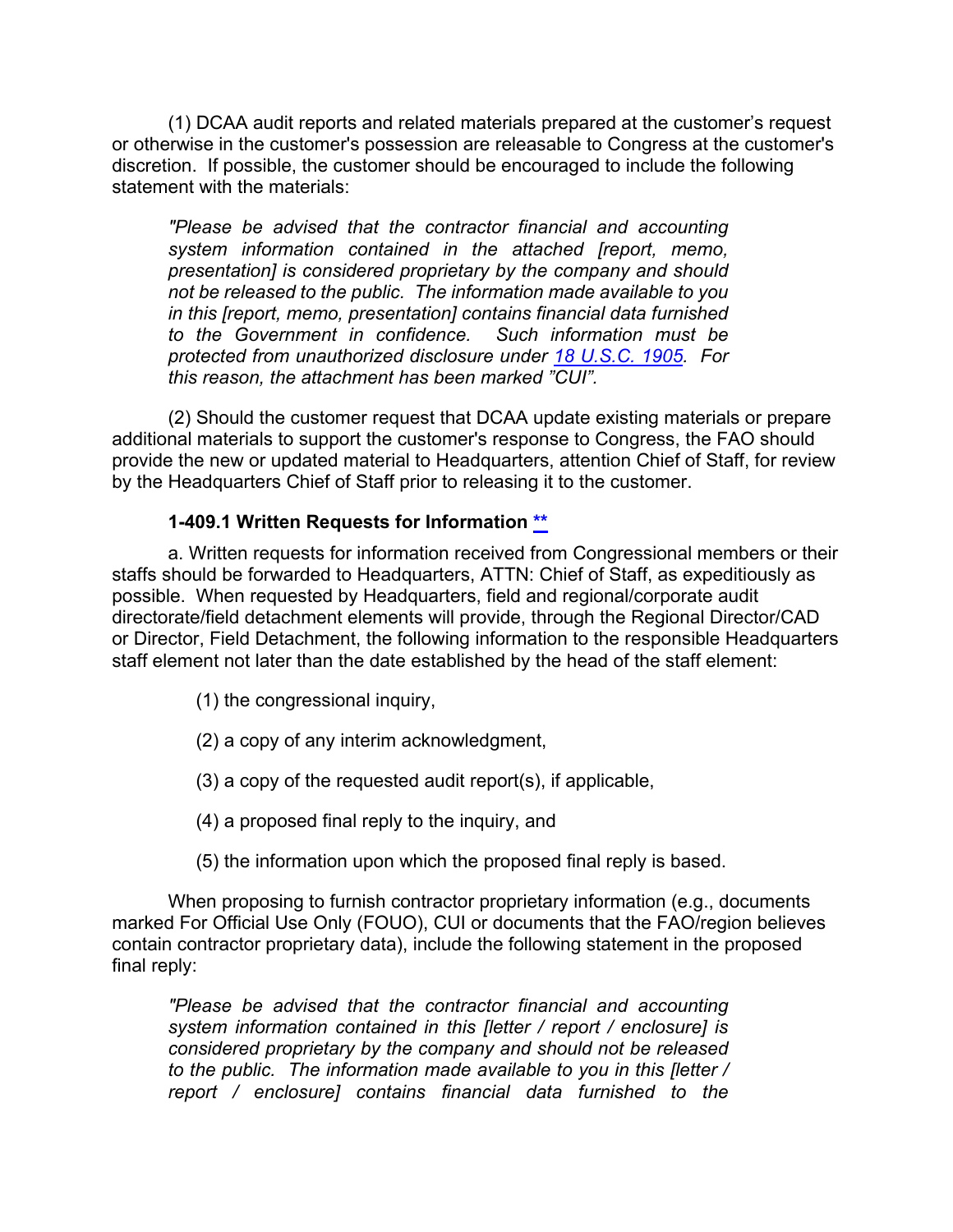(1) DCAA audit reports and related materials prepared at the customer's request or otherwise in the customer's possession are releasable to Congress at the customer's discretion. If possible, the customer should be encouraged to include the following statement with the materials:

*"Please be advised that the contractor financial and accounting system information contained in the attached [report, memo, presentation] is considered proprietary by the company and should not be released to the public. The information made available to you in this [report, memo, presentation] contains financial data furnished to the Government in confidence. protected from unauthorized disclosure under [18 U.S.C. 1905.](http://uscode.house.gov/view.xhtml?req=(title:18%20section:1905%20edition:prelim)%20OR%20(granuleid:USC-prelim-title18-section1905)&f=treesort&edition=prelim&num=0&jumpTo=true) For this reason, the attachment has been marked "CUI".*

(2) Should the customer request that DCAA update existing materials or prepare additional materials to support the customer's response to Congress, the FAO should provide the new or updated material to Headquarters, attention Chief of Staff, for review by the Headquarters Chief of Staff prior to releasing it to the customer.

#### <span id="page-31-0"></span>**1-409.1 Written Requests for Information [\\*\\*](#page-2-15)**

a. Written requests for information received from Congressional members or their staffs should be forwarded to Headquarters, ATTN: Chief of Staff, as expeditiously as possible. When requested by Headquarters, field and regional/corporate audit directorate/field detachment elements will provide, through the Regional Director/CAD or Director, Field Detachment, the following information to the responsible Headquarters staff element not later than the date established by the head of the staff element:

- (1) the congressional inquiry,
- (2) a copy of any interim acknowledgment,
- (3) a copy of the requested audit report(s), if applicable,
- (4) a proposed final reply to the inquiry, and
- (5) the information upon which the proposed final reply is based.

When proposing to furnish contractor proprietary information (e.g., documents marked For Official Use Only (FOUO), CUI or documents that the FAO/region believes contain contractor proprietary data), include the following statement in the proposed final reply:

*"Please be advised that the contractor financial and accounting system information contained in this [letter / report / enclosure] is considered proprietary by the company and should not be released to the public. The information made available to you in this [letter / report / enclosure] contains financial data furnished to the*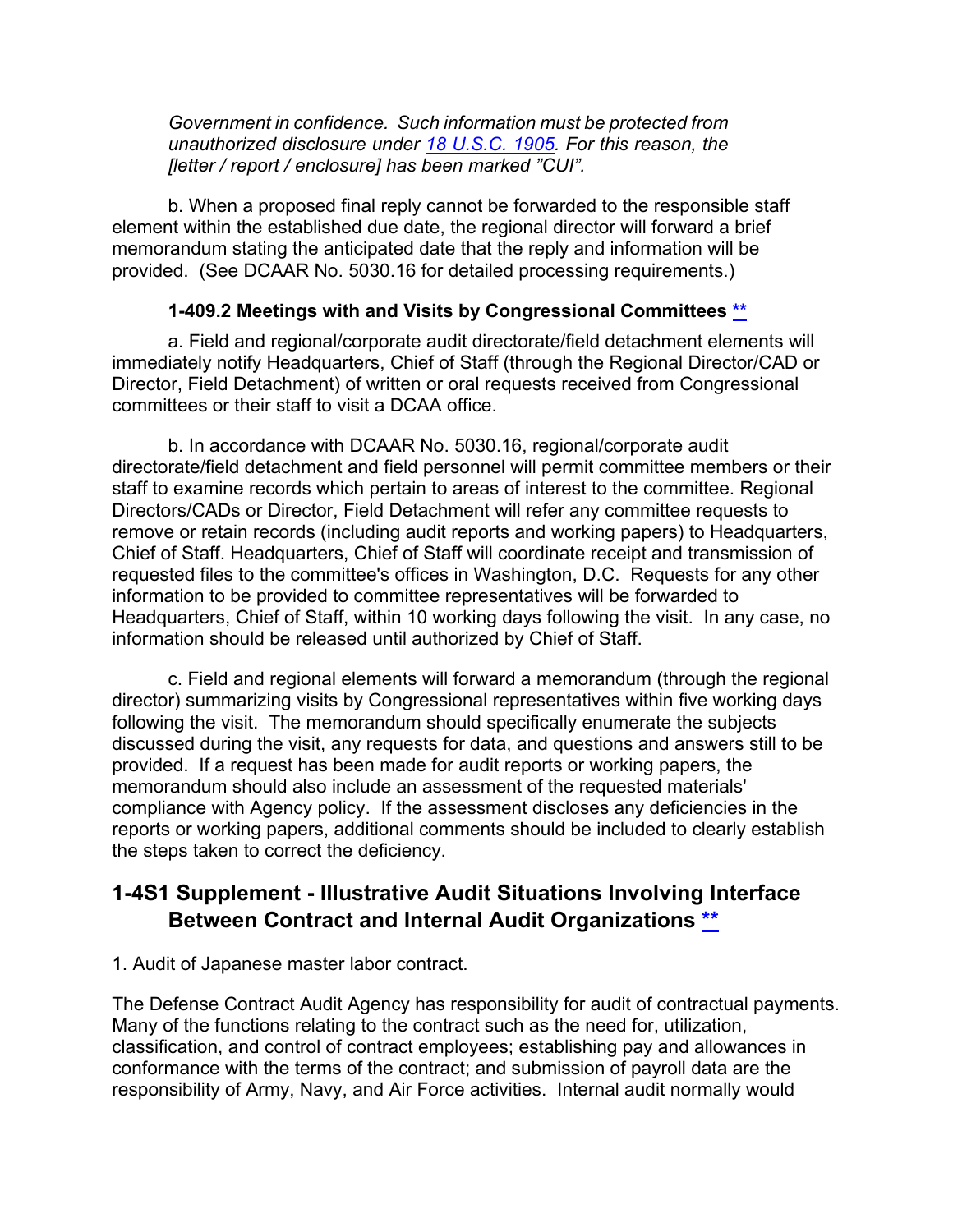*Government in confidence. Such information must be protected from unauthorized disclosure under [18 U.S.C. 1905.](http://uscode.house.gov/view.xhtml?req=(title:18%20section:1905%20edition:prelim)%20OR%20(granuleid:USC-prelim-title18-section1905)&f=treesort&edition=prelim&num=0&jumpTo=true) For this reason, the [letter / report / enclosure] has been marked "CUI".*

b. When a proposed final reply cannot be forwarded to the responsible staff element within the established due date, the regional director will forward a brief memorandum stating the anticipated date that the reply and information will be provided. (See DCAAR No. 5030.16 for detailed processing requirements.)

### <span id="page-32-0"></span>**1-409.2 Meetings with and Visits by Congressional Committees [\\*\\*](#page-2-16)**

a. Field and regional/corporate audit directorate/field detachment elements will immediately notify Headquarters, Chief of Staff (through the Regional Director/CAD or Director, Field Detachment) of written or oral requests received from Congressional committees or their staff to visit a DCAA office.

b. In accordance with DCAAR No. 5030.16, regional/corporate audit directorate/field detachment and field personnel will permit committee members or their staff to examine records which pertain to areas of interest to the committee. Regional Directors/CADs or Director, Field Detachment will refer any committee requests to remove or retain records (including audit reports and working papers) to Headquarters, Chief of Staff. Headquarters, Chief of Staff will coordinate receipt and transmission of requested files to the committee's offices in Washington, D.C. Requests for any other information to be provided to committee representatives will be forwarded to Headquarters, Chief of Staff, within 10 working days following the visit. In any case, no information should be released until authorized by Chief of Staff.

c. Field and regional elements will forward a memorandum (through the regional director) summarizing visits by Congressional representatives within five working days following the visit. The memorandum should specifically enumerate the subjects discussed during the visit, any requests for data, and questions and answers still to be provided. If a request has been made for audit reports or working papers, the memorandum should also include an assessment of the requested materials' compliance with Agency policy. If the assessment discloses any deficiencies in the reports or working papers, additional comments should be included to clearly establish the steps taken to correct the deficiency.

## <span id="page-32-1"></span>**1-4S1 Supplement - Illustrative Audit Situations Involving Interface Between Contract and Internal Audit Organizations [\\*\\*](#page-2-17)**

#### 1. Audit of Japanese master labor contract.

The Defense Contract Audit Agency has responsibility for audit of contractual payments. Many of the functions relating to the contract such as the need for, utilization, classification, and control of contract employees; establishing pay and allowances in conformance with the terms of the contract; and submission of payroll data are the responsibility of Army, Navy, and Air Force activities. Internal audit normally would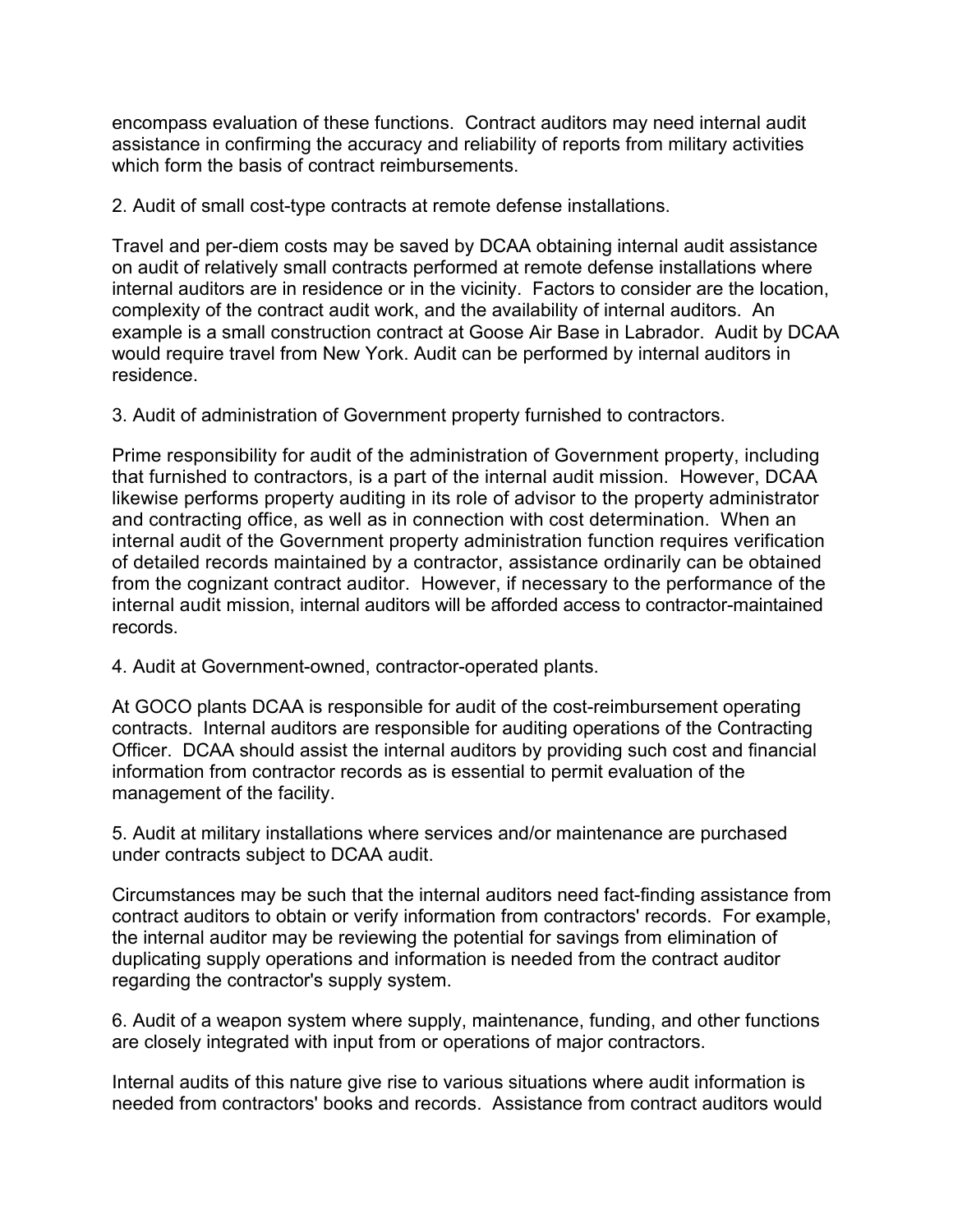encompass evaluation of these functions. Contract auditors may need internal audit assistance in confirming the accuracy and reliability of reports from military activities which form the basis of contract reimbursements.

2. Audit of small cost-type contracts at remote defense installations.

Travel and per-diem costs may be saved by DCAA obtaining internal audit assistance on audit of relatively small contracts performed at remote defense installations where internal auditors are in residence or in the vicinity. Factors to consider are the location, complexity of the contract audit work, and the availability of internal auditors. An example is a small construction contract at Goose Air Base in Labrador. Audit by DCAA would require travel from New York. Audit can be performed by internal auditors in residence.

3. Audit of administration of Government property furnished to contractors.

Prime responsibility for audit of the administration of Government property, including that furnished to contractors, is a part of the internal audit mission. However, DCAA likewise performs property auditing in its role of advisor to the property administrator and contracting office, as well as in connection with cost determination. When an internal audit of the Government property administration function requires verification of detailed records maintained by a contractor, assistance ordinarily can be obtained from the cognizant contract auditor. However, if necessary to the performance of the internal audit mission, internal auditors will be afforded access to contractor-maintained records.

4. Audit at Government-owned, contractor-operated plants.

At GOCO plants DCAA is responsible for audit of the cost-reimbursement operating contracts. Internal auditors are responsible for auditing operations of the Contracting Officer. DCAA should assist the internal auditors by providing such cost and financial information from contractor records as is essential to permit evaluation of the management of the facility.

5. Audit at military installations where services and/or maintenance are purchased under contracts subject to DCAA audit.

Circumstances may be such that the internal auditors need fact-finding assistance from contract auditors to obtain or verify information from contractors' records. For example, the internal auditor may be reviewing the potential for savings from elimination of duplicating supply operations and information is needed from the contract auditor regarding the contractor's supply system.

6. Audit of a weapon system where supply, maintenance, funding, and other functions are closely integrated with input from or operations of major contractors.

Internal audits of this nature give rise to various situations where audit information is needed from contractors' books and records. Assistance from contract auditors would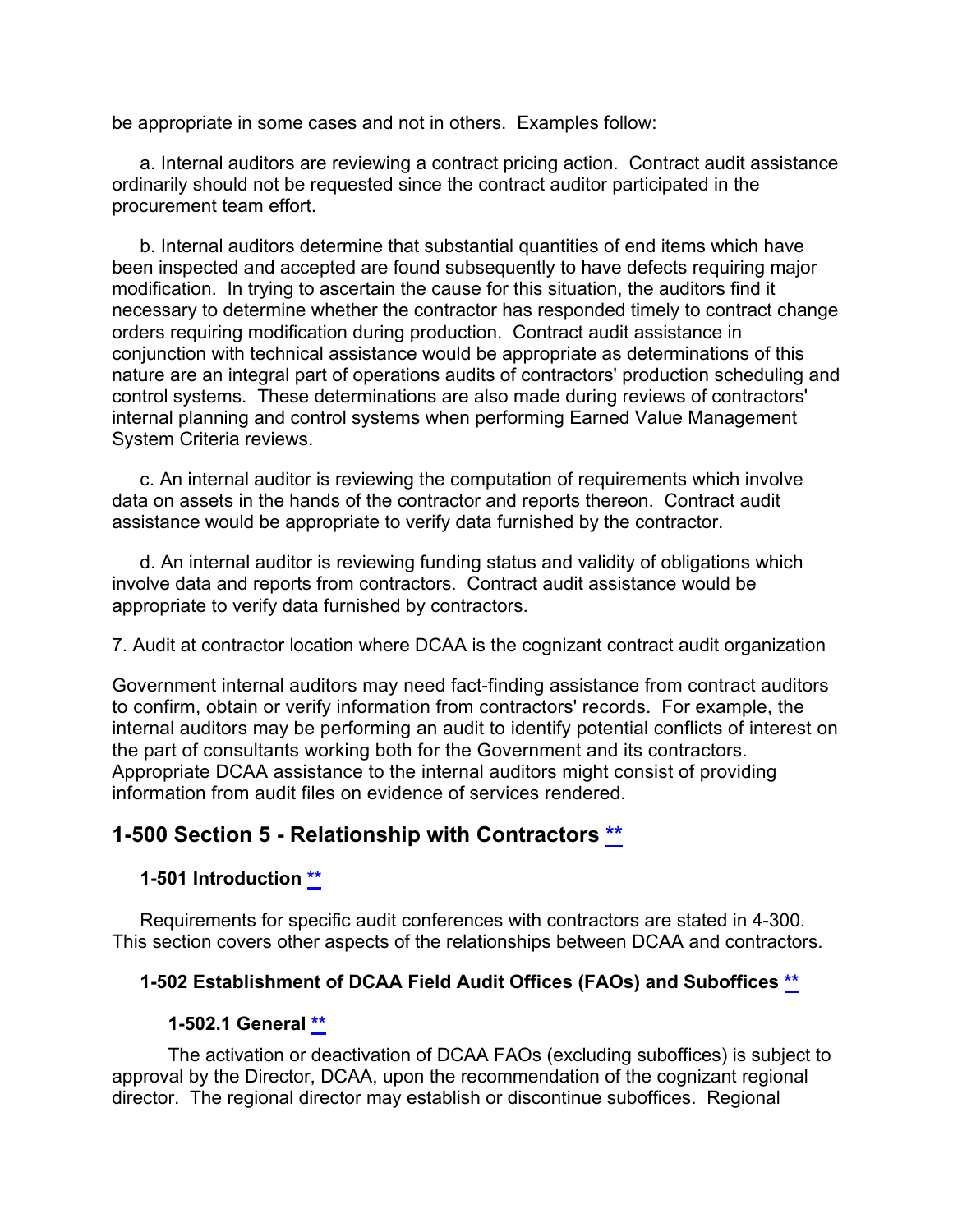be appropriate in some cases and not in others. Examples follow:

a. Internal auditors are reviewing a contract pricing action. Contract audit assistance ordinarily should not be requested since the contract auditor participated in the procurement team effort.

b. Internal auditors determine that substantial quantities of end items which have been inspected and accepted are found subsequently to have defects requiring major modification. In trying to ascertain the cause for this situation, the auditors find it necessary to determine whether the contractor has responded timely to contract change orders requiring modification during production. Contract audit assistance in conjunction with technical assistance would be appropriate as determinations of this nature are an integral part of operations audits of contractors' production scheduling and control systems. These determinations are also made during reviews of contractors' internal planning and control systems when performing Earned Value Management System Criteria reviews.

c. An internal auditor is reviewing the computation of requirements which involve data on assets in the hands of the contractor and reports thereon. Contract audit assistance would be appropriate to verify data furnished by the contractor.

d. An internal auditor is reviewing funding status and validity of obligations which involve data and reports from contractors. Contract audit assistance would be appropriate to verify data furnished by contractors.

7. Audit at contractor location where DCAA is the cognizant contract audit organization

Government internal auditors may need fact-finding assistance from contract auditors to confirm, obtain or verify information from contractors' records. For example, the internal auditors may be performing an audit to identify potential conflicts of interest on the part of consultants working both for the Government and its contractors. Appropriate DCAA assistance to the internal auditors might consist of providing information from audit files on evidence of services rendered.

## **1-500 Section 5 - Relationship with Contractors [\\*\\*](#page-2-18)**

## <span id="page-34-1"></span><span id="page-34-0"></span>**1-501 Introduction [\\*\\*](#page-2-19)**

Requirements for specific audit conferences with contractors are stated in 4-300. This section covers other aspects of the relationships between DCAA and contractors.

#### **1-502 Establishment of DCAA Field Audit Offices (FAOs) and Suboffices [\\*\\*](#page-2-20)**

#### <span id="page-34-3"></span><span id="page-34-2"></span>**1-502.1 General [\\*\\*](#page-2-21)**

The activation or deactivation of DCAA FAOs (excluding suboffices) is subject to approval by the Director, DCAA, upon the recommendation of the cognizant regional director. The regional director may establish or discontinue suboffices. Regional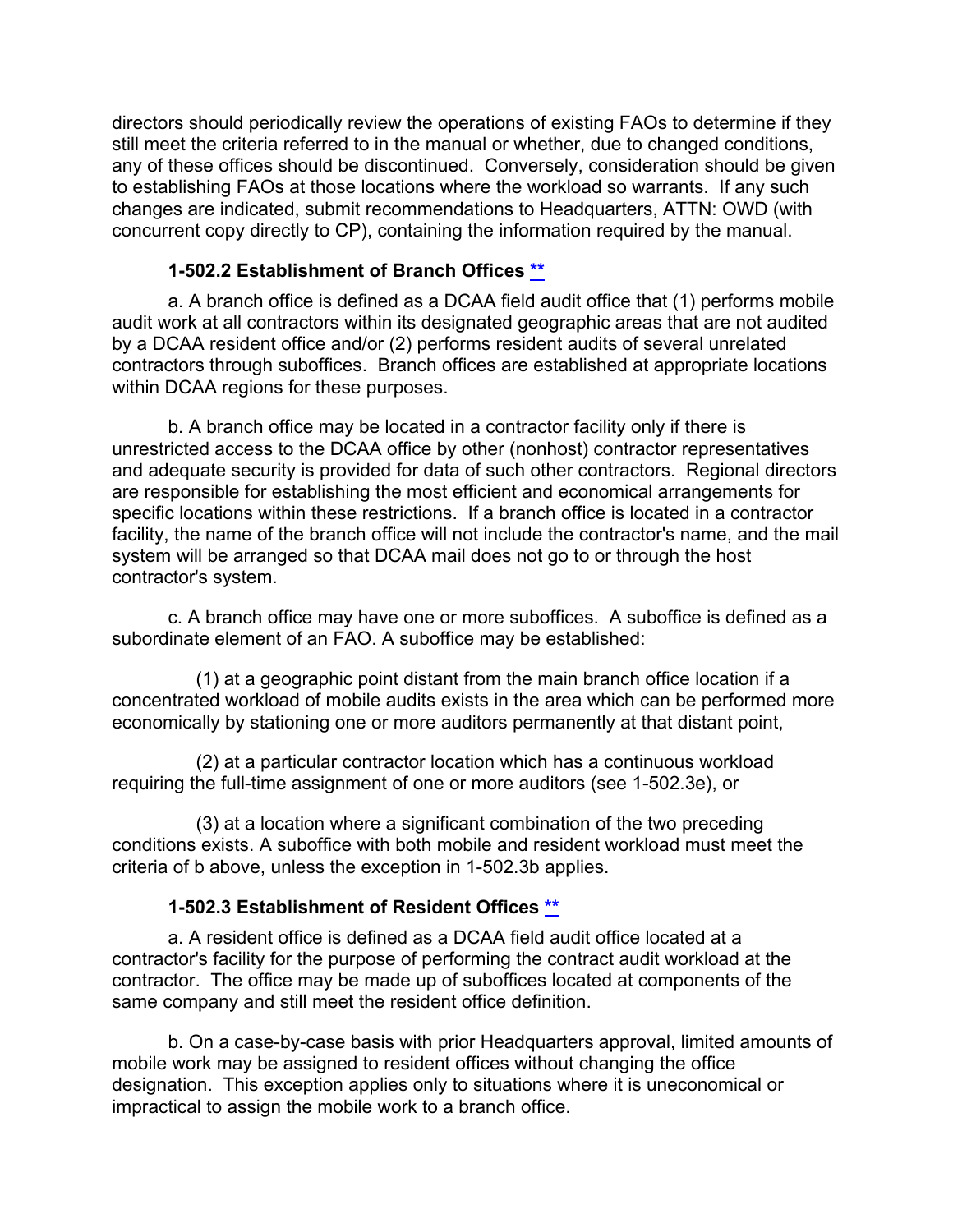directors should periodically review the operations of existing FAOs to determine if they still meet the criteria referred to in the manual or whether, due to changed conditions, any of these offices should be discontinued. Conversely, consideration should be given to establishing FAOs at those locations where the workload so warrants. If any such changes are indicated, submit recommendations to Headquarters, ATTN: OWD (with concurrent copy directly to CP), containing the information required by the manual.

#### <span id="page-35-0"></span>**1-502.2 Establishment of Branch Offices [\\*\\*](#page-2-22)**

a. A branch office is defined as a DCAA field audit office that (1) performs mobile audit work at all contractors within its designated geographic areas that are not audited by a DCAA resident office and/or (2) performs resident audits of several unrelated contractors through suboffices. Branch offices are established at appropriate locations within DCAA regions for these purposes.

b. A branch office may be located in a contractor facility only if there is unrestricted access to the DCAA office by other (nonhost) contractor representatives and adequate security is provided for data of such other contractors. Regional directors are responsible for establishing the most efficient and economical arrangements for specific locations within these restrictions. If a branch office is located in a contractor facility, the name of the branch office will not include the contractor's name, and the mail system will be arranged so that DCAA mail does not go to or through the host contractor's system.

c. A branch office may have one or more suboffices. A suboffice is defined as a subordinate element of an FAO. A suboffice may be established:

(1) at a geographic point distant from the main branch office location if a concentrated workload of mobile audits exists in the area which can be performed more economically by stationing one or more auditors permanently at that distant point,

(2) at a particular contractor location which has a continuous workload requiring the full-time assignment of one or more auditors (see 1-502.3e), or

(3) at a location where a significant combination of the two preceding conditions exists. A suboffice with both mobile and resident workload must meet the criteria of b above, unless the exception in 1-502.3b applies.

## <span id="page-35-1"></span>**1-502.3 Establishment of Resident Offices [\\*\\*](#page-2-23)**

a. A resident office is defined as a DCAA field audit office located at a contractor's facility for the purpose of performing the contract audit workload at the contractor. The office may be made up of suboffices located at components of the same company and still meet the resident office definition.

b. On a case-by-case basis with prior Headquarters approval, limited amounts of mobile work may be assigned to resident offices without changing the office designation. This exception applies only to situations where it is uneconomical or impractical to assign the mobile work to a branch office.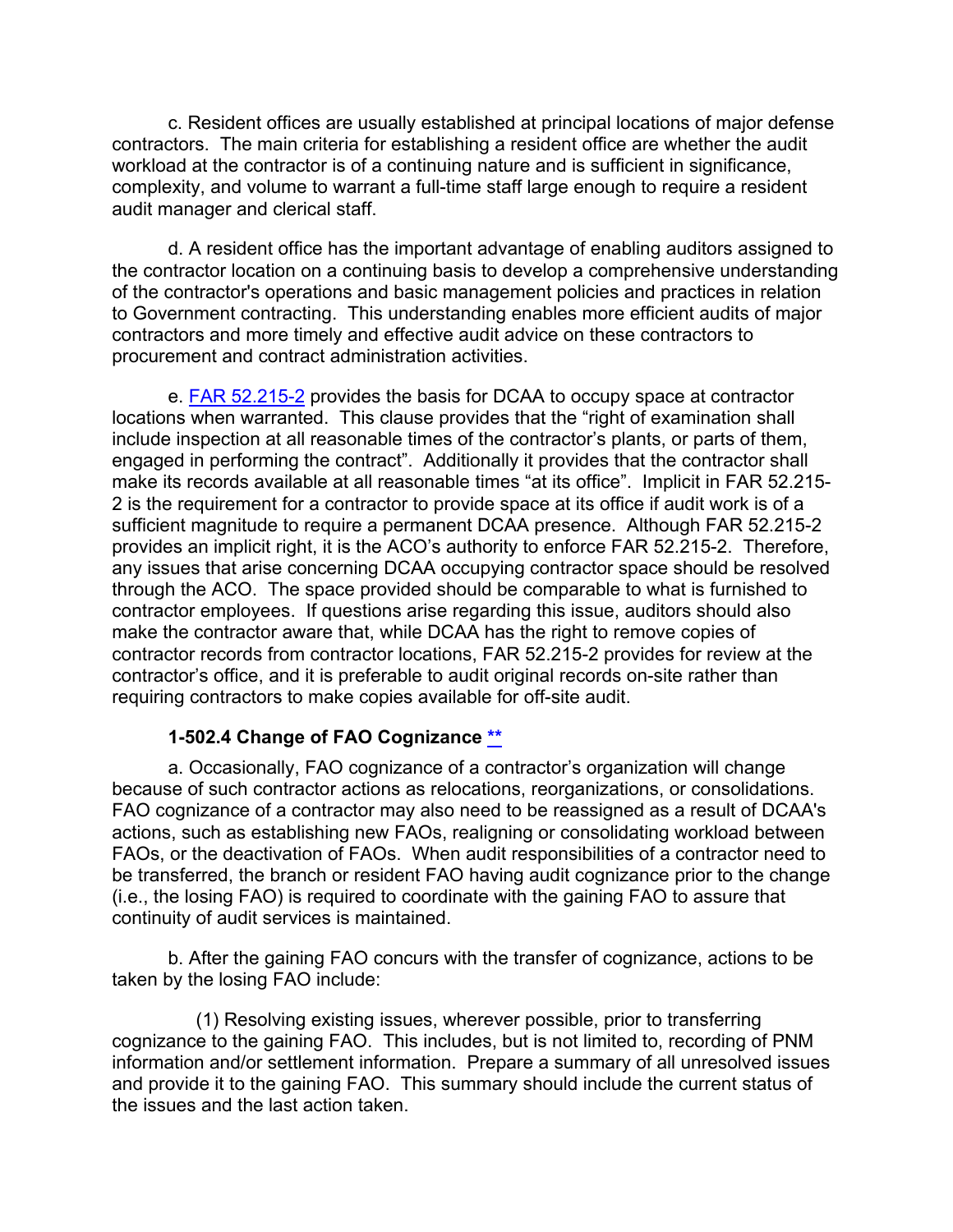c. Resident offices are usually established at principal locations of major defense contractors. The main criteria for establishing a resident office are whether the audit workload at the contractor is of a continuing nature and is sufficient in significance, complexity, and volume to warrant a full-time staff large enough to require a resident audit manager and clerical staff.

d. A resident office has the important advantage of enabling auditors assigned to the contractor location on a continuing basis to develop a comprehensive understanding of the contractor's operations and basic management policies and practices in relation to Government contracting. This understanding enables more efficient audits of major contractors and more timely and effective audit advice on these contractors to procurement and contract administration activities.

e. [FAR 52.215-2](http://www.ecfr.gov/cgi-bin/text-idx?SID=03501e87354bfd11d85ce2841068df3d&mc=true&node=se48.2.52_1215_62&rgn=div8) provides the basis for DCAA to occupy space at contractor locations when warranted. This clause provides that the "right of examination shall include inspection at all reasonable times of the contractor's plants, or parts of them, engaged in performing the contract". Additionally it provides that the contractor shall make its records available at all reasonable times "at its office". Implicit in FAR 52.215- 2 is the requirement for a contractor to provide space at its office if audit work is of a sufficient magnitude to require a permanent DCAA presence. Although FAR 52.215-2 provides an implicit right, it is the ACO's authority to enforce FAR 52.215-2. Therefore, any issues that arise concerning DCAA occupying contractor space should be resolved through the ACO. The space provided should be comparable to what is furnished to contractor employees. If questions arise regarding this issue, auditors should also make the contractor aware that, while DCAA has the right to remove copies of contractor records from contractor locations, FAR 52.215-2 provides for review at the contractor's office, and it is preferable to audit original records on-site rather than requiring contractors to make copies available for off-site audit.

## <span id="page-36-0"></span>**1-502.4 Change of FAO Cognizance [\\*\\*](#page-2-24)**

a. Occasionally, FAO cognizance of a contractor's organization will change because of such contractor actions as relocations, reorganizations, or consolidations. FAO cognizance of a contractor may also need to be reassigned as a result of DCAA's actions, such as establishing new FAOs, realigning or consolidating workload between FAOs, or the deactivation of FAOs. When audit responsibilities of a contractor need to be transferred, the branch or resident FAO having audit cognizance prior to the change (i.e., the losing FAO) is required to coordinate with the gaining FAO to assure that continuity of audit services is maintained.

b. After the gaining FAO concurs with the transfer of cognizance, actions to be taken by the losing FAO include:

(1) Resolving existing issues, wherever possible, prior to transferring cognizance to the gaining FAO. This includes, but is not limited to, recording of PNM information and/or settlement information. Prepare a summary of all unresolved issues and provide it to the gaining FAO. This summary should include the current status of the issues and the last action taken.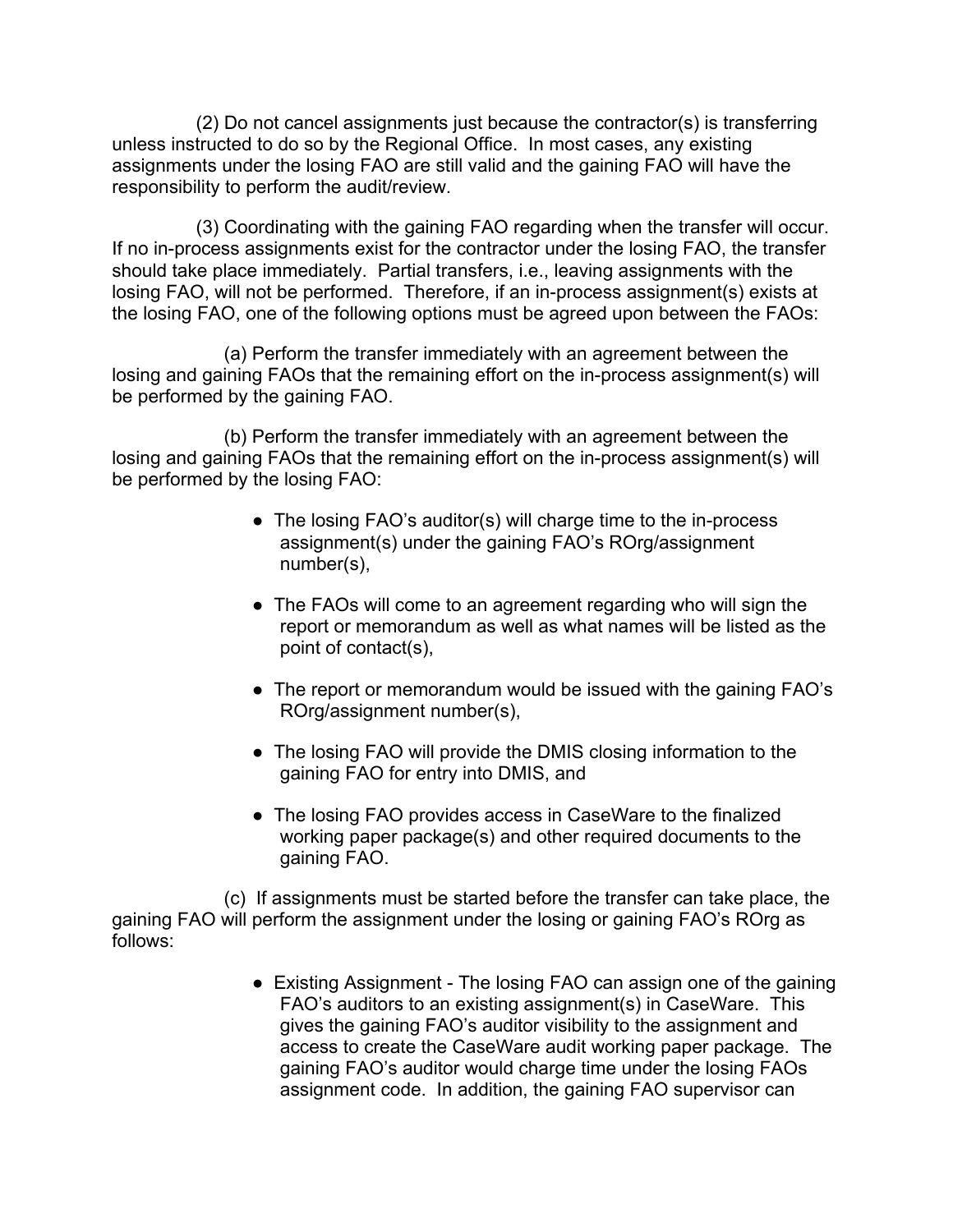(2) Do not cancel assignments just because the contractor(s) is transferring unless instructed to do so by the Regional Office. In most cases, any existing assignments under the losing FAO are still valid and the gaining FAO will have the responsibility to perform the audit/review.

(3) Coordinating with the gaining FAO regarding when the transfer will occur. If no in-process assignments exist for the contractor under the losing FAO, the transfer should take place immediately. Partial transfers, i.e., leaving assignments with the losing FAO, will not be performed. Therefore, if an in-process assignment(s) exists at the losing FAO, one of the following options must be agreed upon between the FAOs:

(a) Perform the transfer immediately with an agreement between the losing and gaining FAOs that the remaining effort on the in-process assignment(s) will be performed by the gaining FAO.

(b) Perform the transfer immediately with an agreement between the losing and gaining FAOs that the remaining effort on the in-process assignment(s) will be performed by the losing FAO:

- The losing FAO's auditor(s) will charge time to the in-process assignment(s) under the gaining FAO's ROrg/assignment number(s),
- The FAOs will come to an agreement regarding who will sign the report or memorandum as well as what names will be listed as the point of contact(s),
- The report or memorandum would be issued with the gaining FAO's ROrg/assignment number(s),
- The losing FAO will provide the DMIS closing information to the gaining FAO for entry into DMIS, and
- The losing FAO provides access in CaseWare to the finalized working paper package(s) and other required documents to the gaining FAO.

(c) If assignments must be started before the transfer can take place, the gaining FAO will perform the assignment under the losing or gaining FAO's ROrg as follows:

> • Existing Assignment - The losing FAO can assign one of the gaining FAO's auditors to an existing assignment(s) in CaseWare. This gives the gaining FAO's auditor visibility to the assignment and access to create the CaseWare audit working paper package. The gaining FAO's auditor would charge time under the losing FAOs assignment code. In addition, the gaining FAO supervisor can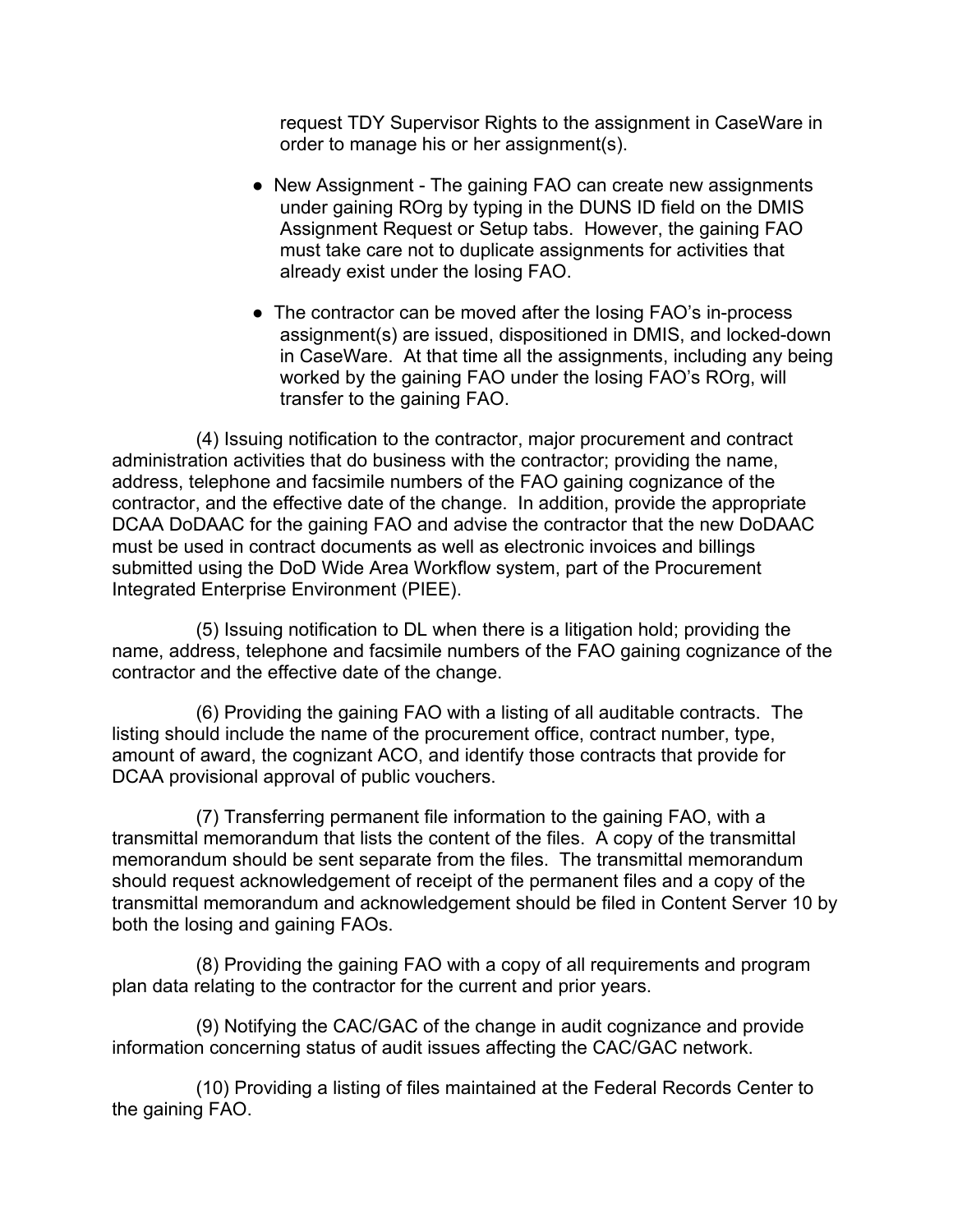request TDY Supervisor Rights to the assignment in CaseWare in order to manage his or her assignment(s).

- New Assignment The gaining FAO can create new assignments under gaining ROrg by typing in the DUNS ID field on the DMIS Assignment Request or Setup tabs. However, the gaining FAO must take care not to duplicate assignments for activities that already exist under the losing FAO.
- The contractor can be moved after the losing FAO's in-process assignment(s) are issued, dispositioned in DMIS, and locked-down in CaseWare. At that time all the assignments, including any being worked by the gaining FAO under the losing FAO's ROrg, will transfer to the gaining FAO.

(4) Issuing notification to the contractor, major procurement and contract administration activities that do business with the contractor; providing the name, address, telephone and facsimile numbers of the FAO gaining cognizance of the contractor, and the effective date of the change. In addition, provide the appropriate DCAA DoDAAC for the gaining FAO and advise the contractor that the new DoDAAC must be used in contract documents as well as electronic invoices and billings submitted using the DoD Wide Area Workflow system, part of the Procurement Integrated Enterprise Environment (PIEE).

(5) Issuing notification to DL when there is a litigation hold; providing the name, address, telephone and facsimile numbers of the FAO gaining cognizance of the contractor and the effective date of the change.

(6) Providing the gaining FAO with a listing of all auditable contracts. The listing should include the name of the procurement office, contract number, type, amount of award, the cognizant ACO, and identify those contracts that provide for DCAA provisional approval of public vouchers.

(7) Transferring permanent file information to the gaining FAO, with a transmittal memorandum that lists the content of the files. A copy of the transmittal memorandum should be sent separate from the files. The transmittal memorandum should request acknowledgement of receipt of the permanent files and a copy of the transmittal memorandum and acknowledgement should be filed in Content Server 10 by both the losing and gaining FAOs.

(8) Providing the gaining FAO with a copy of all requirements and program plan data relating to the contractor for the current and prior years.

(9) Notifying the CAC/GAC of the change in audit cognizance and provide information concerning status of audit issues affecting the CAC/GAC network.

(10) Providing a listing of files maintained at the Federal Records Center to the gaining FAO.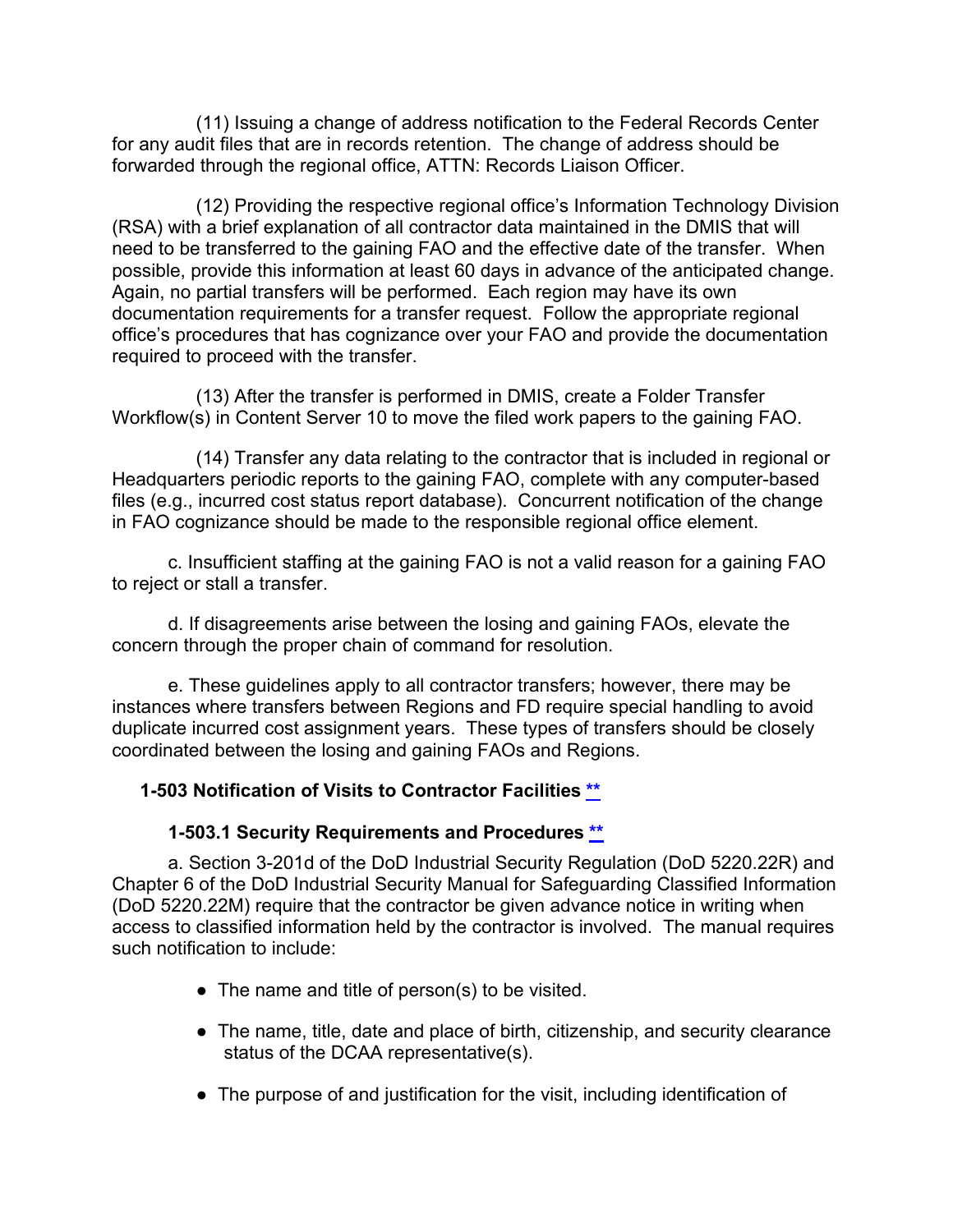(11) Issuing a change of address notification to the Federal Records Center for any audit files that are in records retention. The change of address should be forwarded through the regional office, ATTN: Records Liaison Officer.

(12) Providing the respective regional office's Information Technology Division (RSA) with a brief explanation of all contractor data maintained in the DMIS that will need to be transferred to the gaining FAO and the effective date of the transfer. When possible, provide this information at least 60 days in advance of the anticipated change. Again, no partial transfers will be performed. Each region may have its own documentation requirements for a transfer request. Follow the appropriate regional office's procedures that has cognizance over your FAO and provide the documentation required to proceed with the transfer.

(13) After the transfer is performed in DMIS, create a Folder Transfer Workflow(s) in Content Server 10 to move the filed work papers to the gaining FAO.

(14) Transfer any data relating to the contractor that is included in regional or Headquarters periodic reports to the gaining FAO, complete with any computer-based files (e.g., incurred cost status report database). Concurrent notification of the change in FAO cognizance should be made to the responsible regional office element.

c. Insufficient staffing at the gaining FAO is not a valid reason for a gaining FAO to reject or stall a transfer.

d. If disagreements arise between the losing and gaining FAOs, elevate the concern through the proper chain of command for resolution.

e. These guidelines apply to all contractor transfers; however, there may be instances where transfers between Regions and FD require special handling to avoid duplicate incurred cost assignment years. These types of transfers should be closely coordinated between the losing and gaining FAOs and Regions.

## **1-503 Notification of Visits to Contractor Facilities [\\*\\*](#page-2-25)**

## <span id="page-39-1"></span><span id="page-39-0"></span>**1-503.1 Security Requirements and Procedures [\\*\\*](#page-3-0)**

a. Section 3-201d of the DoD Industrial Security Regulation (DoD 5220.22R) and Chapter 6 of the DoD Industrial Security Manual for Safeguarding Classified Information (DoD 5220.22M) require that the contractor be given advance notice in writing when access to classified information held by the contractor is involved. The manual requires such notification to include:

- The name and title of person(s) to be visited.
- The name, title, date and place of birth, citizenship, and security clearance status of the DCAA representative(s).
- The purpose of and justification for the visit, including identification of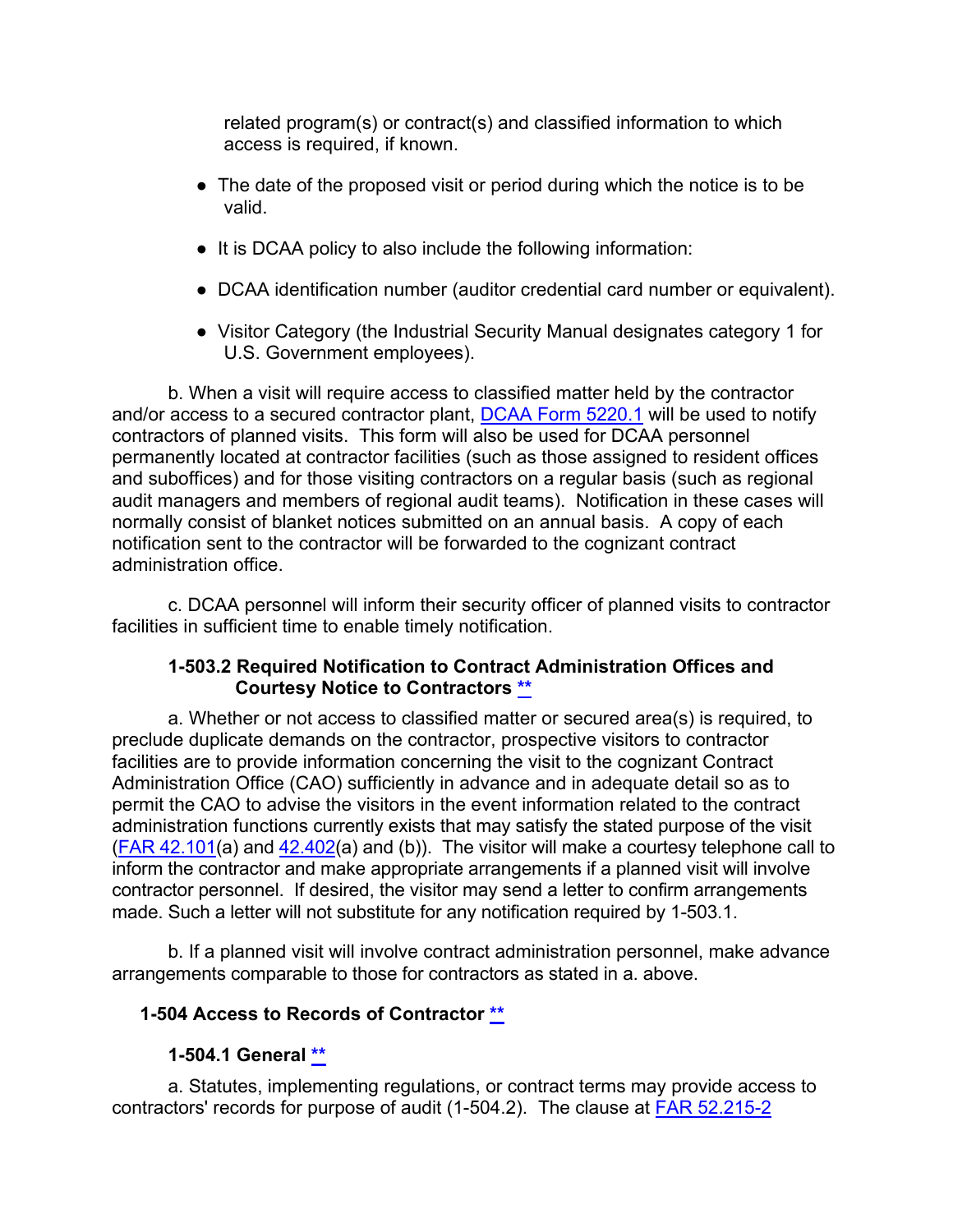related program(s) or contract(s) and classified information to which access is required, if known.

- The date of the proposed visit or period during which the notice is to be valid.
- It is DCAA policy to also include the following information:
- DCAA identification number (auditor credential card number or equivalent).
- Visitor Category (the Industrial Security Manual designates category 1 for U.S. Government employees).

b. When a visit will require access to classified matter held by the contractor and/or access to a secured contractor plant, [DCAA Form 5220.1](https://sharepoint.dcaaintra.mil/headquarters/resources/CM/cmold/CMC/_layouts/15/WopiFrame.aspx?sourcedoc=%7b172df133-5146-4cdf-afe6-fae189101224%7d&action=view&source=https%3A%2F%2Fsharepoint%2Edcaaintra%2Emil%2Fheadquarters%2Fresources%2FCM%2Fcmold%2FCMC%2FAgency%2520Forms%2FForms%2FAllItems%2Easpx%23InplviewHash40cb72ba%2D8c49%2D492f%2D9d8a%2D4e535731fc01%3DPaged%253DTRUE%2Dp%5FSortBehavior%253D0%2Dp%5FFileLeafRef%253DDCAA%252520Form%2525205000%25252d8%25252epdf%2Dp%5FID%253D22%2DPageFirstRow%253D31) will be used to notify contractors of planned visits. This form will also be used for DCAA personnel permanently located at contractor facilities (such as those assigned to resident offices and suboffices) and for those visiting contractors on a regular basis (such as regional audit managers and members of regional audit teams). Notification in these cases will normally consist of blanket notices submitted on an annual basis. A copy of each notification sent to the contractor will be forwarded to the cognizant contract administration office.

c. DCAA personnel will inform their security officer of planned visits to contractor facilities in sufficient time to enable timely notification.

### <span id="page-40-0"></span>**1-503.2 Required Notification to Contract Administration Offices and Courtesy Notice to Contractors [\\*\\*](#page-3-1)**

a. Whether or not access to classified matter or secured area(s) is required, to preclude duplicate demands on the contractor, prospective visitors to contractor facilities are to provide information concerning the visit to the cognizant Contract Administration Office (CAO) sufficiently in advance and in adequate detail so as to permit the CAO to advise the visitors in the event information related to the contract administration functions currently exists that may satisfy the stated purpose of the visit [\(FAR 42.101\(](http://www.ecfr.gov/cgi-bin/text-idx?SID=d814c695fdb7e21fabd49a13b0b4b8ee&mc=true&node=se48.1.42_1101&rgn=div8)a) and [42.402\(](http://www.ecfr.gov/cgi-bin/text-idx?SID=d814c695fdb7e21fabd49a13b0b4b8ee&mc=true&node=se48.1.42_1202&rgn=div8)a) and (b)). The visitor will make a courtesy telephone call to inform the contractor and make appropriate arrangements if a planned visit will involve contractor personnel. If desired, the visitor may send a letter to confirm arrangements made. Such a letter will not substitute for any notification required by 1-503.1.

b. If a planned visit will involve contract administration personnel, make advance arrangements comparable to those for contractors as stated in a. above.

## **1-504 Access to Records of Contractor [\\*\\*](#page-3-2)**

## <span id="page-40-2"></span><span id="page-40-1"></span>**1-504.1 General [\\*\\*](#page-3-3)**

a. Statutes, implementing regulations, or contract terms may provide access to contractors' records for purpose of audit (1-504.2). The clause at [FAR 52.215-2](http://www.ecfr.gov/cgi-bin/text-idx?SID=30dd4385241f7dc069c86cf4ef01a286&mc=true&node=se48.2.52_1215_62&rgn=div8)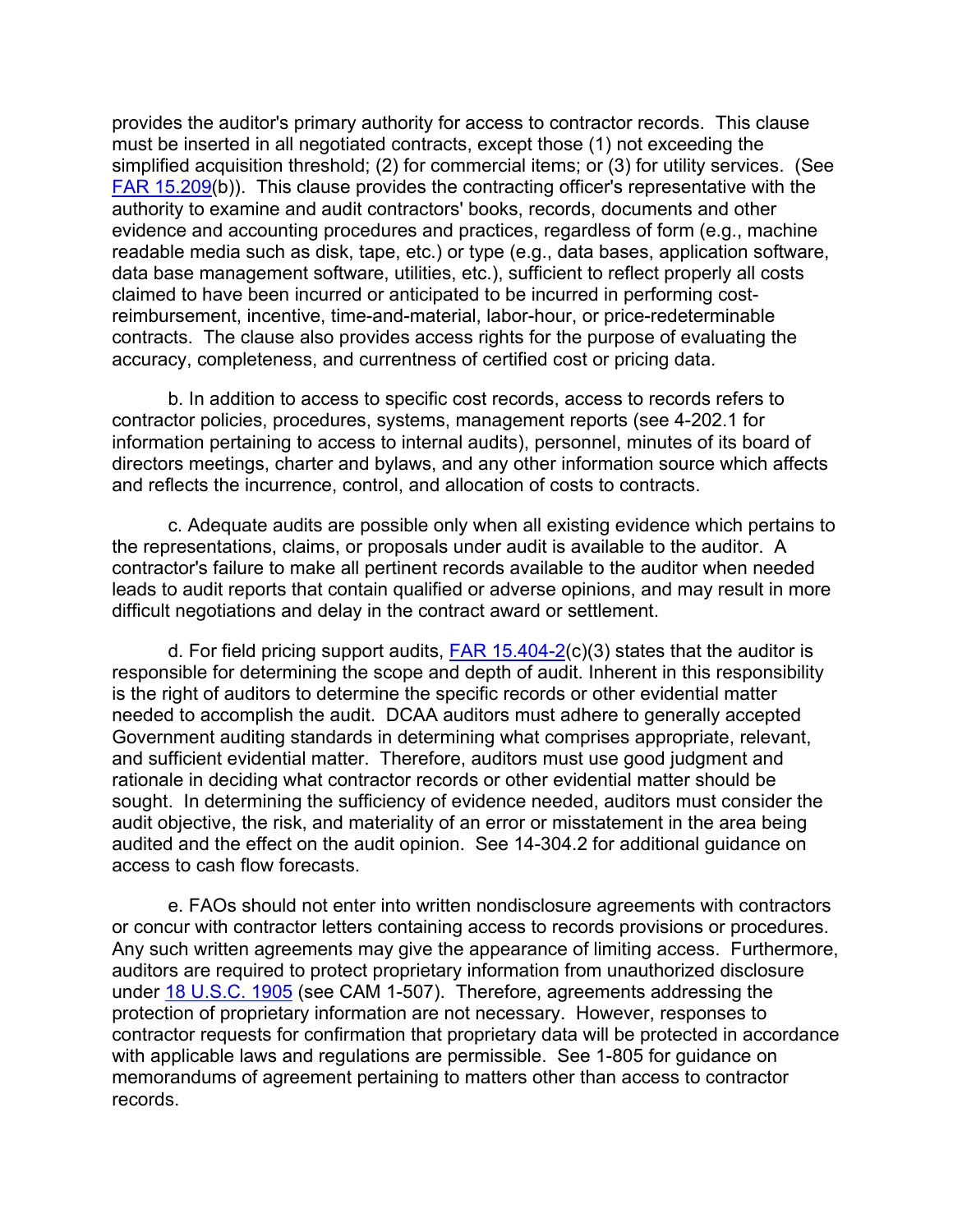provides the auditor's primary authority for access to contractor records. This clause must be inserted in all negotiated contracts, except those (1) not exceeding the simplified acquisition threshold; (2) for commercial items; or (3) for utility services. (See [FAR 15.209\(](http://www.ecfr.gov/cgi-bin/text-idx?SID=93f501fbf7cad82276cc0c0a0cc11069&mc=true&node=se48.1.15_1209&rgn=div8)b)). This clause provides the contracting officer's representative with the authority to examine and audit contractors' books, records, documents and other evidence and accounting procedures and practices, regardless of form (e.g., machine readable media such as disk, tape, etc.) or type (e.g., data bases, application software, data base management software, utilities, etc.), sufficient to reflect properly all costs claimed to have been incurred or anticipated to be incurred in performing costreimbursement, incentive, time-and-material, labor-hour, or price-redeterminable contracts. The clause also provides access rights for the purpose of evaluating the accuracy, completeness, and currentness of certified cost or pricing data.

b. In addition to access to specific cost records, access to records refers to contractor policies, procedures, systems, management reports (see 4-202.1 for information pertaining to access to internal audits), personnel, minutes of its board of directors meetings, charter and bylaws, and any other information source which affects and reflects the incurrence, control, and allocation of costs to contracts.

c. Adequate audits are possible only when all existing evidence which pertains to the representations, claims, or proposals under audit is available to the auditor. A contractor's failure to make all pertinent records available to the auditor when needed leads to audit reports that contain qualified or adverse opinions, and may result in more difficult negotiations and delay in the contract award or settlement.

d. For field pricing support audits,  $FAR 15.404-2(c)(3)$  states that the auditor is responsible for determining the scope and depth of audit. Inherent in this responsibility is the right of auditors to determine the specific records or other evidential matter needed to accomplish the audit. DCAA auditors must adhere to generally accepted Government auditing standards in determining what comprises appropriate, relevant, and sufficient evidential matter. Therefore, auditors must use good judgment and rationale in deciding what contractor records or other evidential matter should be sought. In determining the sufficiency of evidence needed, auditors must consider the audit objective, the risk, and materiality of an error or misstatement in the area being audited and the effect on the audit opinion. See 14-304.2 for additional guidance on access to cash flow forecasts.

e. FAOs should not enter into written nondisclosure agreements with contractors or concur with contractor letters containing access to records provisions or procedures. Any such written agreements may give the appearance of limiting access. Furthermore, auditors are required to protect proprietary information from unauthorized disclosure under **18 U.S.C. 1905** (see CAM 1-507). Therefore, agreements addressing the protection of proprietary information are not necessary. However, responses to contractor requests for confirmation that proprietary data will be protected in accordance with applicable laws and regulations are permissible. See 1-805 for guidance on memorandums of agreement pertaining to matters other than access to contractor records.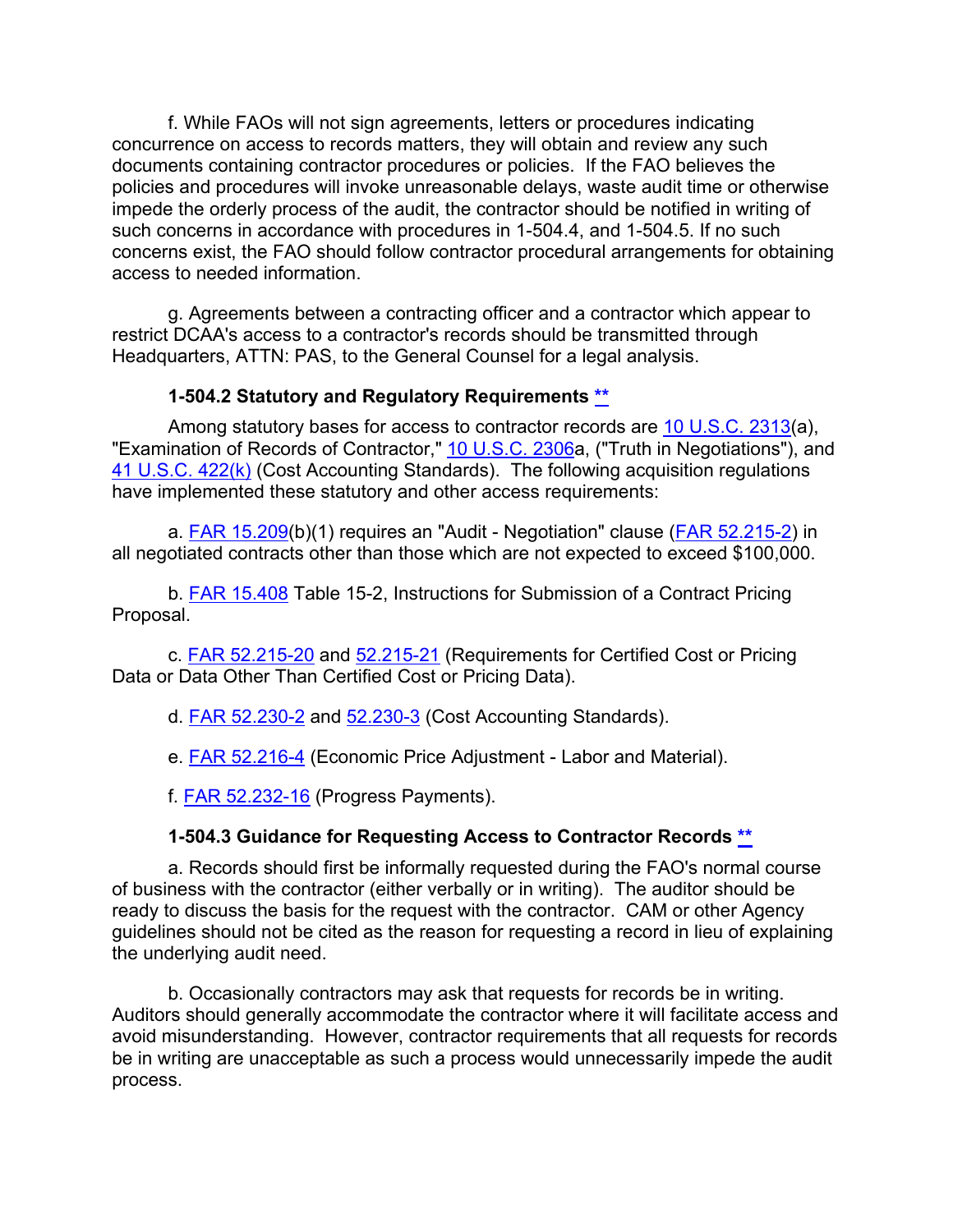f. While FAOs will not sign agreements, letters or procedures indicating concurrence on access to records matters, they will obtain and review any such documents containing contractor procedures or policies. If the FAO believes the policies and procedures will invoke unreasonable delays, waste audit time or otherwise impede the orderly process of the audit, the contractor should be notified in writing of such concerns in accordance with procedures in 1-504.4, and 1-504.5. If no such concerns exist, the FAO should follow contractor procedural arrangements for obtaining access to needed information.

g. Agreements between a contracting officer and a contractor which appear to restrict DCAA's access to a contractor's records should be transmitted through Headquarters, ATTN: PAS, to the General Counsel for a legal analysis.

### <span id="page-42-0"></span>**1-504.2 Statutory and Regulatory Requirements [\\*\\*](#page-3-4)**

Among statutory bases for access to contractor records are [10 U.S.C. 2313\(](http://uscode.house.gov/view.xhtml?req=(title:10%20section:2313%20edition:prelim)%20OR%20(granuleid:USC-prelim-title10-section2313)&f=treesort&edition=prelim&num=0&jumpTo=true)a), "Examination of Records of Contractor," [10 U.S.C. 2306a](http://uscode.house.gov/view.xhtml?req=granuleid:USC-prelim-title10-section2306a&num=0&edition=prelim), ("Truth in Negotiations"), and [41 U.S.C. 422\(k\)](http://www.gpo.gov/fdsys/pkg/USCODE-2009-title41/pdf/USCODE-2009-title41-chap7-sec422.pdf) (Cost Accounting Standards). The following acquisition regulations have implemented these statutory and other access requirements:

a. [FAR 15.209\(](http://www.ecfr.gov/cgi-bin/text-idx?SID=93f501fbf7cad82276cc0c0a0cc11069&mc=true&node=se48.1.15_1209&rgn=div8)b)(1) requires an "Audit - Negotiation" clause [\(FAR 52.215-2\)](http://www.ecfr.gov/cgi-bin/text-idx?SID=8436b322fa4243a8fe2904e7afe5084b&mc=true&node=se48.2.52_1215_62&rgn=div8) in all negotiated contracts other than those which are not expected to exceed \$100,000.

b. [FAR 15.408](http://www.ecfr.gov/cgi-bin/text-idx?SID=93f501fbf7cad82276cc0c0a0cc11069&mc=true&node=se48.1.15_1408&rgn=div8) Table 15-2, Instructions for Submission of a Contract Pricing Proposal.

c. **FAR 52.215-20** and [52.215-21](http://www.ecfr.gov/cgi-bin/text-idx?SID=8436b322fa4243a8fe2904e7afe5084b&mc=true&node=se48.2.52_1215_621&rgn=div8) (Requirements for Certified Cost or Pricing Data or Data Other Than Certified Cost or Pricing Data).

d. **FAR 52.230-2** and [52.230-3](http://www.ecfr.gov/cgi-bin/text-idx?SID=8436b322fa4243a8fe2904e7afe5084b&mc=true&node=se48.2.52_1230_63&rgn=div8) (Cost Accounting Standards).

e. **FAR 52.216-4** (Economic Price Adjustment - Labor and Material).

f. [FAR 52.232-16](http://www.ecfr.gov/cgi-bin/text-idx?SID=8436b322fa4243a8fe2904e7afe5084b&mc=true&node=se48.2.52_1232_616&rgn=div8) (Progress Payments).

## <span id="page-42-1"></span>**1-504.3 Guidance for Requesting Access to Contractor Records [\\*\\*](#page-3-5)**

a. Records should first be informally requested during the FAO's normal course of business with the contractor (either verbally or in writing). The auditor should be ready to discuss the basis for the request with the contractor. CAM or other Agency guidelines should not be cited as the reason for requesting a record in lieu of explaining the underlying audit need.

b. Occasionally contractors may ask that requests for records be in writing. Auditors should generally accommodate the contractor where it will facilitate access and avoid misunderstanding. However, contractor requirements that all requests for records be in writing are unacceptable as such a process would unnecessarily impede the audit process.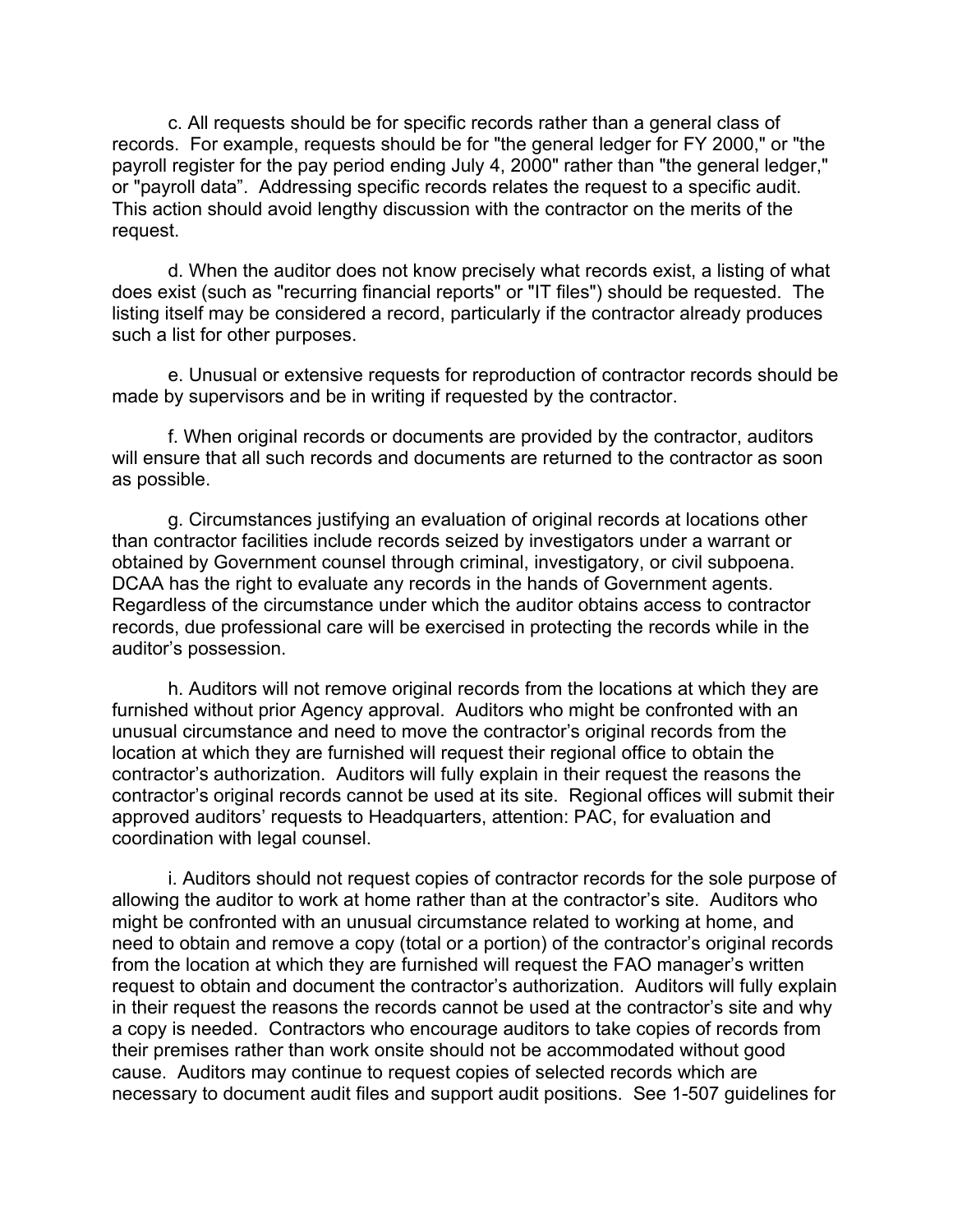c. All requests should be for specific records rather than a general class of records. For example, requests should be for "the general ledger for FY 2000," or "the payroll register for the pay period ending July 4, 2000" rather than "the general ledger," or "payroll data". Addressing specific records relates the request to a specific audit. This action should avoid lengthy discussion with the contractor on the merits of the request.

d. When the auditor does not know precisely what records exist, a listing of what does exist (such as "recurring financial reports" or "IT files") should be requested. The listing itself may be considered a record, particularly if the contractor already produces such a list for other purposes.

e. Unusual or extensive requests for reproduction of contractor records should be made by supervisors and be in writing if requested by the contractor.

f. When original records or documents are provided by the contractor, auditors will ensure that all such records and documents are returned to the contractor as soon as possible.

g. Circumstances justifying an evaluation of original records at locations other than contractor facilities include records seized by investigators under a warrant or obtained by Government counsel through criminal, investigatory, or civil subpoena. DCAA has the right to evaluate any records in the hands of Government agents. Regardless of the circumstance under which the auditor obtains access to contractor records, due professional care will be exercised in protecting the records while in the auditor's possession.

h. Auditors will not remove original records from the locations at which they are furnished without prior Agency approval. Auditors who might be confronted with an unusual circumstance and need to move the contractor's original records from the location at which they are furnished will request their regional office to obtain the contractor's authorization. Auditors will fully explain in their request the reasons the contractor's original records cannot be used at its site. Regional offices will submit their approved auditors' requests to Headquarters, attention: PAC, for evaluation and coordination with legal counsel.

i. Auditors should not request copies of contractor records for the sole purpose of allowing the auditor to work at home rather than at the contractor's site. Auditors who might be confronted with an unusual circumstance related to working at home, and need to obtain and remove a copy (total or a portion) of the contractor's original records from the location at which they are furnished will request the FAO manager's written request to obtain and document the contractor's authorization. Auditors will fully explain in their request the reasons the records cannot be used at the contractor's site and why a copy is needed. Contractors who encourage auditors to take copies of records from their premises rather than work onsite should not be accommodated without good cause. Auditors may continue to request copies of selected records which are necessary to document audit files and support audit positions. See 1-507 guidelines for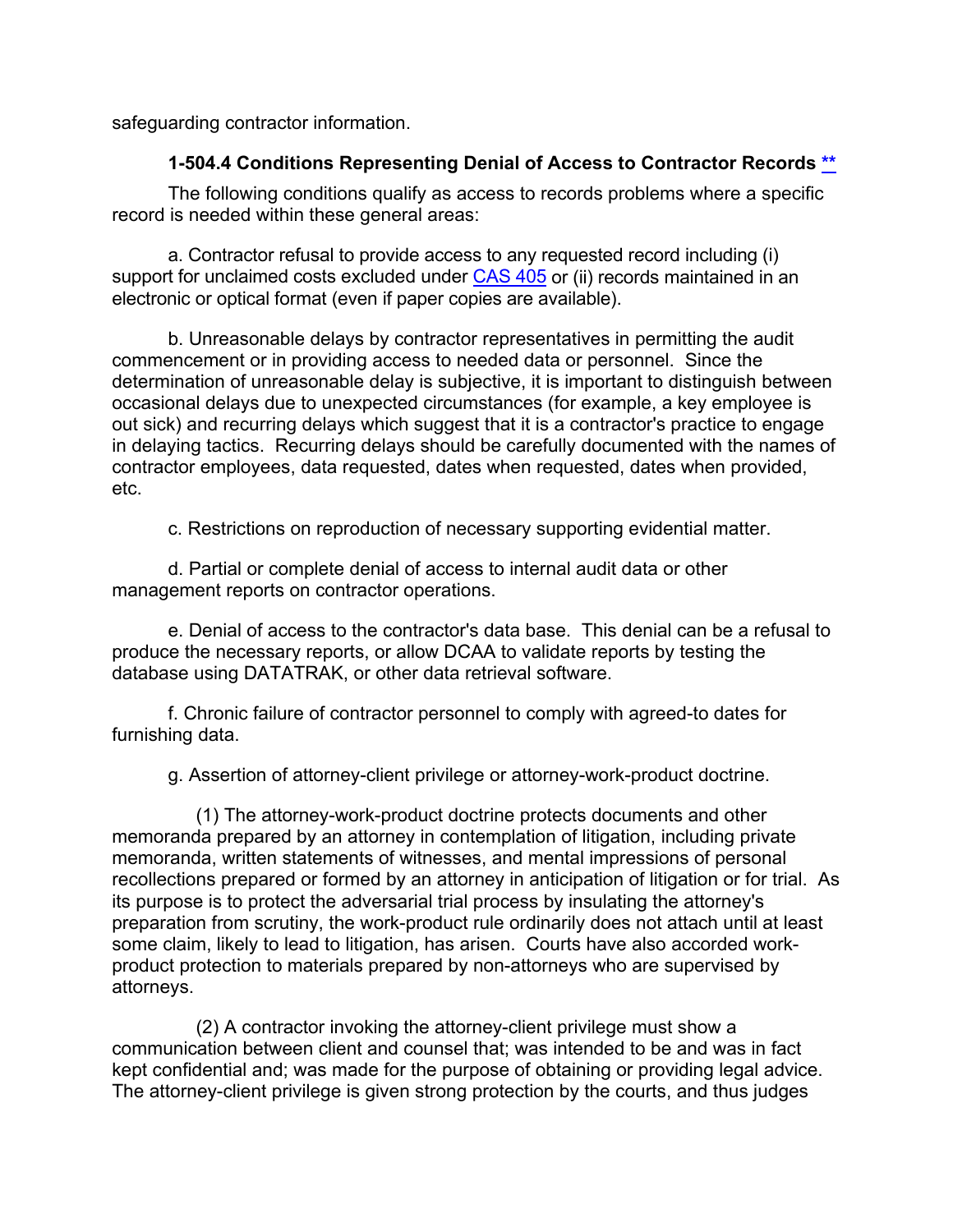safeguarding contractor information.

## <span id="page-44-0"></span>**1-504.4 Conditions Representing Denial of Access to Contractor Records [\\*\\*](#page-3-6)**

The following conditions qualify as access to records problems where a specific record is needed within these general areas:

a. Contractor refusal to provide access to any requested record including (i) support for unclaimed costs excluded under [CAS 405](http://www.ecfr.gov/cgi-bin/text-idx?SID=f6238819a602b31ba3baa2390e10565f&mc=true&node=pt48.7.9904&rgn=div5) or (ii) records maintained in an electronic or optical format (even if paper copies are available).

b. Unreasonable delays by contractor representatives in permitting the audit commencement or in providing access to needed data or personnel. Since the determination of unreasonable delay is subjective, it is important to distinguish between occasional delays due to unexpected circumstances (for example, a key employee is out sick) and recurring delays which suggest that it is a contractor's practice to engage in delaying tactics. Recurring delays should be carefully documented with the names of contractor employees, data requested, dates when requested, dates when provided, etc.

c. Restrictions on reproduction of necessary supporting evidential matter.

d. Partial or complete denial of access to internal audit data or other management reports on contractor operations.

e. Denial of access to the contractor's data base. This denial can be a refusal to produce the necessary reports, or allow DCAA to validate reports by testing the database using DATATRAK, or other data retrieval software.

f. Chronic failure of contractor personnel to comply with agreed-to dates for furnishing data.

g. Assertion of attorney-client privilege or attorney-work-product doctrine.

(1) The attorney-work-product doctrine protects documents and other memoranda prepared by an attorney in contemplation of litigation, including private memoranda, written statements of witnesses, and mental impressions of personal recollections prepared or formed by an attorney in anticipation of litigation or for trial. As its purpose is to protect the adversarial trial process by insulating the attorney's preparation from scrutiny, the work-product rule ordinarily does not attach until at least some claim, likely to lead to litigation, has arisen. Courts have also accorded workproduct protection to materials prepared by non-attorneys who are supervised by attorneys.

(2) A contractor invoking the attorney-client privilege must show a communication between client and counsel that; was intended to be and was in fact kept confidential and; was made for the purpose of obtaining or providing legal advice. The attorney-client privilege is given strong protection by the courts, and thus judges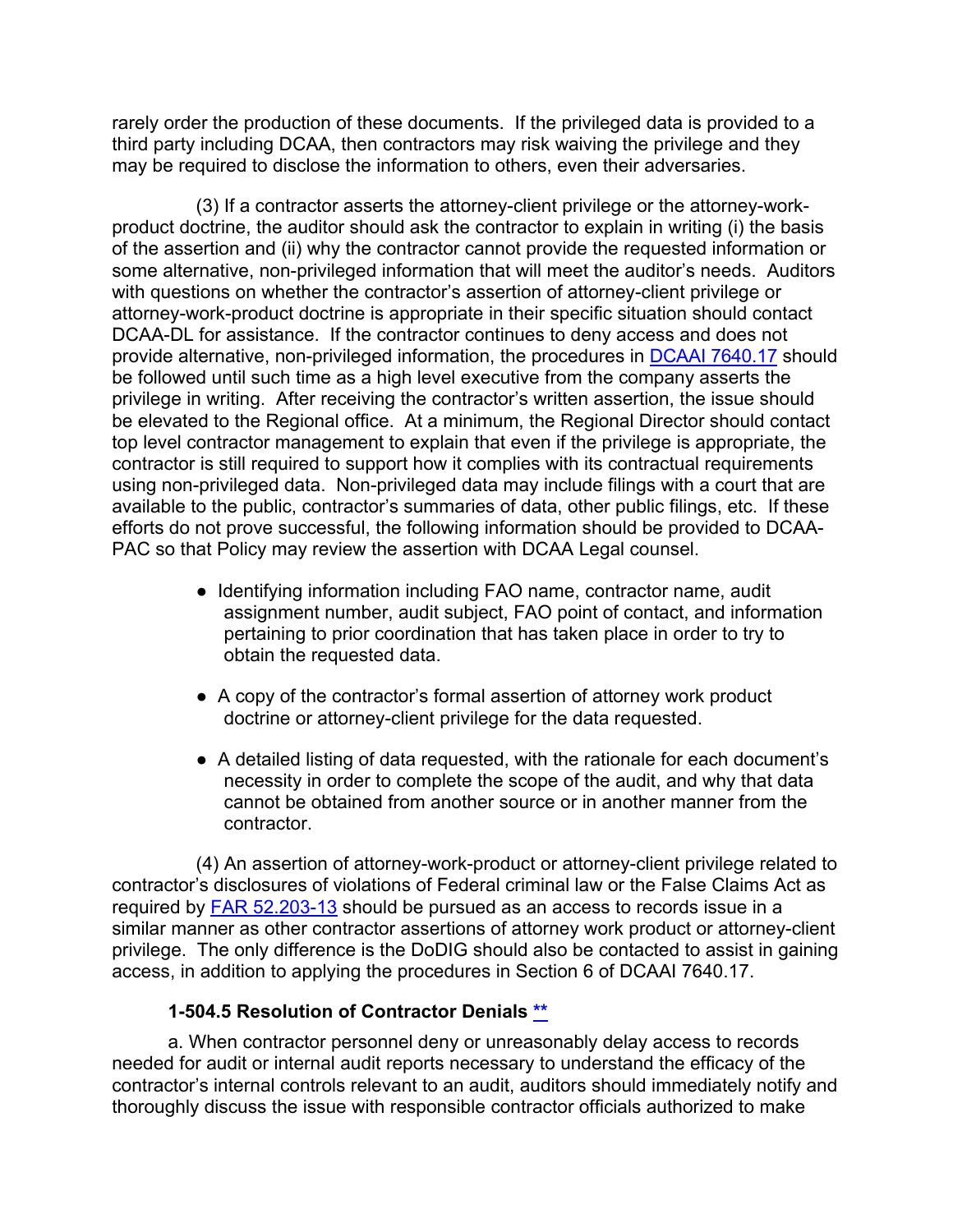rarely order the production of these documents. If the privileged data is provided to a third party including DCAA, then contractors may risk waiving the privilege and they may be required to disclose the information to others, even their adversaries.

(3) If a contractor asserts the attorney-client privilege or the attorney-workproduct doctrine, the auditor should ask the contractor to explain in writing (i) the basis of the assertion and (ii) why the contractor cannot provide the requested information or some alternative, non-privileged information that will meet the auditor's needs. Auditors with questions on whether the contractor's assertion of attorney-client privilege or attorney-work-product doctrine is appropriate in their specific situation should contact DCAA-DL for assistance. If the contractor continues to deny access and does not provide alternative, non-privileged information, the procedures in [DCAAI 7640.17](https://sharepoint.dcaaintra.mil/headquarters/resources/CM/CMC/Publications/Publications/DCAAI%207640.17.pdf) should be followed until such time as a high level executive from the company asserts the privilege in writing. After receiving the contractor's written assertion, the issue should be elevated to the Regional office. At a minimum, the Regional Director should contact top level contractor management to explain that even if the privilege is appropriate, the contractor is still required to support how it complies with its contractual requirements using non-privileged data. Non-privileged data may include filings with a court that are available to the public, contractor's summaries of data, other public filings, etc. If these efforts do not prove successful, the following information should be provided to DCAA-PAC so that Policy may review the assertion with DCAA Legal counsel.

- Identifying information including FAO name, contractor name, audit assignment number, audit subject, FAO point of contact, and information pertaining to prior coordination that has taken place in order to try to obtain the requested data.
- A copy of the contractor's formal assertion of attorney work product doctrine or attorney-client privilege for the data requested.
- A detailed listing of data requested, with the rationale for each document's necessity in order to complete the scope of the audit, and why that data cannot be obtained from another source or in another manner from the contractor.

(4) An assertion of attorney-work-product or attorney-client privilege related to contractor's disclosures of violations of Federal criminal law or the False Claims Act as required by [FAR 52.203-13](http://www.ecfr.gov/cgi-bin/text-idx?SID=bd156081b22648885e5416a1031a7994&mc=true&node=se48.2.52_1203_613&rgn=div8) should be pursued as an access to records issue in a similar manner as other contractor assertions of attorney work product or attorney-client privilege. The only difference is the DoDIG should also be contacted to assist in gaining access, in addition to applying the procedures in Section 6 of DCAAI 7640.17.

## <span id="page-45-0"></span>**1-504.5 Resolution of Contractor Denials [\\*\\*](#page-3-7)**

a. When contractor personnel deny or unreasonably delay access to records needed for audit or internal audit reports necessary to understand the efficacy of the contractor's internal controls relevant to an audit, auditors should immediately notify and thoroughly discuss the issue with responsible contractor officials authorized to make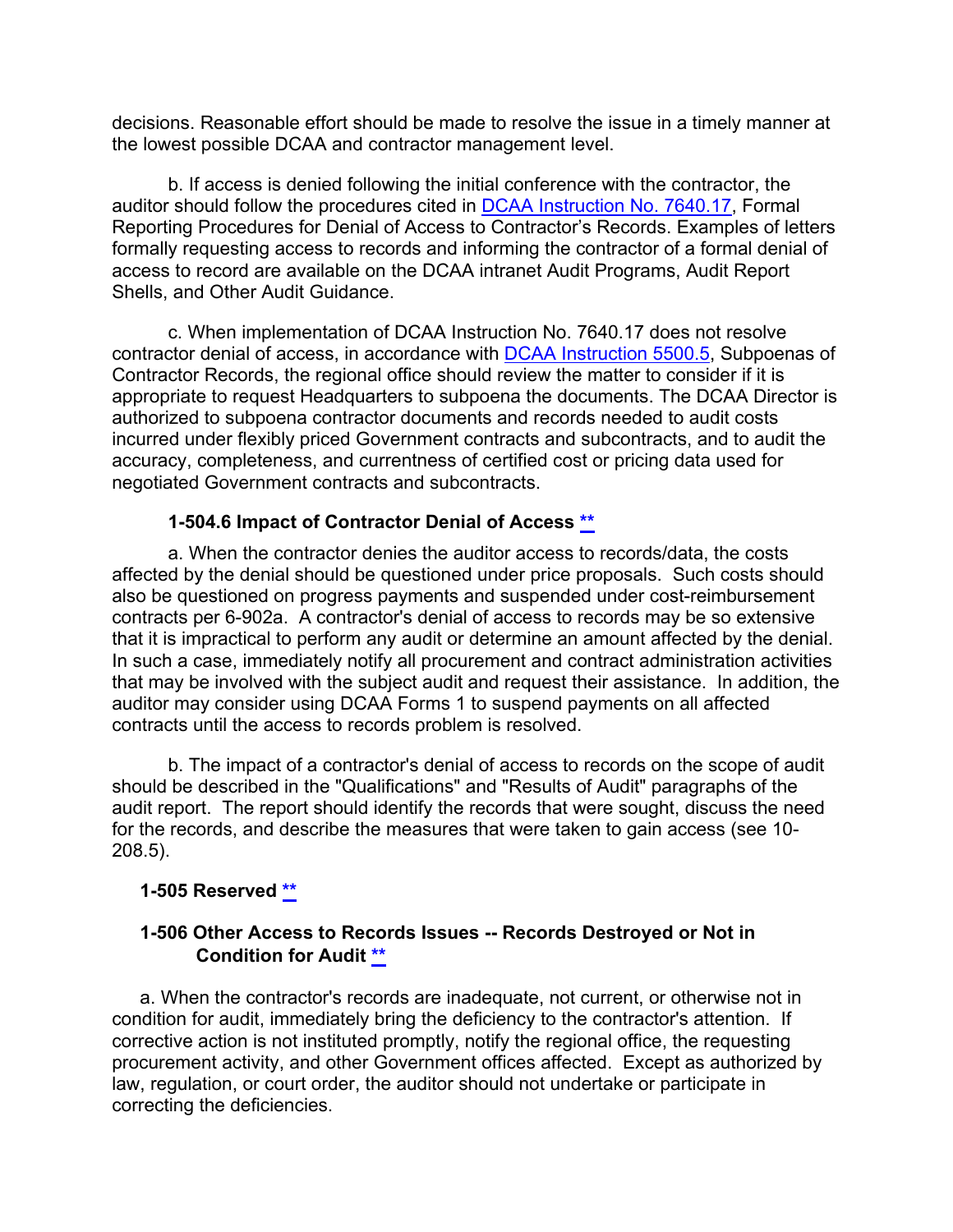decisions. Reasonable effort should be made to resolve the issue in a timely manner at the lowest possible DCAA and contractor management level.

b. If access is denied following the initial conference with the contractor, the auditor should follow the procedures cited in [DCAA Instruction No. 7640.17,](https://sharepoint.dcaaintra.mil/headquarters/resources/CM/CMC/Publications/Publications/DCAAI%207640.17.pdf) Formal Reporting Procedures for Denial of Access to Contractor's Records. Examples of letters formally requesting access to records and informing the contractor of a formal denial of access to record are available on the DCAA intranet Audit Programs, Audit Report Shells, and Other Audit Guidance.

c. When implementation of DCAA Instruction No. 7640.17 does not resolve contractor denial of access, in accordance with [DCAA Instruction 5500.5,](https://sharepoint.dcaaintra.mil/headquarters/resources/CM/CMC/Publications/Publications/DCAAI%205500.5.pdf) Subpoenas of Contractor Records, the regional office should review the matter to consider if it is appropriate to request Headquarters to subpoena the documents. The DCAA Director is authorized to subpoena contractor documents and records needed to audit costs incurred under flexibly priced Government contracts and subcontracts, and to audit the accuracy, completeness, and currentness of certified cost or pricing data used for negotiated Government contracts and subcontracts.

### <span id="page-46-0"></span>**1-504.6 Impact of Contractor Denial of Access [\\*\\*](#page-3-8)**

a. When the contractor denies the auditor access to records/data, the costs affected by the denial should be questioned under price proposals. Such costs should also be questioned on progress payments and suspended under cost-reimbursement contracts per 6-902a. A contractor's denial of access to records may be so extensive that it is impractical to perform any audit or determine an amount affected by the denial. In such a case, immediately notify all procurement and contract administration activities that may be involved with the subject audit and request their assistance. In addition, the auditor may consider using DCAA Forms 1 to suspend payments on all affected contracts until the access to records problem is resolved.

b. The impact of a contractor's denial of access to records on the scope of audit should be described in the "Qualifications" and "Results of Audit" paragraphs of the audit report. The report should identify the records that were sought, discuss the need for the records, and describe the measures that were taken to gain access (see 10- 208.5).

#### <span id="page-46-1"></span>**1-505 Reserved [\\*\\*](#page-3-9)**

### <span id="page-46-2"></span>**1-506 Other Access to Records Issues -- Records Destroyed or Not in Condition for Audit [\\*\\*](#page-3-10)**

a. When the contractor's records are inadequate, not current, or otherwise not in condition for audit, immediately bring the deficiency to the contractor's attention. If corrective action is not instituted promptly, notify the regional office, the requesting procurement activity, and other Government offices affected. Except as authorized by law, regulation, or court order, the auditor should not undertake or participate in correcting the deficiencies.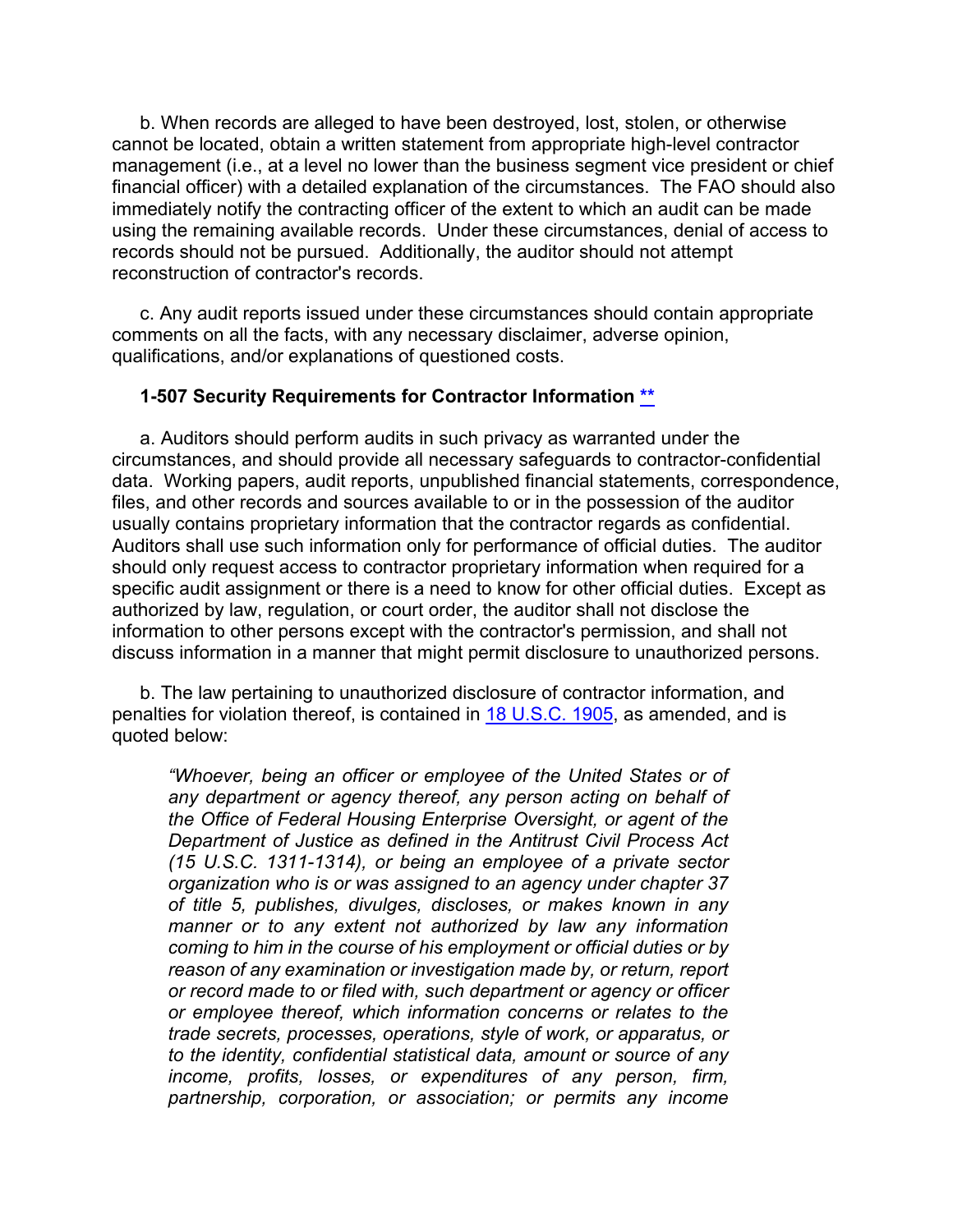b. When records are alleged to have been destroyed, lost, stolen, or otherwise cannot be located, obtain a written statement from appropriate high-level contractor management (i.e., at a level no lower than the business segment vice president or chief financial officer) with a detailed explanation of the circumstances. The FAO should also immediately notify the contracting officer of the extent to which an audit can be made using the remaining available records. Under these circumstances, denial of access to records should not be pursued. Additionally, the auditor should not attempt reconstruction of contractor's records.

c. Any audit reports issued under these circumstances should contain appropriate comments on all the facts, with any necessary disclaimer, adverse opinion, qualifications, and/or explanations of questioned costs.

#### <span id="page-47-0"></span>**1-507 Security Requirements for Contractor Information [\\*\\*](#page-3-11)**

a. Auditors should perform audits in such privacy as warranted under the circumstances, and should provide all necessary safeguards to contractor-confidential data. Working papers, audit reports, unpublished financial statements, correspondence, files, and other records and sources available to or in the possession of the auditor usually contains proprietary information that the contractor regards as confidential. Auditors shall use such information only for performance of official duties. The auditor should only request access to contractor proprietary information when required for a specific audit assignment or there is a need to know for other official duties. Except as authorized by law, regulation, or court order, the auditor shall not disclose the information to other persons except with the contractor's permission, and shall not discuss information in a manner that might permit disclosure to unauthorized persons.

b. The law pertaining to unauthorized disclosure of contractor information, and penalties for violation thereof, is contained in [18 U.S.C. 1905,](http://uscode.house.gov/view.xhtml?req=(title:18%20section:1905%20edition:prelim)%20OR%20(granuleid:USC-prelim-title18-section1905)&f=treesort&edition=prelim&num=0&jumpTo=true) as amended, and is quoted below:

*"Whoever, being an officer or employee of the United States or of any department or agency thereof, any person acting on behalf of the Office of Federal Housing Enterprise Oversight, or agent of the Department of Justice as defined in the Antitrust Civil Process Act (15 U.S.C. 1311-1314), or being an employee of a private sector organization who is or was assigned to an agency under chapter 37 of title 5, publishes, divulges, discloses, or makes known in any manner or to any extent not authorized by law any information coming to him in the course of his employment or official duties or by reason of any examination or investigation made by, or return, report or record made to or filed with, such department or agency or officer or employee thereof, which information concerns or relates to the trade secrets, processes, operations, style of work, or apparatus, or to the identity, confidential statistical data, amount or source of any income, profits, losses, or expenditures of any person, firm, partnership, corporation, or association; or permits any income*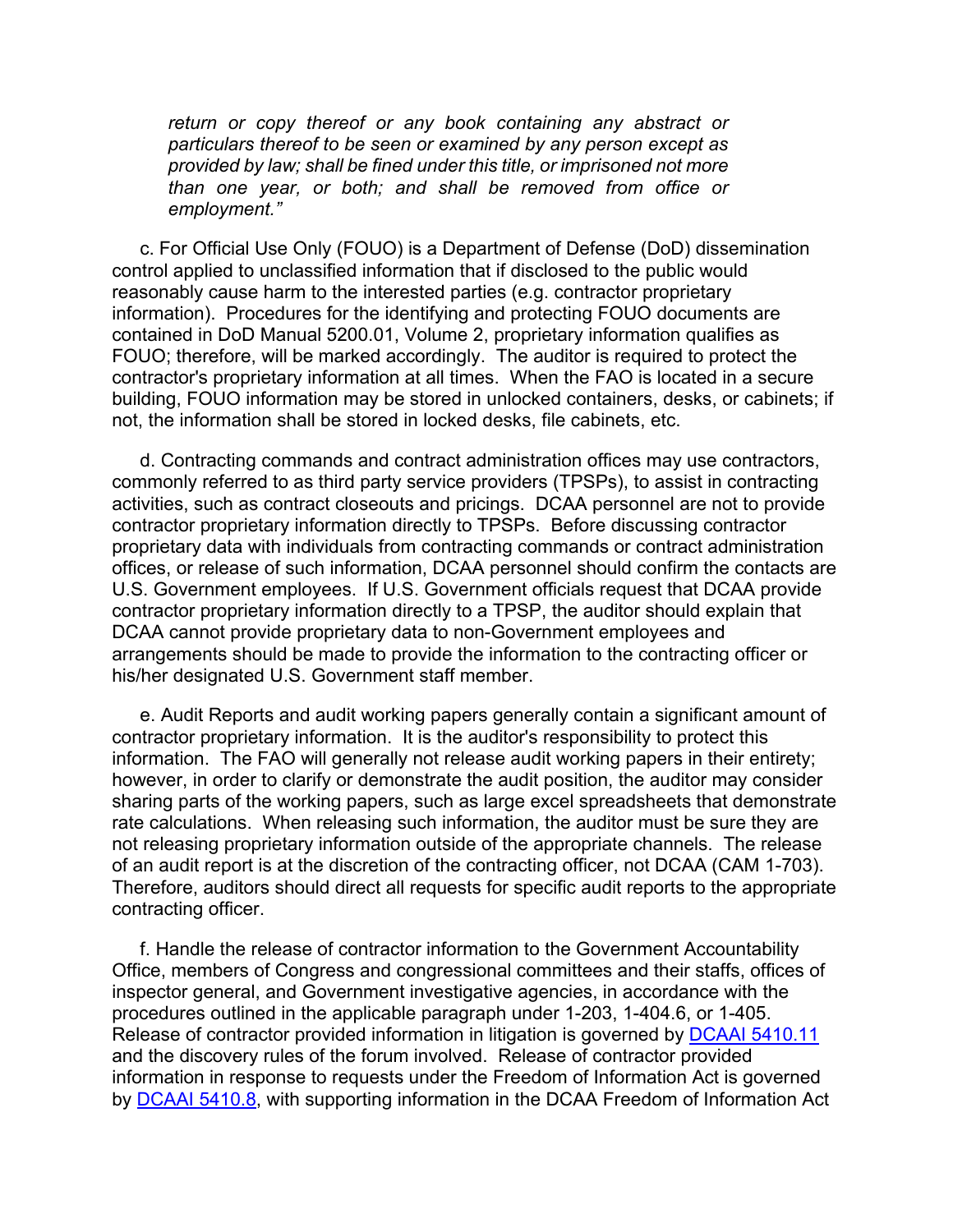*return or copy thereof or any book containing any abstract or particulars thereof to be seen or examined by any person except as provided by law; shall be fined under this title, or imprisoned not more than one year, or both; and shall be removed from office or employment."*

c. For Official Use Only (FOUO) is a Department of Defense (DoD) dissemination control applied to unclassified information that if disclosed to the public would reasonably cause harm to the interested parties (e.g. contractor proprietary information). Procedures for the identifying and protecting FOUO documents are contained in DoD Manual 5200.01, Volume 2, proprietary information qualifies as FOUO; therefore, will be marked accordingly. The auditor is required to protect the contractor's proprietary information at all times. When the FAO is located in a secure building, FOUO information may be stored in unlocked containers, desks, or cabinets; if not, the information shall be stored in locked desks, file cabinets, etc.

d. Contracting commands and contract administration offices may use contractors, commonly referred to as third party service providers (TPSPs), to assist in contracting activities, such as contract closeouts and pricings. DCAA personnel are not to provide contractor proprietary information directly to TPSPs. Before discussing contractor proprietary data with individuals from contracting commands or contract administration offices, or release of such information, DCAA personnel should confirm the contacts are U.S. Government employees. If U.S. Government officials request that DCAA provide contractor proprietary information directly to a TPSP, the auditor should explain that DCAA cannot provide proprietary data to non-Government employees and arrangements should be made to provide the information to the contracting officer or his/her designated U.S. Government staff member.

e. Audit Reports and audit working papers generally contain a significant amount of contractor proprietary information. It is the auditor's responsibility to protect this information. The FAO will generally not release audit working papers in their entirety; however, in order to clarify or demonstrate the audit position, the auditor may consider sharing parts of the working papers, such as large excel spreadsheets that demonstrate rate calculations. When releasing such information, the auditor must be sure they are not releasing proprietary information outside of the appropriate channels. The release of an audit report is at the discretion of the contracting officer, not DCAA (CAM 1-703). Therefore, auditors should direct all requests for specific audit reports to the appropriate contracting officer.

f. Handle the release of contractor information to the Government Accountability Office, members of Congress and congressional committees and their staffs, offices of inspector general, and Government investigative agencies, in accordance with the procedures outlined in the applicable paragraph under 1-203, 1-404.6, or 1-405. Release of contractor provided information in litigation is governed by [DCAAI 5410.11](https://sharepoint.dcaaintra.mil/headquarters/resources/CM/CMC/Publications/Publications/DCAAI%205410.11.pdf) and the discovery rules of the forum involved. Release of contractor provided information in response to requests under the Freedom of Information Act is governed by DCAAI [5410.8,](https://sharepoint.dcaaintra.mil/headquarters/resources/CM/CMC/Publications/Publications/DCAAI%205410.8.pdf) with supporting information in the DCAA Freedom of Information Act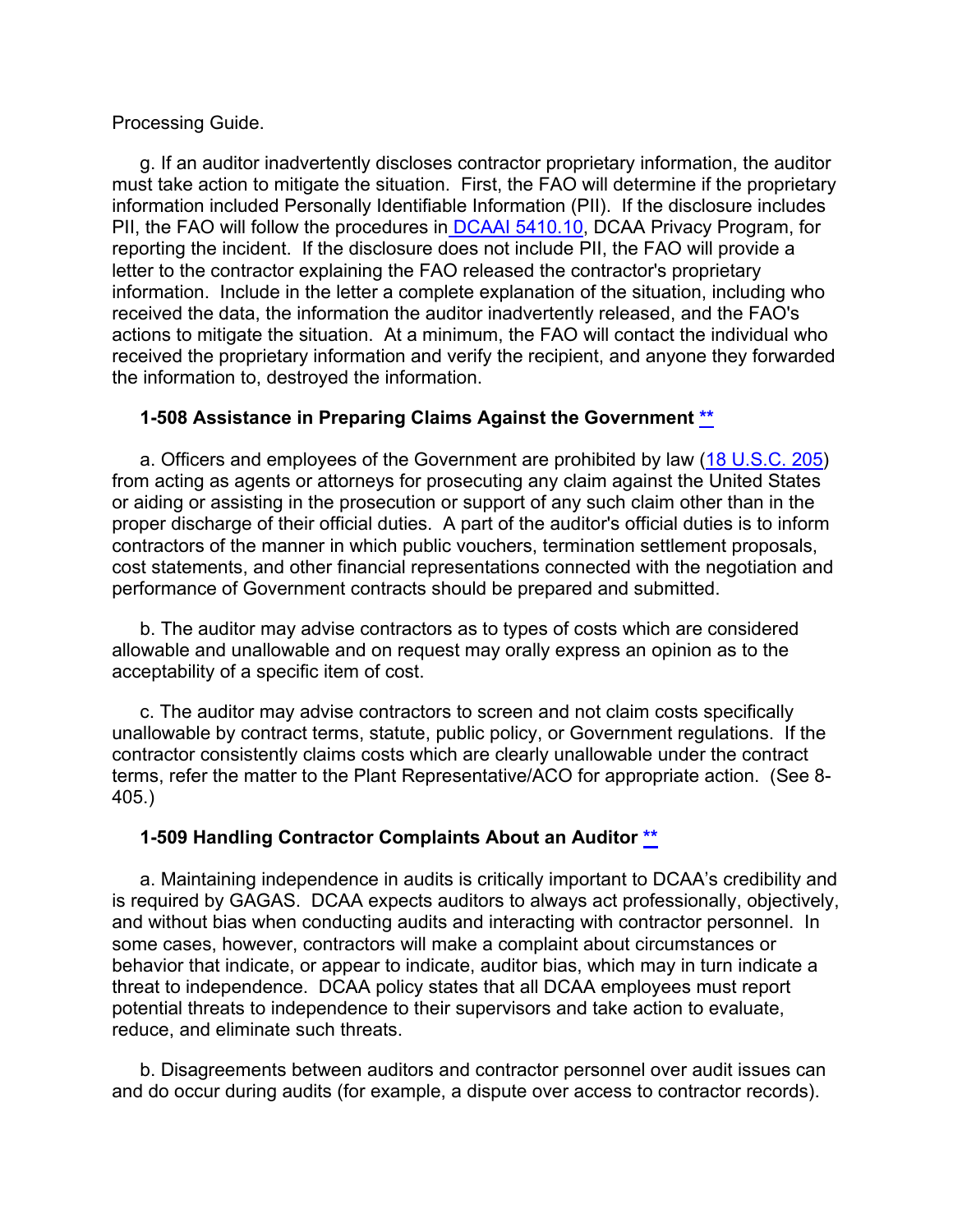#### Processing Guide.

g. If an auditor inadvertently discloses contractor proprietary information, the auditor must take action to mitigate the situation. First, the FAO will determine if the proprietary information included Personally Identifiable Information (PII). If the disclosure includes PII, the FAO will follow the procedures in [DCAAI 5410.10,](https://sharepoint.dcaaintra.mil/headquarters/resources/CM/CMC/Publications/Publications/DCAAI%205410.10.pdf) DCAA Privacy Program, for reporting the incident. If the disclosure does not include PII, the FAO will provide a letter to the contractor explaining the FAO released the contractor's proprietary information. Include in the letter a complete explanation of the situation, including who received the data, the information the auditor inadvertently released, and the FAO's actions to mitigate the situation. At a minimum, the FAO will contact the individual who received the proprietary information and verify the recipient, and anyone they forwarded the information to, destroyed the information.

### <span id="page-49-0"></span>**1-508 Assistance in Preparing Claims Against the Government [\\*\\*](#page-3-12)**

a. Officers and employees of the Government are prohibited by law [\(18 U.S.C. 205\)](http://uscode.house.gov/view.xhtml?req=(title:18%20section:205%20edition:prelim)%20OR%20(granuleid:USC-prelim-title18-section205)&f=treesort&edition=prelim&num=0&jumpTo=true) from acting as agents or attorneys for prosecuting any claim against the United States or aiding or assisting in the prosecution or support of any such claim other than in the proper discharge of their official duties. A part of the auditor's official duties is to inform contractors of the manner in which public vouchers, termination settlement proposals, cost statements, and other financial representations connected with the negotiation and performance of Government contracts should be prepared and submitted.

b. The auditor may advise contractors as to types of costs which are considered allowable and unallowable and on request may orally express an opinion as to the acceptability of a specific item of cost.

c. The auditor may advise contractors to screen and not claim costs specifically unallowable by contract terms, statute, public policy, or Government regulations. If the contractor consistently claims costs which are clearly unallowable under the contract terms, refer the matter to the Plant Representative/ACO for appropriate action. (See 8- 405.)

#### <span id="page-49-1"></span>**1-509 Handling Contractor Complaints About an Auditor [\\*\\*](#page-3-13)**

a. Maintaining independence in audits is critically important to DCAA's credibility and is required by GAGAS. DCAA expects auditors to always act professionally, objectively, and without bias when conducting audits and interacting with contractor personnel. In some cases, however, contractors will make a complaint about circumstances or behavior that indicate, or appear to indicate, auditor bias, which may in turn indicate a threat to independence. DCAA policy states that all DCAA employees must report potential threats to independence to their supervisors and take action to evaluate, reduce, and eliminate such threats.

b. Disagreements between auditors and contractor personnel over audit issues can and do occur during audits (for example, a dispute over access to contractor records).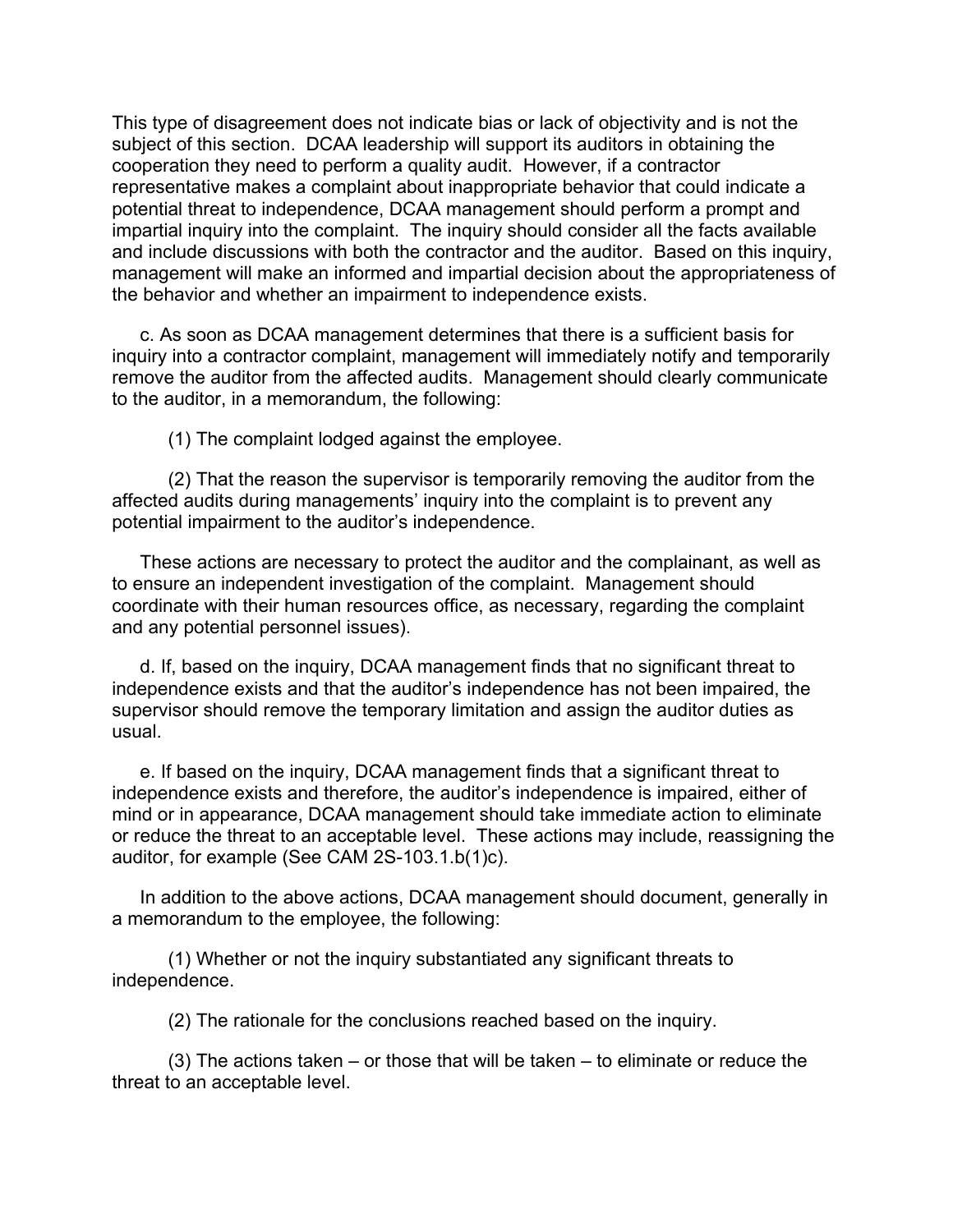This type of disagreement does not indicate bias or lack of objectivity and is not the subject of this section. DCAA leadership will support its auditors in obtaining the cooperation they need to perform a quality audit. However, if a contractor representative makes a complaint about inappropriate behavior that could indicate a potential threat to independence, DCAA management should perform a prompt and impartial inquiry into the complaint. The inquiry should consider all the facts available and include discussions with both the contractor and the auditor. Based on this inquiry, management will make an informed and impartial decision about the appropriateness of the behavior and whether an impairment to independence exists.

c. As soon as DCAA management determines that there is a sufficient basis for inquiry into a contractor complaint, management will immediately notify and temporarily remove the auditor from the affected audits. Management should clearly communicate to the auditor, in a memorandum, the following:

(1) The complaint lodged against the employee.

(2) That the reason the supervisor is temporarily removing the auditor from the affected audits during managements' inquiry into the complaint is to prevent any potential impairment to the auditor's independence.

These actions are necessary to protect the auditor and the complainant, as well as to ensure an independent investigation of the complaint. Management should coordinate with their human resources office, as necessary, regarding the complaint and any potential personnel issues).

d. If, based on the inquiry, DCAA management finds that no significant threat to independence exists and that the auditor's independence has not been impaired, the supervisor should remove the temporary limitation and assign the auditor duties as usual.

e. If based on the inquiry, DCAA management finds that a significant threat to independence exists and therefore, the auditor's independence is impaired, either of mind or in appearance, DCAA management should take immediate action to eliminate or reduce the threat to an acceptable level. These actions may include, reassigning the auditor, for example (See CAM 2S-103.1.b(1)c).

In addition to the above actions, DCAA management should document, generally in a memorandum to the employee, the following:

(1) Whether or not the inquiry substantiated any significant threats to independence.

(2) The rationale for the conclusions reached based on the inquiry.

(3) The actions taken – or those that will be taken – to eliminate or reduce the threat to an acceptable level.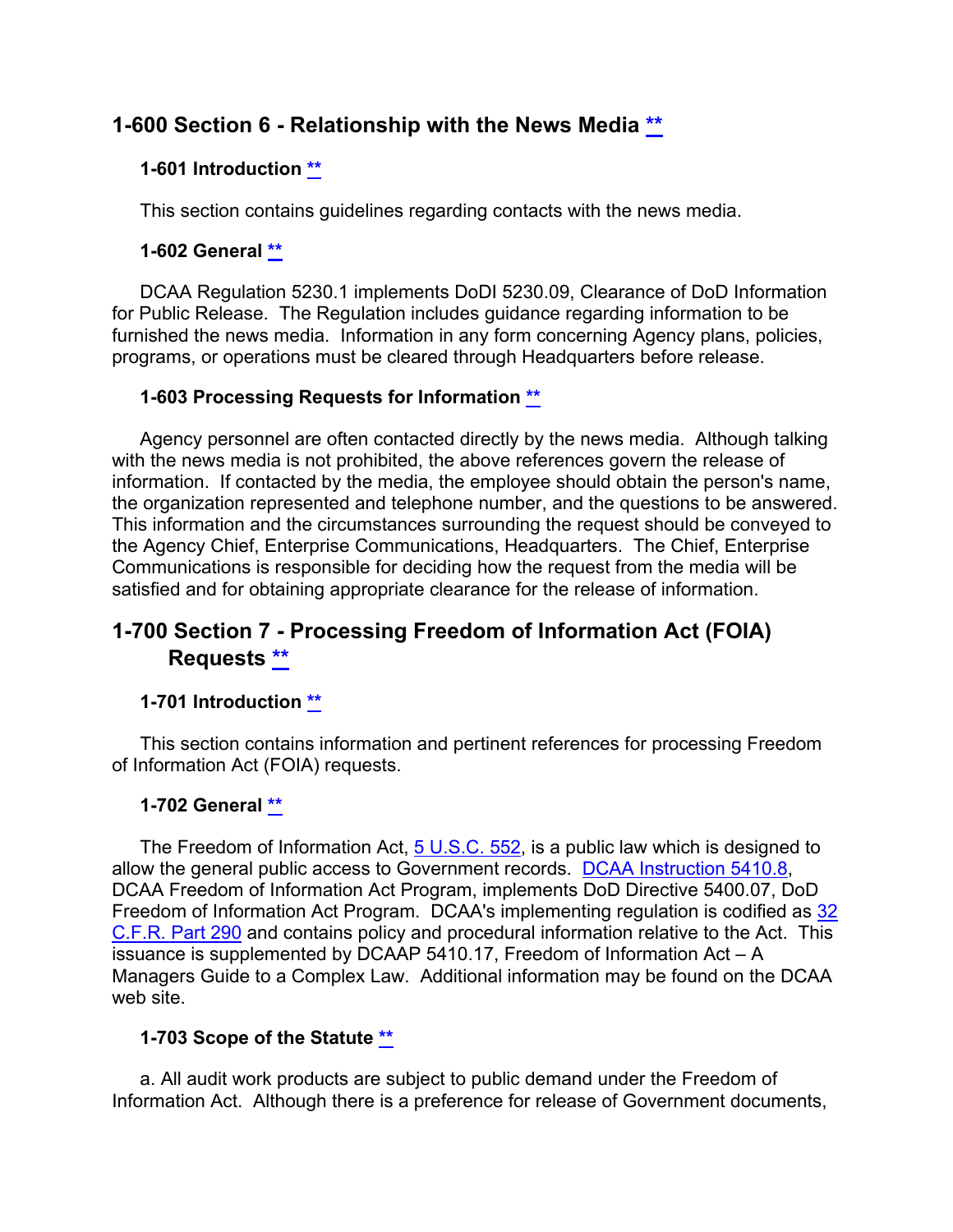## **1-600 Section 6 - Relationship with the News Media [\\*\\*](#page-3-14)**

### <span id="page-51-1"></span><span id="page-51-0"></span>**1-601 Introduction [\\*\\*](#page-3-15)**

This section contains guidelines regarding contacts with the news media.

### <span id="page-51-2"></span>**1-602 General [\\*\\*](#page-3-16)**

DCAA Regulation 5230.1 implements DoDI 5230.09, Clearance of DoD Information for Public Release. The Regulation includes guidance regarding information to be furnished the news media. Information in any form concerning Agency plans, policies, programs, or operations must be cleared through Headquarters before release.

#### <span id="page-51-3"></span>**1-603 Processing Requests for Information [\\*\\*](#page-3-17)**

Agency personnel are often contacted directly by the news media. Although talking with the news media is not prohibited, the above references govern the release of information. If contacted by the media, the employee should obtain the person's name, the organization represented and telephone number, and the questions to be answered. This information and the circumstances surrounding the request should be conveyed to the Agency Chief, Enterprise Communications, Headquarters. The Chief, Enterprise Communications is responsible for deciding how the request from the media will be satisfied and for obtaining appropriate clearance for the release of information.

## **1-700 Section 7 - Processing Freedom of Information Act (FOIA) Requests [\\*\\*](#page-3-18)**

## <span id="page-51-5"></span><span id="page-51-4"></span>**1-701 Introduction [\\*\\*](#page-3-19)**

This section contains information and pertinent references for processing Freedom of Information Act (FOIA) requests.

#### <span id="page-51-6"></span>**1-702 General [\\*\\*](#page-3-20)**

The Freedom of Information Act, [5 U.S.C. 552,](http://uscode.house.gov/view.xhtml?req=(title:5%20section:552%20edition:prelim)%20OR%20(granuleid:USC-prelim-title5-section552)&f=treesort&edition=prelim&num=0&jumpTo=true) is a public law which is designed to allow the general public access to Government records. [DCAA Instruction](https://sharepoint.dcaaintra.mil/headquarters/resources/CM/CMC/Publications/Publications/DCAAI%205410.8.pdf) 5410.8, DCAA Freedom of Information Act Program, implements DoD Directive 5400.07, DoD Freedom of Information Act Program. DCAA's implementing regulation is codified as [32](http://www.ecfr.gov/cgi-bin/text-idx?SID=e4df689ba44565eb85aaa655f04618b8&mc=true&node=pt32.2.290&rgn=div5)  [C.F.R. Part 290](http://www.ecfr.gov/cgi-bin/text-idx?SID=e4df689ba44565eb85aaa655f04618b8&mc=true&node=pt32.2.290&rgn=div5) and contains policy and procedural information relative to the Act. This issuance is supplemented by DCAAP 5410.17, Freedom of Information Act – A Managers Guide to a Complex Law. Additional information may be found on the DCAA web site.

#### <span id="page-51-7"></span>**1-703 Scope of the Statute [\\*\\*](#page-3-21)**

a. All audit work products are subject to public demand under the Freedom of Information Act. Although there is a preference for release of Government documents,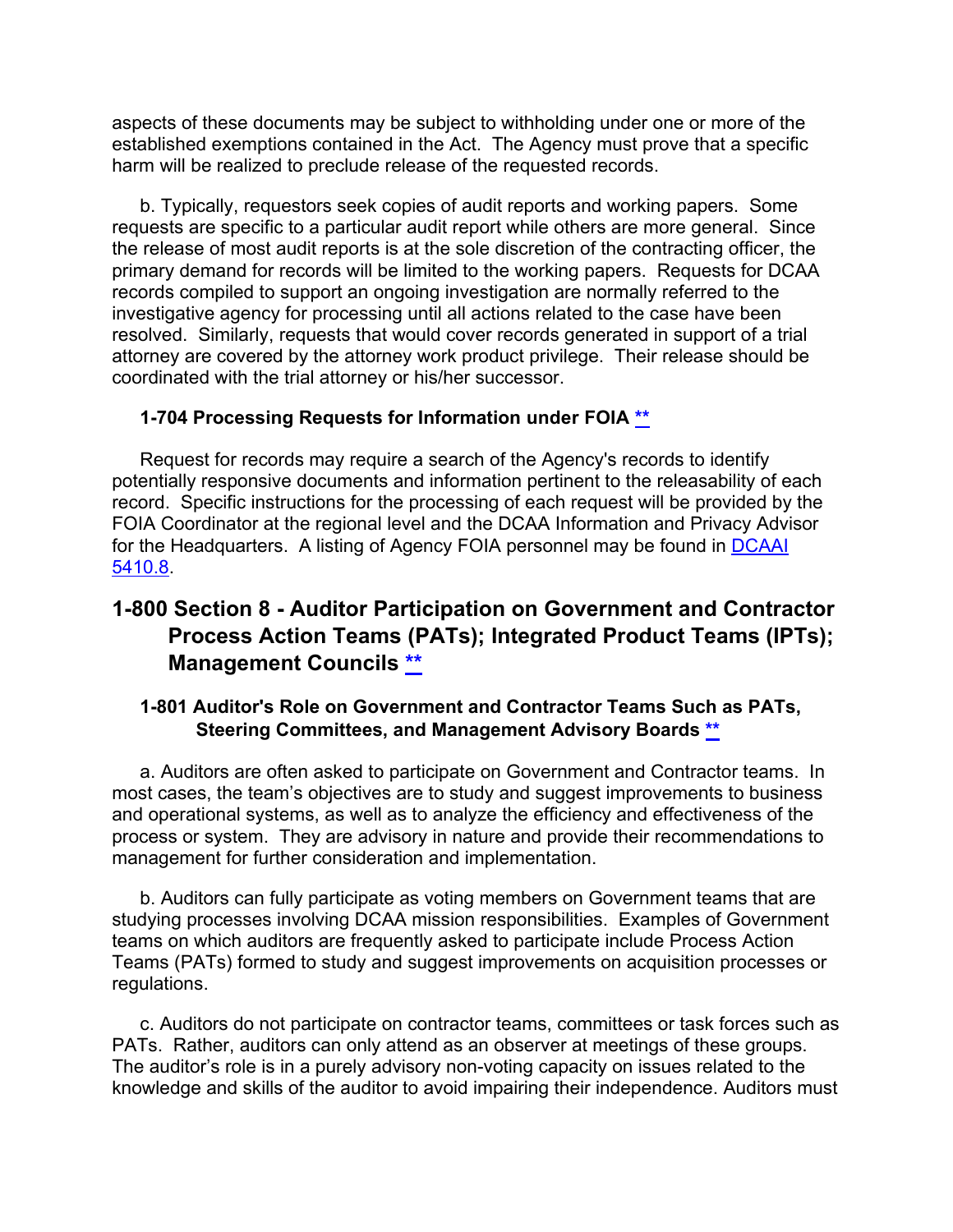aspects of these documents may be subject to withholding under one or more of the established exemptions contained in the Act. The Agency must prove that a specific harm will be realized to preclude release of the requested records.

b. Typically, requestors seek copies of audit reports and working papers. Some requests are specific to a particular audit report while others are more general. Since the release of most audit reports is at the sole discretion of the contracting officer, the primary demand for records will be limited to the working papers. Requests for DCAA records compiled to support an ongoing investigation are normally referred to the investigative agency for processing until all actions related to the case have been resolved. Similarly, requests that would cover records generated in support of a trial attorney are covered by the attorney work product privilege. Their release should be coordinated with the trial attorney or his/her successor.

#### <span id="page-52-0"></span>**1-704 Processing Requests for Information under FOIA [\\*\\*](#page-3-22)**

Request for records may require a search of the Agency's records to identify potentially responsive documents and information pertinent to the releasability of each record. Specific instructions for the processing of each request will be provided by the FOIA Coordinator at the regional level and the DCAA Information and Privacy Advisor for the Headquarters. A listing of Agency FOIA personnel may be found in [DCAAI](https://sharepoint.dcaaintra.mil/headquarters/resources/CM/CMC/Publications/Publications/DCAAI%205410.8.pdf) [5410.8.](https://sharepoint.dcaaintra.mil/headquarters/resources/CM/CMC/Publications/Publications/DCAAI%205410.8.pdf)

## **1-800 Section 8 - Auditor Participation on Government and Contractor Process Action Teams (PATs); Integrated Product Teams (IPTs); Management Councils [\\*\\*](#page-4-0)**

## <span id="page-52-2"></span><span id="page-52-1"></span>**1-801 Auditor's Role on Government and Contractor Teams Such as PATs, Steering Committees, and Management Advisory Boards [\\*\\*](#page-4-1)**

a. Auditors are often asked to participate on Government and Contractor teams. In most cases, the team's objectives are to study and suggest improvements to business and operational systems, as well as to analyze the efficiency and effectiveness of the process or system. They are advisory in nature and provide their recommendations to management for further consideration and implementation.

b. Auditors can fully participate as voting members on Government teams that are studying processes involving DCAA mission responsibilities. Examples of Government teams on which auditors are frequently asked to participate include Process Action Teams (PATs) formed to study and suggest improvements on acquisition processes or regulations.

c. Auditors do not participate on contractor teams, committees or task forces such as PATs. Rather, auditors can only attend as an observer at meetings of these groups. The auditor's role is in a purely advisory non-voting capacity on issues related to the knowledge and skills of the auditor to avoid impairing their independence. Auditors must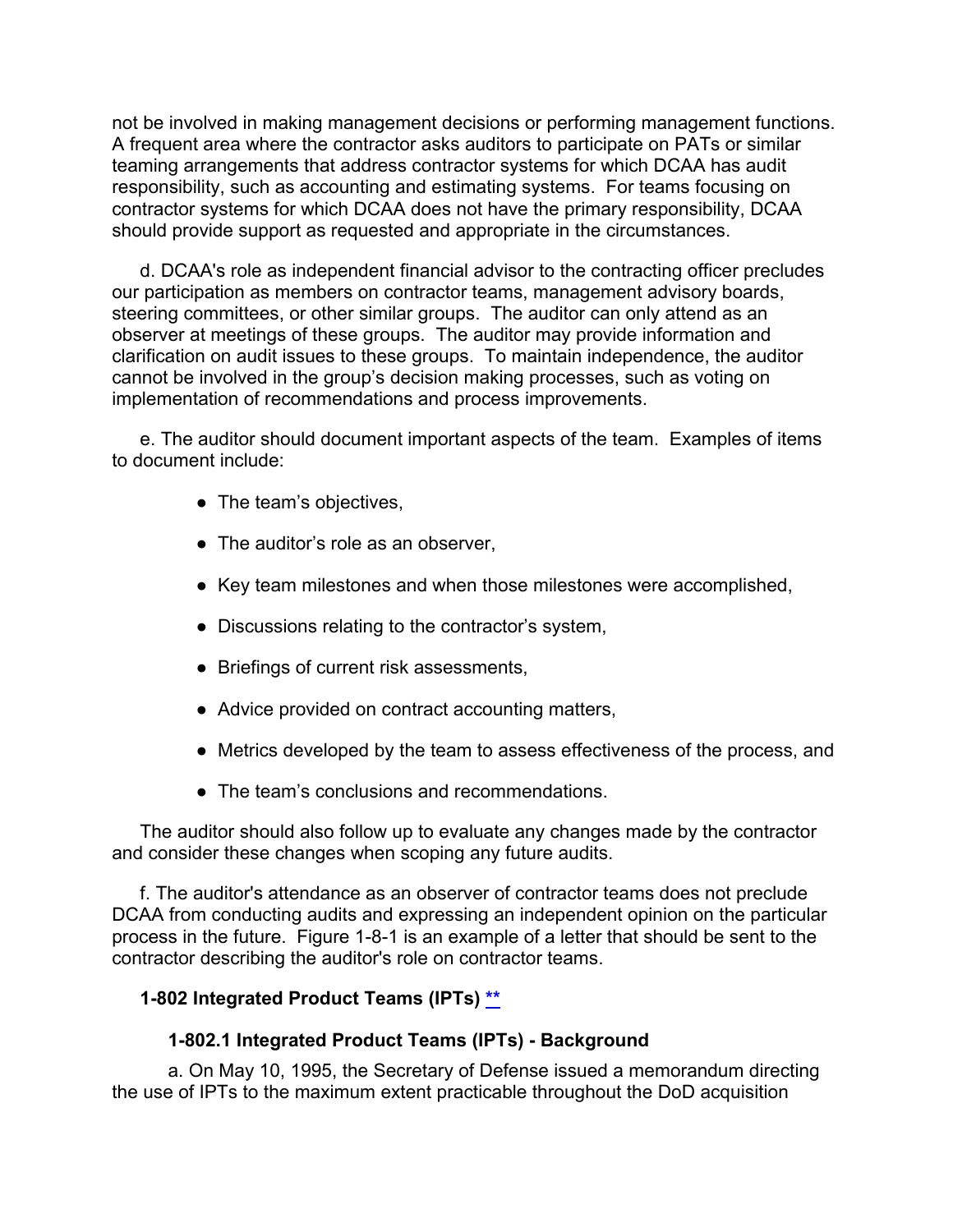not be involved in making management decisions or performing management functions. A frequent area where the contractor asks auditors to participate on PATs or similar teaming arrangements that address contractor systems for which DCAA has audit responsibility, such as accounting and estimating systems. For teams focusing on contractor systems for which DCAA does not have the primary responsibility, DCAA should provide support as requested and appropriate in the circumstances.

d. DCAA's role as independent financial advisor to the contracting officer precludes our participation as members on contractor teams, management advisory boards, steering committees, or other similar groups. The auditor can only attend as an observer at meetings of these groups. The auditor may provide information and clarification on audit issues to these groups. To maintain independence, the auditor cannot be involved in the group's decision making processes, such as voting on implementation of recommendations and process improvements.

e. The auditor should document important aspects of the team. Examples of items to document include:

- The team's objectives,
- The auditor's role as an observer,
- Key team milestones and when those milestones were accomplished,
- Discussions relating to the contractor's system,
- Briefings of current risk assessments,
- Advice provided on contract accounting matters,
- Metrics developed by the team to assess effectiveness of the process, and
- The team's conclusions and recommendations.

The auditor should also follow up to evaluate any changes made by the contractor and consider these changes when scoping any future audits.

f. The auditor's attendance as an observer of contractor teams does not preclude DCAA from conducting audits and expressing an independent opinion on the particular process in the future. Figure 1-8-1 is an example of a letter that should be sent to the contractor describing the auditor's role on contractor teams.

## **1-802 Integrated Product Teams (IPTs) [\\*\\*](#page-4-2)**

#### <span id="page-53-0"></span>**1-802.1 Integrated Product Teams (IPTs) - Background**

a. On May 10, 1995, the Secretary of Defense issued a memorandum directing the use of IPTs to the maximum extent practicable throughout the DoD acquisition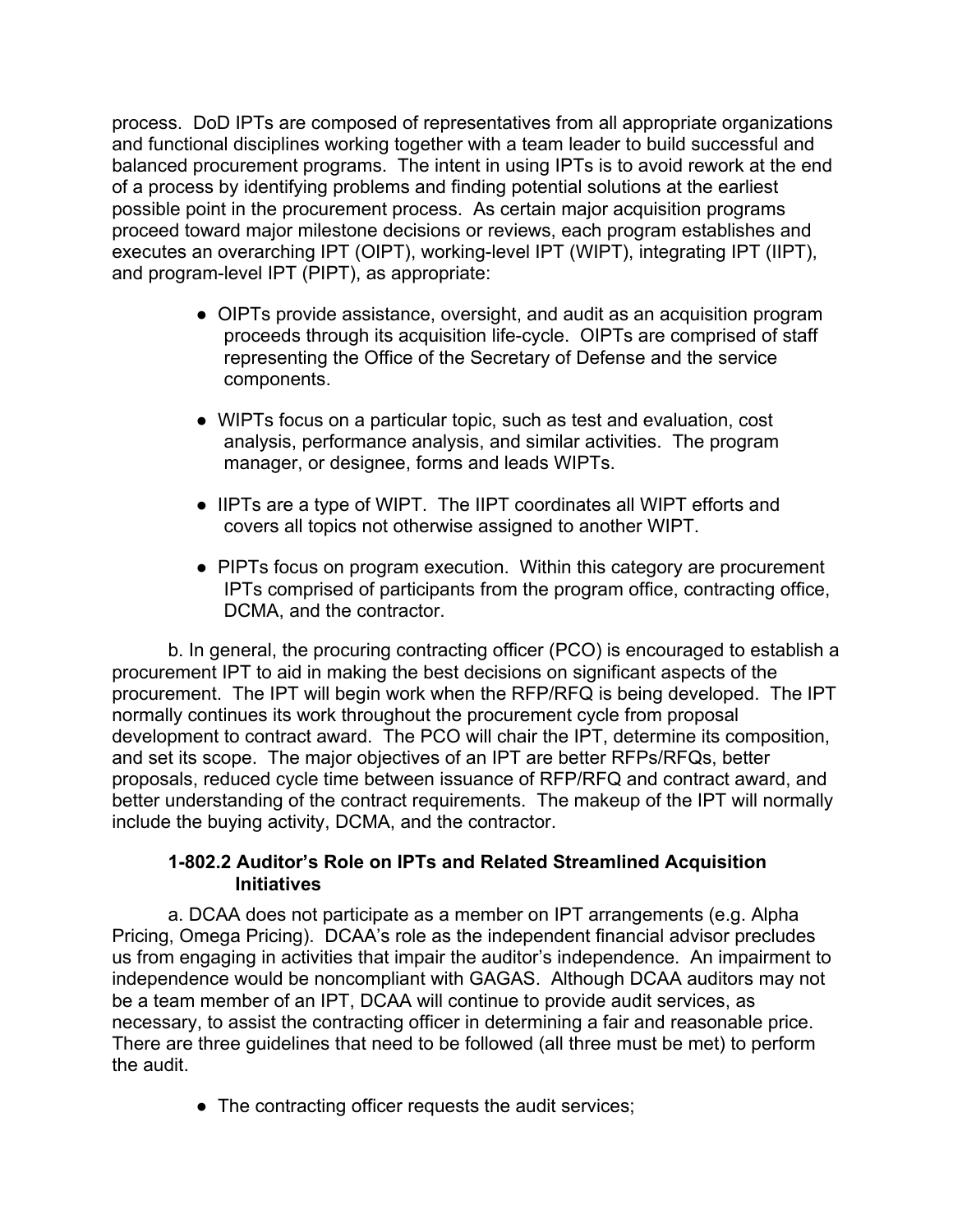process. DoD IPTs are composed of representatives from all appropriate organizations and functional disciplines working together with a team leader to build successful and balanced procurement programs. The intent in using IPTs is to avoid rework at the end of a process by identifying problems and finding potential solutions at the earliest possible point in the procurement process. As certain major acquisition programs proceed toward major milestone decisions or reviews, each program establishes and executes an overarching IPT (OIPT), working-level IPT (WIPT), integrating IPT (IIPT), and program-level IPT (PIPT), as appropriate:

- OIPTs provide assistance, oversight, and audit as an acquisition program proceeds through its acquisition life-cycle. OIPTs are comprised of staff representing the Office of the Secretary of Defense and the service components.
- WIPTs focus on a particular topic, such as test and evaluation, cost analysis, performance analysis, and similar activities. The program manager, or designee, forms and leads WIPTs.
- IIPTs are a type of WIPT. The IIPT coordinates all WIPT efforts and covers all topics not otherwise assigned to another WIPT.
- PIPTs focus on program execution. Within this category are procurement IPTs comprised of participants from the program office, contracting office, DCMA, and the contractor.

b. In general, the procuring contracting officer (PCO) is encouraged to establish a procurement IPT to aid in making the best decisions on significant aspects of the procurement. The IPT will begin work when the RFP/RFQ is being developed. The IPT normally continues its work throughout the procurement cycle from proposal development to contract award. The PCO will chair the IPT, determine its composition, and set its scope. The major objectives of an IPT are better RFPs/RFQs, better proposals, reduced cycle time between issuance of RFP/RFQ and contract award, and better understanding of the contract requirements. The makeup of the IPT will normally include the buying activity, DCMA, and the contractor.

#### **1-802.2 Auditor's Role on IPTs and Related Streamlined Acquisition Initiatives**

a. DCAA does not participate as a member on IPT arrangements (e.g. Alpha Pricing, Omega Pricing). DCAA's role as the independent financial advisor precludes us from engaging in activities that impair the auditor's independence. An impairment to independence would be noncompliant with GAGAS. Although DCAA auditors may not be a team member of an IPT, DCAA will continue to provide audit services, as necessary, to assist the contracting officer in determining a fair and reasonable price. There are three guidelines that need to be followed (all three must be met) to perform the audit.

• The contracting officer requests the audit services;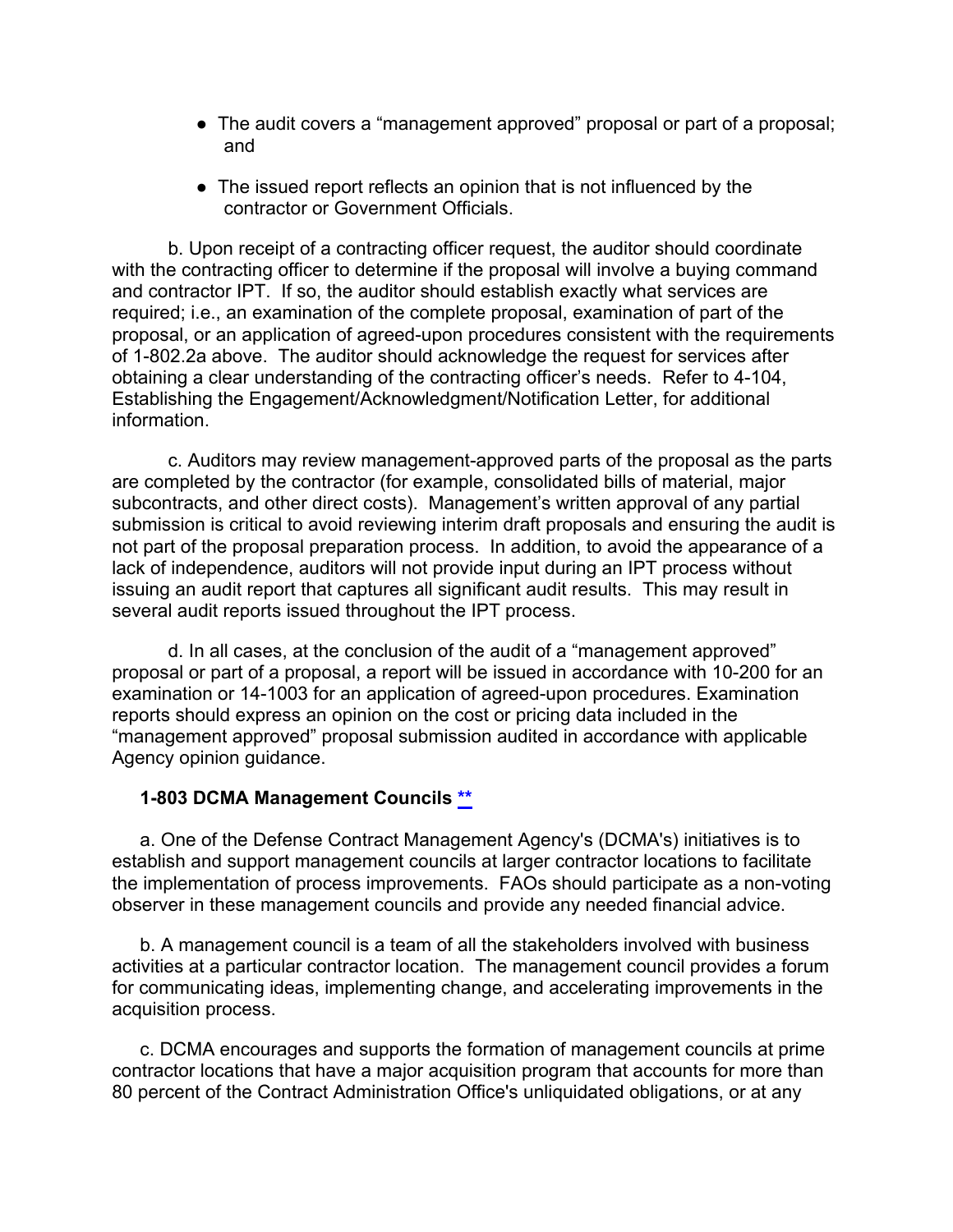- The audit covers a "management approved" proposal or part of a proposal; and
- The issued report reflects an opinion that is not influenced by the contractor or Government Officials.

b. Upon receipt of a contracting officer request, the auditor should coordinate with the contracting officer to determine if the proposal will involve a buying command and contractor IPT. If so, the auditor should establish exactly what services are required; i.e., an examination of the complete proposal, examination of part of the proposal, or an application of agreed-upon procedures consistent with the requirements of 1-802.2a above. The auditor should acknowledge the request for services after obtaining a clear understanding of the contracting officer's needs. Refer to 4-104, Establishing the Engagement/Acknowledgment/Notification Letter, for additional information.

c. Auditors may review management-approved parts of the proposal as the parts are completed by the contractor (for example, consolidated bills of material, major subcontracts, and other direct costs). Management's written approval of any partial submission is critical to avoid reviewing interim draft proposals and ensuring the audit is not part of the proposal preparation process. In addition, to avoid the appearance of a lack of independence, auditors will not provide input during an IPT process without issuing an audit report that captures all significant audit results. This may result in several audit reports issued throughout the IPT process.

d. In all cases, at the conclusion of the audit of a "management approved" proposal or part of a proposal, a report will be issued in accordance with 10-200 for an examination or 14-1003 for an application of agreed-upon procedures. Examination reports should express an opinion on the cost or pricing data included in the "management approved" proposal submission audited in accordance with applicable Agency opinion guidance.

#### <span id="page-55-0"></span>**1-803 DCMA Management Councils [\\*\\*](#page-4-3)**

a. One of the Defense Contract Management Agency's (DCMA's) initiatives is to establish and support management councils at larger contractor locations to facilitate the implementation of process improvements. FAOs should participate as a non-voting observer in these management councils and provide any needed financial advice.

b. A management council is a team of all the stakeholders involved with business activities at a particular contractor location. The management council provides a forum for communicating ideas, implementing change, and accelerating improvements in the acquisition process.

c. DCMA encourages and supports the formation of management councils at prime contractor locations that have a major acquisition program that accounts for more than 80 percent of the Contract Administration Office's unliquidated obligations, or at any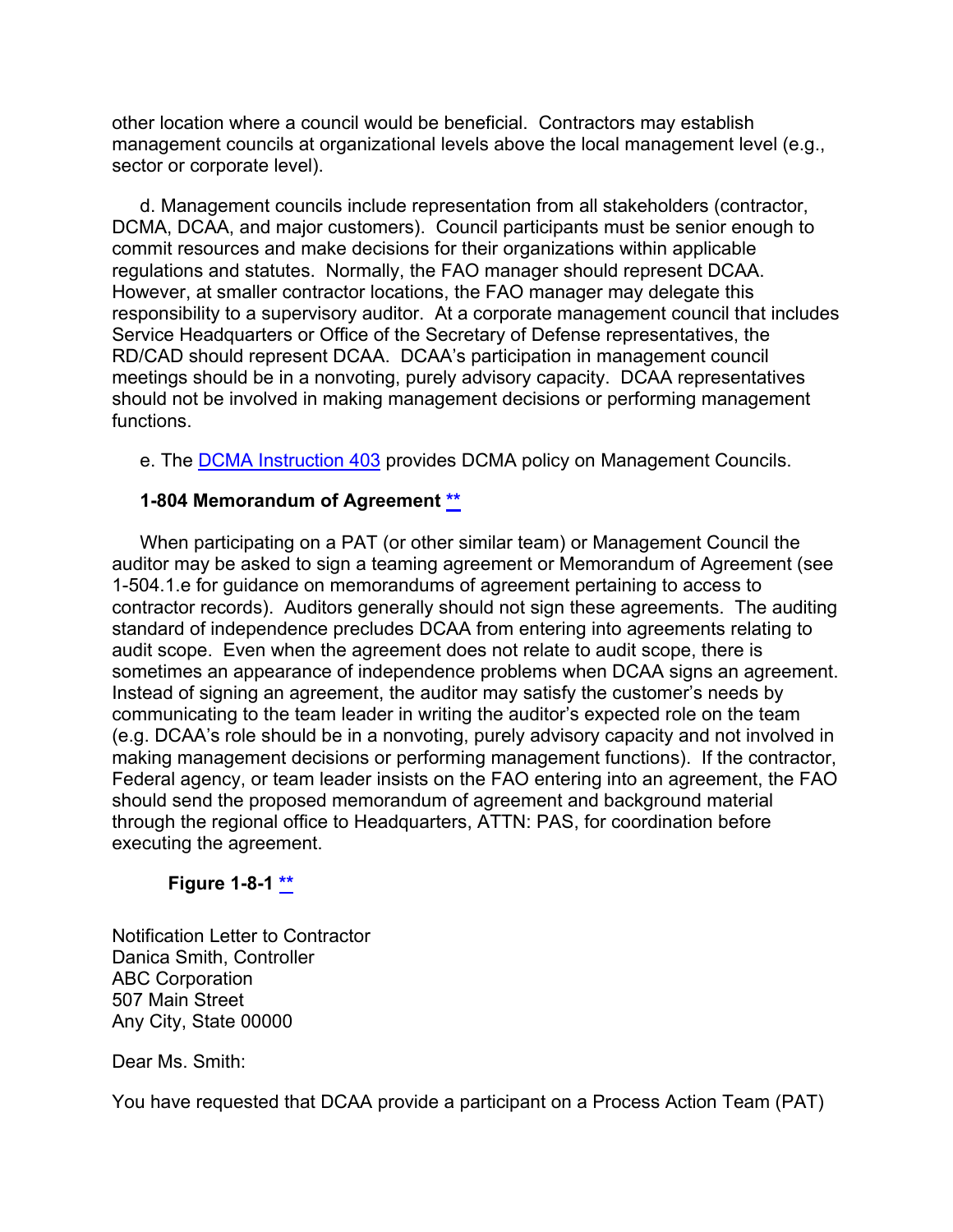other location where a council would be beneficial. Contractors may establish management councils at organizational levels above the local management level (e.g., sector or corporate level).

d. Management councils include representation from all stakeholders (contractor, DCMA, DCAA, and major customers). Council participants must be senior enough to commit resources and make decisions for their organizations within applicable regulations and statutes. Normally, the FAO manager should represent DCAA. However, at smaller contractor locations, the FAO manager may delegate this responsibility to a supervisory auditor. At a corporate management council that includes Service Headquarters or Office of the Secretary of Defense representatives, the RD/CAD should represent DCAA. DCAA's participation in management council meetings should be in a nonvoting, purely advisory capacity. DCAA representatives should not be involved in making management decisions or performing management functions.

e. The [DCMA Instruction 403](http://www.dcma.mil/Portals/31/Documents/Policy/DCMA-INST-403.pdf) provides DCMA policy on Management Councils.

#### <span id="page-56-0"></span>**1-804 Memorandum of Agreement [\\*\\*](#page-4-4)**

When participating on a PAT (or other similar team) or Management Council the auditor may be asked to sign a teaming agreement or Memorandum of Agreement (see 1-504.1.e for guidance on memorandums of agreement pertaining to access to contractor records). Auditors generally should not sign these agreements. The auditing standard of independence precludes DCAA from entering into agreements relating to audit scope. Even when the agreement does not relate to audit scope, there is sometimes an appearance of independence problems when DCAA signs an agreement. Instead of signing an agreement, the auditor may satisfy the customer's needs by communicating to the team leader in writing the auditor's expected role on the team (e.g. DCAA's role should be in a nonvoting, purely advisory capacity and not involved in making management decisions or performing management functions). If the contractor, Federal agency, or team leader insists on the FAO entering into an agreement, the FAO should send the proposed memorandum of agreement and background material through the regional office to Headquarters, ATTN: PAS, for coordination before executing the agreement.

#### **Figure 1-8-1 [\\*\\*](#page-4-4)**

<span id="page-56-1"></span>Notification Letter to Contractor Danica Smith, Controller ABC Corporation 507 Main Street Any City, State 00000

Dear Ms. Smith:

You have requested that DCAA provide a participant on a Process Action Team (PAT)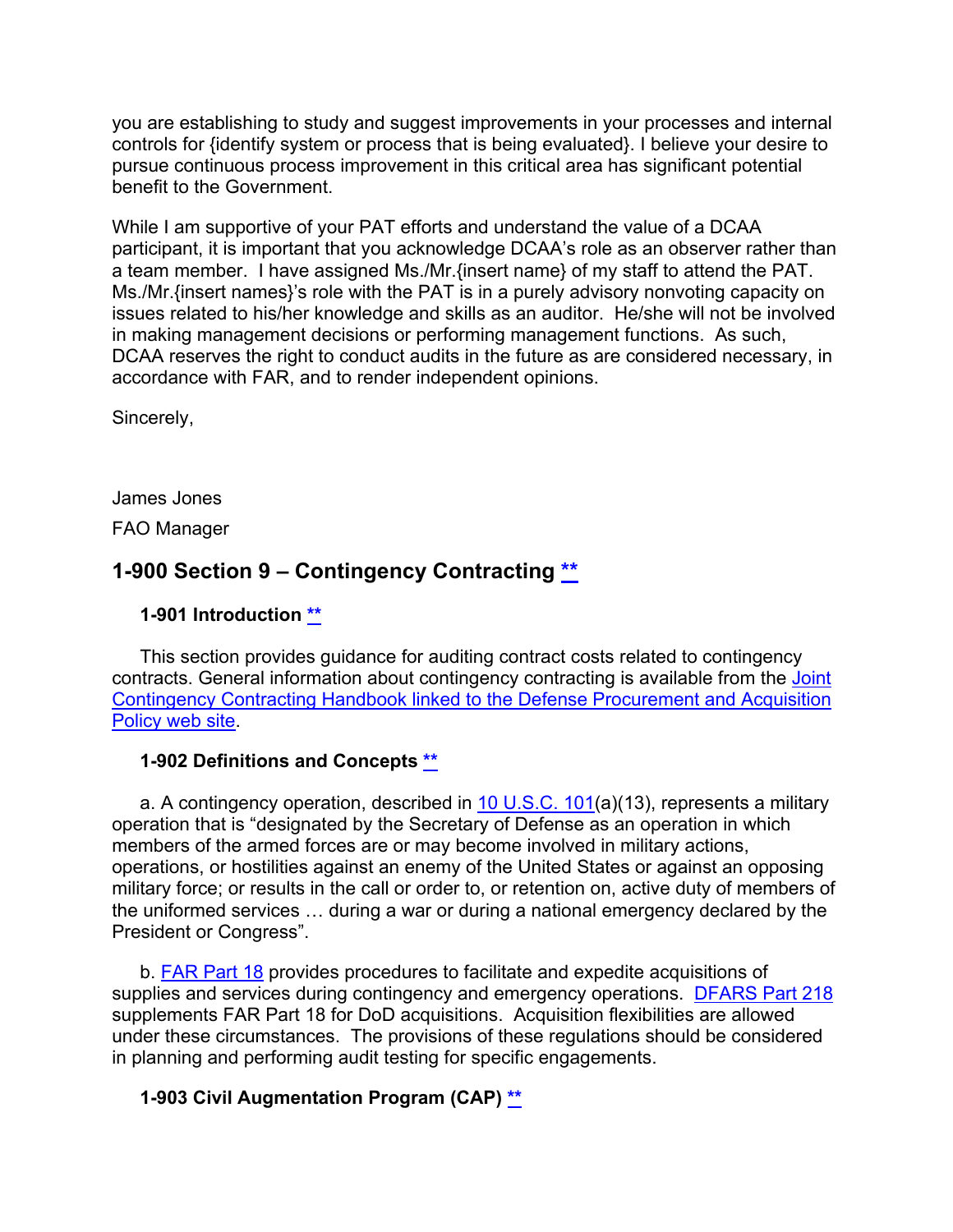you are establishing to study and suggest improvements in your processes and internal controls for {identify system or process that is being evaluated}. I believe your desire to pursue continuous process improvement in this critical area has significant potential benefit to the Government.

While I am supportive of your PAT efforts and understand the value of a DCAA participant, it is important that you acknowledge DCAA's role as an observer rather than a team member. I have assigned Ms./Mr.{insert name} of my staff to attend the PAT. Ms./Mr.{insert names}'s role with the PAT is in a purely advisory nonvoting capacity on issues related to his/her knowledge and skills as an auditor. He/she will not be involved in making management decisions or performing management functions. As such, DCAA reserves the right to conduct audits in the future as are considered necessary, in accordance with FAR, and to render independent opinions.

Sincerely,

James Jones

FAO Manager

## **1-900 Section 9 – Contingency Contracting [\\*\\*](#page-4-5)**

## <span id="page-57-1"></span><span id="page-57-0"></span>**1-901 Introduction [\\*\\*](#page-4-6)**

This section provides guidance for auditing contract costs related to contingency contracts. General information about contingency contracting is available from the Joint [Contingency Contracting Handbook linked to the Defense Procurement and Acquisition](http://www.acq.osd.mil/dpap/ccap/cc/jcchb/index.html)  [Policy web site.](http://www.acq.osd.mil/dpap/ccap/cc/jcchb/index.html)

## <span id="page-57-2"></span>**1-902 Definitions and Concepts [\\*\\*](#page-4-7)**

a. A contingency operation, described in  $10$  U.S.C.  $101(a)(13)$ , represents a military operation that is "designated by the Secretary of Defense as an operation in which members of the armed forces are or may become involved in military actions, operations, or hostilities against an enemy of the United States or against an opposing military force; or results in the call or order to, or retention on, active duty of members of the uniformed services … during a war or during a national emergency declared by the President or Congress".

b. [FAR Part 18](http://www.ecfr.gov/cgi-bin/text-idx?SID=363359d4824b496ee230f2dd6d82e3ce&mc=true&node=pt48.1.18&rgn=div5) provides procedures to facilitate and expedite acquisitions of supplies and services during contingency and emergency operations. [DFARS Part 218](http://www.ecfr.gov/cgi-bin/text-idx?SID=27086d31bc0e08af5b9ce9e4510bde3c&mc=true&node=pt48.3.218&rgn=div5) supplements FAR Part 18 for DoD acquisitions. Acquisition flexibilities are allowed under these circumstances. The provisions of these regulations should be considered in planning and performing audit testing for specific engagements.

## <span id="page-57-3"></span>**1-903 Civil Augmentation Program (CAP) [\\*\\*](#page-4-8)**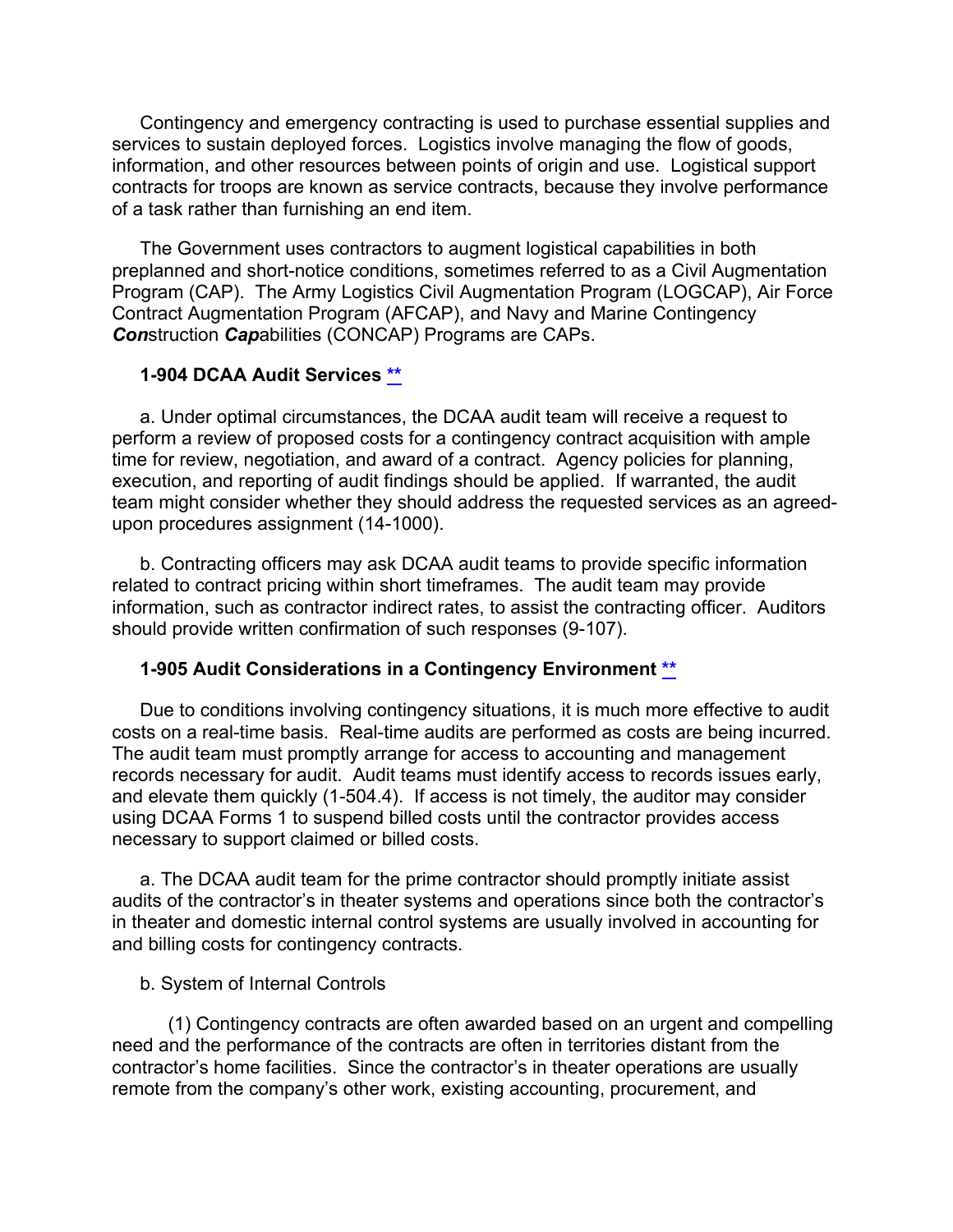Contingency and emergency contracting is used to purchase essential supplies and services to sustain deployed forces. Logistics involve managing the flow of goods, information, and other resources between points of origin and use. Logistical support contracts for troops are known as service contracts, because they involve performance of a task rather than furnishing an end item.

The Government uses contractors to augment logistical capabilities in both preplanned and short-notice conditions, sometimes referred to as a Civil Augmentation Program (CAP). The Army Logistics Civil Augmentation Program (LOGCAP), Air Force Contract Augmentation Program (AFCAP), and Navy and Marine Contingency *Con*struction *Cap*abilities (CONCAP) Programs are CAPs.

#### <span id="page-58-0"></span>**1-904 DCAA Audit Services [\\*\\*](#page-4-9)**

a. Under optimal circumstances, the DCAA audit team will receive a request to perform a review of proposed costs for a contingency contract acquisition with ample time for review, negotiation, and award of a contract. Agency policies for planning, execution, and reporting of audit findings should be applied. If warranted, the audit team might consider whether they should address the requested services as an agreedupon procedures assignment (14-1000).

b. Contracting officers may ask DCAA audit teams to provide specific information related to contract pricing within short timeframes. The audit team may provide information, such as contractor indirect rates, to assist the contracting officer. Auditors should provide written confirmation of such responses (9-107).

#### <span id="page-58-1"></span>**1-905 Audit Considerations in a Contingency Environment [\\*\\*](#page-4-10)**

Due to conditions involving contingency situations, it is much more effective to audit costs on a real-time basis. Real-time audits are performed as costs are being incurred. The audit team must promptly arrange for access to accounting and management records necessary for audit. Audit teams must identify access to records issues early, and elevate them quickly (1-504.4). If access is not timely, the auditor may consider using DCAA Forms 1 to suspend billed costs until the contractor provides access necessary to support claimed or billed costs.

a. The DCAA audit team for the prime contractor should promptly initiate assist audits of the contractor's in theater systems and operations since both the contractor's in theater and domestic internal control systems are usually involved in accounting for and billing costs for contingency contracts.

#### b. System of Internal Controls

(1) Contingency contracts are often awarded based on an urgent and compelling need and the performance of the contracts are often in territories distant from the contractor's home facilities. Since the contractor's in theater operations are usually remote from the company's other work, existing accounting, procurement, and